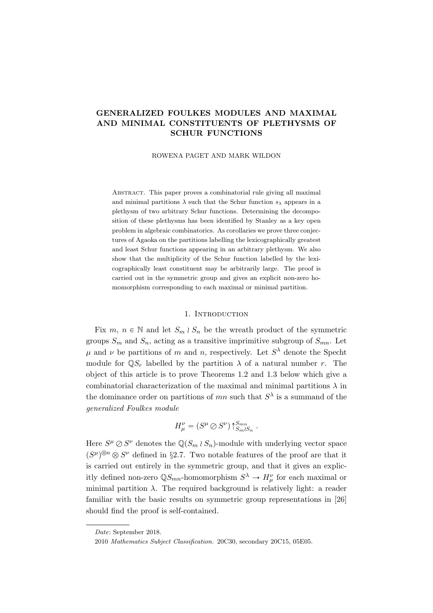# GENERALIZED FOULKES MODULES AND MAXIMAL AND MINIMAL CONSTITUENTS OF PLETHYSMS OF SCHUR FUNCTIONS

ROWENA PAGET AND MARK WILDON

Abstract. This paper proves a combinatorial rule giving all maximal and minimal partitions  $\lambda$  such that the Schur function  $s_{\lambda}$  appears in a plethysm of two arbitrary Schur functions. Determining the decomposition of these plethysms has been identified by Stanley as a key open problem in algebraic combinatorics. As corollaries we prove three conjectures of Agaoka on the partitions labelling the lexicographically greatest and least Schur functions appearing in an arbitrary plethysm. We also show that the multiplicity of the Schur function labelled by the lexicographically least constituent may be arbitrarily large. The proof is carried out in the symmetric group and gives an explicit non-zero homomorphism corresponding to each maximal or minimal partition.

### 1. Introduction

Fix  $m, n \in \mathbb{N}$  and let  $S_m \wr S_n$  be the wreath product of the symmetric groups  $S_m$  and  $S_n$ , acting as a transitive imprimitive subgroup of  $S_{mn}$ . Let  $\mu$  and  $\nu$  be partitions of m and n, respectively. Let  $S^{\lambda}$  denote the Specht module for  $\mathbb{Q}S_r$  labelled by the partition  $\lambda$  of a natural number r. The object of this article is to prove Theorems 1.2 and 1.3 below which give a combinatorial characterization of the maximal and minimal partitions  $\lambda$  in the dominance order on partitions of  $mn$  such that  $S^{\lambda}$  is a summand of the generalized Foulkes module

$$
H^{\nu}_{\mu} = (S^{\mu} \oslash S^{\nu}) \uparrow_{S_m \wr S_n}^{S_{mn}}.
$$

Here  $S^{\mu} \oslash S^{\nu}$  denotes the  $\mathbb{Q}(S_m \wr S_n)$ -module with underlying vector space  $(S^{\mu})^{\otimes n} \otimes S^{\nu}$  defined in §2.7. Two notable features of the proof are that it is carried out entirely in the symmetric group, and that it gives an explicitly defined non-zero  $\mathbb{Q}S_{mn}$ -homomorphism  $S^{\lambda} \to H^{\nu}_{\mu}$  for each maximal or minimal partition  $\lambda$ . The required background is relatively light: a reader familiar with the basic results on symmetric group representations in [26] should find the proof is self-contained.

Date: September 2018.

<sup>2010</sup> Mathematics Subject Classification. 20C30, secondary 20C15, 05E05.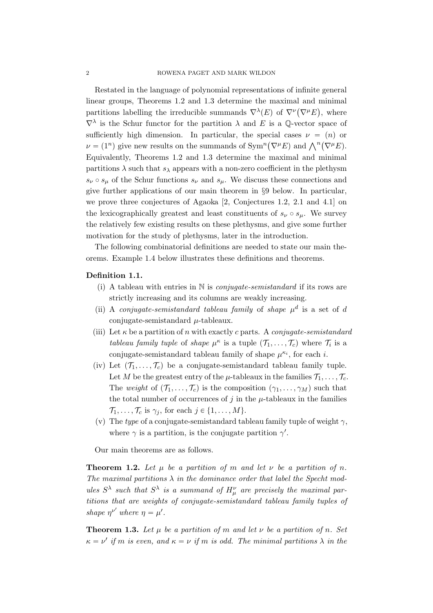Restated in the language of polynomial representations of infinite general linear groups, Theorems 1.2 and 1.3 determine the maximal and minimal partitions labelling the irreducible summands  $\nabla^{\lambda}(E)$  of  $\nabla^{\nu}(\nabla^{\mu}E)$ , where  $\nabla^{\lambda}$  is the Schur functor for the partition  $\lambda$  and E is a Q-vector space of sufficiently high dimension. In particular, the special cases  $\nu = (n)$  or sumclemary inglumination. In particular, the special cases  $\nu = (n)$  or  $\nu = (1^n)$  give new results on the summands of Sym<sup>n</sup>( $\nabla^{\mu}E$ ) and  $\bigwedge^n(\nabla^{\mu}E)$ . Equivalently, Theorems 1.2 and 1.3 determine the maximal and minimal partitions  $\lambda$  such that  $s_{\lambda}$  appears with a non-zero coefficient in the plethysm  $s_{\nu} \circ s_{\mu}$  of the Schur functions  $s_{\nu}$  and  $s_{\mu}$ . We discuss these connections and give further applications of our main theorem in §9 below. In particular, we prove three conjectures of Agaoka [2, Conjectures 1.2, 2.1 and 4.1] on the lexicographically greatest and least constituents of  $s_{\nu} \circ s_{\mu}$ . We survey the relatively few existing results on these plethysms, and give some further motivation for the study of plethysms, later in the introduction.

The following combinatorial definitions are needed to state our main theorems. Example 1.4 below illustrates these definitions and theorems.

## Definition 1.1.

- (i) A tableau with entries in  $\mathbb N$  is *conjugate-semistandard* if its rows are strictly increasing and its columns are weakly increasing.
- (ii) A conjugate-semistandard tableau family of shape  $\mu^d$  is a set of d conjugate-semistandard  $\mu$ -tableaux.
- (iii) Let  $\kappa$  be a partition of n with exactly c parts. A conjugate-semistandard tableau family tuple of shape  $\mu^{\kappa}$  is a tuple  $(\mathcal{T}_1, \ldots, \mathcal{T}_c)$  where  $\mathcal{T}_i$  is a conjugate-semistandard tableau family of shape  $\mu^{\kappa_i}$ , for each i.
- (iv) Let  $(\mathcal{T}_1, \ldots, \mathcal{T}_c)$  be a conjugate-semistandard tableau family tuple. Let M be the greatest entry of the  $\mu$ -tableaux in the families  $\mathcal{T}_1, \ldots, \mathcal{T}_c$ . The weight of  $(\mathcal{T}_1, \ldots, \mathcal{T}_c)$  is the composition  $(\gamma_1, \ldots, \gamma_M)$  such that the total number of occurrences of  $j$  in the  $\mu$ -tableaux in the families  $\mathcal{T}_1, \ldots, \mathcal{T}_c$  is  $\gamma_j$ , for each  $j \in \{1, \ldots, M\}.$
- (v) The type of a conjugate-semistandard tableau family tuple of weight  $\gamma$ , where  $\gamma$  is a partition, is the conjugate partition  $\gamma'$ .

Our main theorems are as follows.

**Theorem 1.2.** Let u be a partition of m and let  $\nu$  be a partition of n. The maximal partitions  $\lambda$  in the dominance order that label the Specht modules  $S^{\lambda}$  such that  $S^{\lambda}$  is a summand of  $H^{\nu}_{\mu}$  are precisely the maximal partitions that are weights of conjugate-semistandard tableau family tuples of shape  $\eta^{\nu'}$  where  $\eta = \mu'$ .

**Theorem 1.3.** Let  $\mu$  be a partition of m and let  $\nu$  be a partition of n. Set  $\kappa = \nu'$  if m is even, and  $\kappa = \nu$  if m is odd. The minimal partitions  $\lambda$  in the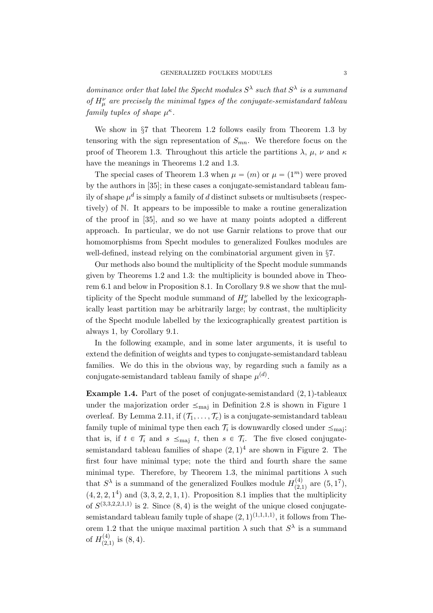dominance order that label the Specht modules  $S^{\lambda}$  such that  $S^{\lambda}$  is a summand of  $H^{\nu}_{\mu}$  are precisely the minimal types of the conjugate-semistandard tableau family tuples of shape  $\mu^{\kappa}$ .

We show in §7 that Theorem 1.2 follows easily from Theorem 1.3 by tensoring with the sign representation of  $S_{mn}$ . We therefore focus on the proof of Theorem 1.3. Throughout this article the partitions  $\lambda$ ,  $\mu$ ,  $\nu$  and  $\kappa$ have the meanings in Theorems 1.2 and 1.3.

The special cases of Theorem 1.3 when  $\mu = (m)$  or  $\mu = (1^m)$  were proved by the authors in [35]; in these cases a conjugate-semistandard tableau family of shape  $\mu^d$  is simply a family of d distinct subsets or multisubsets (respectively) of N. It appears to be impossible to make a routine generalization of the proof in [35], and so we have at many points adopted a different approach. In particular, we do not use Garnir relations to prove that our homomorphisms from Specht modules to generalized Foulkes modules are well-defined, instead relying on the combinatorial argument given in §7.

Our methods also bound the multiplicity of the Specht module summands given by Theorems 1.2 and 1.3: the multiplicity is bounded above in Theorem 6.1 and below in Proposition 8.1. In Corollary 9.8 we show that the multiplicity of the Specht module summand of  $H^{\nu}_{\mu}$  labelled by the lexicographically least partition may be arbitrarily large; by contrast, the multiplicity of the Specht module labelled by the lexicographically greatest partition is always 1, by Corollary 9.1.

In the following example, and in some later arguments, it is useful to extend the definition of weights and types to conjugate-semistandard tableau families. We do this in the obvious way, by regarding such a family as a conjugate-semistandard tableau family of shape  $\mu^{(d)}$ .

**Example 1.4.** Part of the poset of conjugate-semistandard  $(2, 1)$ -tableaux under the majorization order  $\leq_{\text{maj}}$  in Definition 2.8 is shown in Figure 1 overleaf. By Lemma 2.11, if  $(\mathcal{T}_1, \ldots, \mathcal{T}_c)$  is a conjugate-semistandard tableau family tuple of minimal type then each  $\mathcal{T}_i$  is downwardly closed under  $\leq_{\text{maj}}$ ; that is, if  $t \in \mathcal{T}_i$  and  $s \leq_{\text{maj}} t$ , then  $s \in \mathcal{T}_i$ . The five closed conjugatesemistandard tableau families of shape  $(2,1)^4$  are shown in Figure 2. The first four have minimal type; note the third and fourth share the same minimal type. Therefore, by Theorem 1.3, the minimal partitions  $\lambda$  such that  $S^{\lambda}$  is a summand of the generalized Foulkes module  $H_{(2)}^{(4)}$  $\binom{(4)}{(2,1)}$  are  $(5, 1^7)$ ,  $(4, 2, 2, 1<sup>4</sup>)$  and  $(3, 3, 2, 2, 1, 1)$ . Proposition 8.1 implies that the multiplicity of  $S^{(3,3,2,2,1,1)}$  is 2. Since  $(8, 4)$  is the weight of the unique closed conjugatesemistandard tableau family tuple of shape  $(2, 1)^{(1,1,1,1)}$ , it follows from Theorem 1.2 that the unique maximal partition  $\lambda$  such that  $S^{\lambda}$  is a summand of  $H_{(2)}^{(4)}$  $\binom{4}{2,1}$  is  $(8, 4)$ .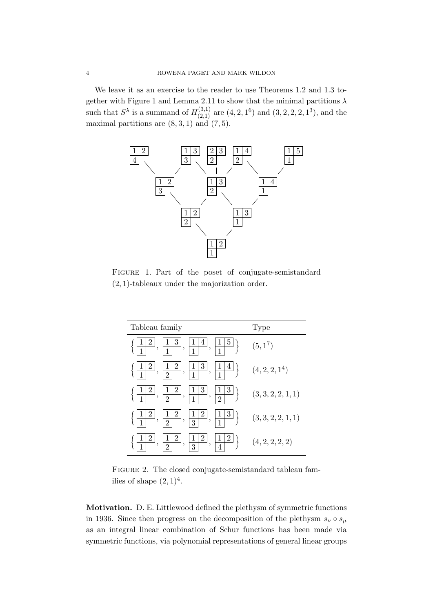We leave it as an exercise to the reader to use Theorems 1.2 and 1.3 together with Figure 1 and Lemma 2.11 to show that the minimal partitions  $\lambda$ such that  $S^{\lambda}$  is a summand of  $H_{(2,1)}^{(3,1)}$  $p_{(2,1)}^{(3,1)}$  are  $(4, 2, 1^6)$  and  $(3, 2, 2, 2, 1^3)$ , and the maximal partitions are  $(8, 3, 1)$  and  $(7, 5)$ .



FIGURE 1. Part of the poset of conjugate-semistandard  $(2, 1)$ -tableaux under the majorization order.

| Tableau family                                                                                                                                                                       | Type                       |  |  |  |
|--------------------------------------------------------------------------------------------------------------------------------------------------------------------------------------|----------------------------|--|--|--|
| $\left\lfloor \frac{1}{1} \right\rfloor^3, \left\lfloor \frac{1}{1} \right\rfloor^4, \left\lfloor \frac{1}{1} \right\rfloor^5 \right\}$<br>$\boxed{2}$ ,                             | $(5,1^7)$                  |  |  |  |
| $\left\lfloor \frac{1}{2} \right\rfloor, \left\lfloor \frac{1}{1} \right\rfloor, \left\lfloor \frac{1}{2} \right\rfloor$<br>$\left\{4\right\}$<br>$\left\{\frac{ 1 2}{ 1 },\right\}$ | (4, 2, 2, 1 <sup>4</sup> ) |  |  |  |
| $\left\{\frac{1}{2}, \frac{1}{1}, \frac{1}{2}\right\}$<br>$\left  \frac{2}{\cdot} \right ,$                                                                                          | (3,3,2,2,1,1)              |  |  |  |
| $\left\{\frac{3}{2}\right\}$<br>$\left[\frac{1}{2}, \frac{1}{3}, \frac{1}{3}\right]$<br>$\left  \frac{2}{\cdot} \right ,$                                                            | (3,3,2,2,1,1)              |  |  |  |
| $\frac{ 1 }{3}$ ,<br>$\frac{1}{2}$ ,<br>$\overline{\phantom{a}}$                                                                                                                     | (4, 2, 2, 2, 2)            |  |  |  |

FIGURE 2. The closed conjugate-semistandard tableau families of shape  $(2, 1)^4$ .

Motivation. D. E. Littlewood defined the plethysm of symmetric functions in 1936. Since then progress on the decomposition of the plethysm  $s_{\nu} \circ s_{\mu}$ as an integral linear combination of Schur functions has been made via symmetric functions, via polynomial representations of general linear groups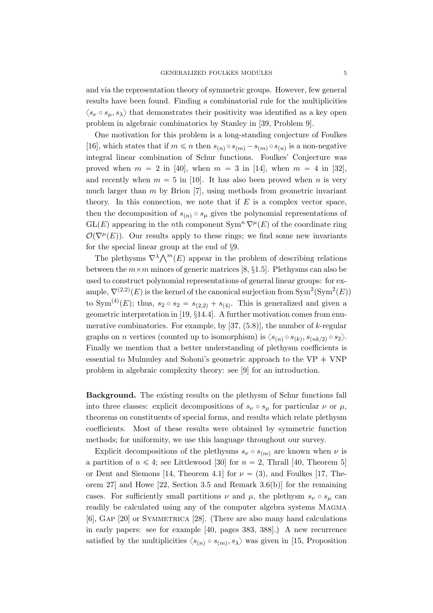and via the representation theory of symmetric groups. However, few general results have been found. Finding a combinatorial rule for the multiplicities  $\langle s_{\nu} \circ s_{\mu}, s_{\lambda} \rangle$  that demonstrates their positivity was identified as a key open problem in algebraic combinatorics by Stanley in [39, Problem 9].

One motivation for this problem is a long-standing conjecture of Foulkes [16], which states that if  $m \leq n$  then  $s_{(n)} \circ s_{(m)} - s_{(m)} \circ s_{(n)}$  is a non-negative integral linear combination of Schur functions. Foulkes' Conjecture was proved when  $m = 2$  in [40], when  $m = 3$  in [14], when  $m = 4$  in [32]. and recently when  $m = 5$  in [10]. It has also been proved when n is very much larger than  $m$  by Brion [7], using methods from geometric invariant theory. In this connection, we note that if  $E$  is a complex vector space, then the decomposition of  $s_{(n)} \circ s_{\mu}$  gives the polynomial representations of  $GL(E)$  appearing in the nth component  $Sym^n \nabla^{\mu}(E)$  of the coordinate ring  $\mathcal{O}(\nabla^{\mu}(E))$ . Our results apply to these rings; we find some new invariants for the special linear group at the end of §9.

The plethysms  $\nabla^{\lambda} \Lambda^m(E)$  appear in the problem of describing relations between the  $m \times m$  minors of generic matrices [8, §1.5]. Plethysms can also be used to construct polynomial representations of general linear groups: for example,  $\nabla^{(2,2)}(E)$  is the kernel of the canonical surjection from  $\text{Sym}^2(\text{Sym}^2(E))$ to Sym<sup>(4)</sup>(*E*); thus,  $s_2 \circ s_2 = s_{(2,2)} + s_{(4)}$ . This is generalized and given a geometric interpretation in [19, §14.4]. A further motivation comes from enumerative combinatorics. For example, by  $[37, (5.8)]$ , the number of k-regular graphs on *n* vertices (counted up to isomorphism) is  $\langle s_{(n)} \circ s_{(k)}, s_{(nk/2)} \circ s_2 \rangle$ . Finally we mention that a better understanding of plethysm coefficients is essential to Mulmuley and Sohoni's geometric approach to the  $VP + VNP$ problem in algebraic complexity theory: see [9] for an introduction.

Background. The existing results on the plethysm of Schur functions fall into three classes: explicit decompositions of  $s_{\nu} \circ s_{\mu}$  for particular  $\nu$  or  $\mu$ , theorems on constituents of special forms, and results which relate plethysm coefficients. Most of these results were obtained by symmetric function methods; for uniformity, we use this language throughout our survey.

Explicit decompositions of the plethysms  $s_{\nu} \circ s_{(m)}$  are known when  $\nu$  is a partition of  $n \leq 4$ ; see Littlewood [30] for  $n = 2$ , Thrall [40, Theorem 5] or Dent and Siemons [14, Theorem 4.1] for  $\nu = (3)$ , and Foulkes [17, Theorem 27] and Howe [22, Section 3.5 and Remark 3.6(b)] for the remaining cases. For sufficiently small partitions  $\nu$  and  $\mu$ , the plethysm  $s_{\nu} \circ s_{\mu}$  can readily be calculated using any of the computer algebra systems MAGMA [6], Gap [20] or Symmetrica [28]. (There are also many hand calculations in early papers: see for example [40, pages 383, 388].) A new recurrence satisfied by the multiplicities  $\langle s_{(n)} \circ s_{(m)}, s_{\lambda} \rangle$  was given in [15, Proposition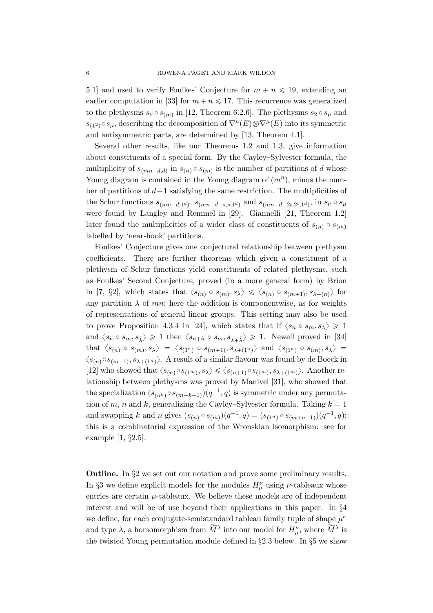5.1] and used to verify Foulkes' Conjecture for  $m + n \leq 19$ , extending an earlier computation in [33] for  $m + n \leq 17$ . This recurrence was generalized to the plethysms  $s_{\nu} \circ s_{(m)}$  in [12, Theorem 6.2.6]. The plethysms  $s_2 \circ s_{\mu}$  and  $s_{(1^2)} \circ s_\mu$ , describing the decomposition of  $\nabla^\mu(E) \otimes \nabla^\mu(E)$  into its symmetric and antisymmetric parts, are determined by [13, Theorem 4.1].

Several other results, like our Theorems 1.2 and 1.3, give information about constituents of a special form. By the Cayley–Sylvester formula, the multiplicity of  $s_{(mn-d,d)}$  in  $s_{(n)} \circ s_{(m)}$  is the number of partitions of d whose Young diagram is contained in the Young diagram of  $(m<sup>n</sup>)$ , minus the number of partitions of  $d-1$  satisfying the same restriction. The multiplicities of the Schur functions  $s_{(mn-d,1^d)}$ ,  $s_{(mn-d-s,s,1^d)}$  and  $s_{(mn-d-2t,2^t,1^d)}$ , in  $s_{\nu} \circ s_{\mu}$ were found by Langley and Remmel in [29]. Giannelli [21, Theorem 1.2] later found the multiplicities of a wider class of constituents of  $s_{(n)} \circ s_{(m)}$ labelled by 'near-hook' partitions.

Foulkes' Conjecture gives one conjectural relationship between plethysm coefficients. There are further theorems which given a constituent of a plethysm of Schur functions yield constituents of related plethysms, such as Foulkes' Second Conjecture, proved (in a more general form) by Brion in [7, §2], which states that  $\langle s_{(n)} \circ s_{(m)}, s_{\lambda} \rangle \leq \langle s_{(n)} \circ s_{(m+1)}, s_{\lambda+(n)} \rangle$  for any partition  $\lambda$  of mn; here the addition is componentwise, as for weights of representations of general linear groups. This setting may also be used to prove Proposition 4.3.4 in [24], which states that if  $\langle s_n \circ s_m, s_\lambda \rangle \geq 1$ and  $\langle s_{\tilde{n}} \circ s_m, s_{\tilde{\lambda}} \rangle \geq 1$  then  $\langle s_{n+\tilde{n}} \circ s_m, s_{\lambda+\tilde{\lambda}} \rangle \geq 1$ . Newell proved in [34] that  $\langle s_{(n)} \circ s_{(m)}, s_{\lambda} \rangle = \langle s_{(1^n)} \circ s_{(m+1)}, s_{\lambda+(1^n)} \rangle$  and  $\langle s_{(1^n)} \circ s_{(m)}, s_{\lambda} \rangle =$  $\langle s_{(n)} \circ s_{(m+1)}, s_{\lambda + (1^n)} \rangle$ . A result of a similar flavour was found by de Boeck in [12] who showed that  $\langle s_{(n)} \circ s_{(1^m)}, s_\lambda \rangle \leq \langle s_{(n+1)} \circ s_{(1^m)}, s_{\lambda+(1^m)} \rangle$ . Another relationship between plethysms was proved by Manivel [31], who showed that the specialization  $(s_{(n^k)} \circ s_{(m+k-1)})(q^{-1}, q)$  is symmetric under any permutation of m, n and k, generalizing the Cayley–Sylvester formula. Taking  $k = 1$ and swapping k and n gives  $(s_{(n)} \circ s_{(m)})(q^{-1}, q) = (s_{(1^n)} \circ s_{(m+n-1)})(q^{-1}, q)$ ; this is a combinatorial expression of the Wronskian isomorphism: see for example [1, §2.5].

Outline. In §2 we set out our notation and prove some preliminary results. In §3 we define explicit models for the modules  $H^{\nu}_{\mu}$  using  $\nu$ -tableaux whose entries are certain  $\mu$ -tableaux. We believe these models are of independent interest and will be of use beyond their applications in this paper. In §4 we define, for each conjugate-semistandard tableau family tuple of shape  $\mu^k$ and type  $\lambda$ , a homomorphism from  $\widetilde{M}^{\lambda}$  into our model for  $H^{\nu}_{\mu}$ , where  $\widetilde{M}^{\lambda}$  is the twisted Young permutation module defined in §2.3 below. In §5 we show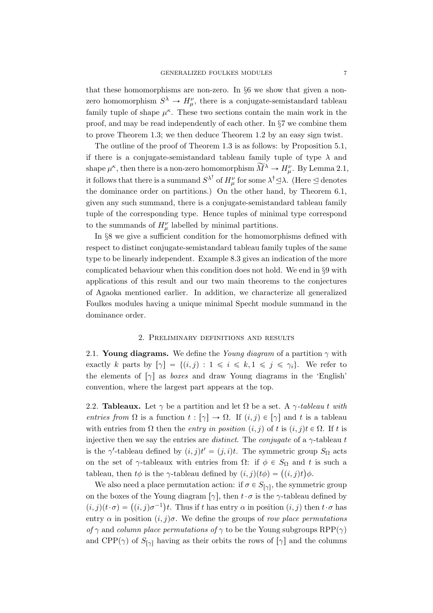that these homomorphisms are non-zero. In §6 we show that given a nonzero homomorphism  $S^{\lambda} \to H^{\nu}_{\mu}$ , there is a conjugate-semistandard tableau family tuple of shape  $\mu^k$ . These two sections contain the main work in the proof, and may be read independently of each other. In §7 we combine them to prove Theorem 1.3; we then deduce Theorem 1.2 by an easy sign twist.

The outline of the proof of Theorem 1.3 is as follows: by Proposition 5.1, if there is a conjugate-semistandard tableau family tuple of type  $\lambda$  and shape  $\mu^{\kappa}$ , then there is a non-zero homomorphism  $\widetilde{M}^{\lambda} \to H_{\mu}^{\nu}$ . By Lemma 2.1, it follows that there is a summand  $S^{\lambda^{\dagger}}$  of  $H^{\nu}_{\mu}$  for some  $\lambda^{\dagger} \leq \lambda$ . (Here  $\leq$  denotes the dominance order on partitions.) On the other hand, by Theorem 6.1, given any such summand, there is a conjugate-semistandard tableau family tuple of the corresponding type. Hence tuples of minimal type correspond to the summands of  $H^{\nu}_{\mu}$  labelled by minimal partitions.

In §8 we give a sufficient condition for the homomorphisms defined with respect to distinct conjugate-semistandard tableau family tuples of the same type to be linearly independent. Example 8.3 gives an indication of the more complicated behaviour when this condition does not hold. We end in §9 with applications of this result and our two main theorems to the conjectures of Agaoka mentioned earlier. In addition, we characterize all generalized Foulkes modules having a unique minimal Specht module summand in the dominance order.

## 2. Preliminary definitions and results

2.1. Young diagrams. We define the Young diagram of a partition  $\gamma$  with exactly k parts by  $[\gamma] = \{(i, j): 1 \leq i \leq k, 1 \leq j \leq \gamma_i\}$ . We refer to the elements of  $\lceil \gamma \rceil$  as *boxes* and draw Young diagrams in the 'English' convention, where the largest part appears at the top.

2.2. **Tableaux.** Let  $\gamma$  be a partition and let  $\Omega$  be a set. A  $\gamma$ -tableau t with entries from  $\Omega$  is a function  $t : [\gamma] \to \Omega$ . If  $(i, j) \in [\gamma]$  and t is a tableau with entries from  $\Omega$  then the *entry in position*  $(i, j)$  of t is  $(i, j)$ t  $\in \Omega$ . If t is injective then we say the entries are *distinct*. The *conjugate* of a  $\gamma$ -tableau t is the  $\gamma'$ -tableau defined by  $(i, j)t' = (j, i)t$ . The symmetric group  $S_{\Omega}$  acts on the set of  $\gamma$ -tableaux with entries from  $\Omega$ : if  $\phi \in S_{\Omega}$  and t is such a on the set of  $\gamma$ -tableaux with entries from  $\Omega$ : if  $\phi \in S_{\Omega}$  and t<br>tableau, then  $t\phi$  is the  $\gamma$ -tableau defined by  $(i, j)(t\phi) = ((i, j)t)\phi$ .

We also need a place permutation action: if  $\sigma \in S_{[\gamma]}$ , the symmetric group on the boxes of the Young diagram  $[\gamma]$ , then  $t \cdot \sigma$  is the  $\gamma$ -tableau defined by both the boxes of the Young diagram  $[\gamma]$ , then  $t \cdot \sigma$  is the  $\gamma$ -tableau defined by  $(i, j)(t \cdot \sigma) = ((i, j)\sigma^{-1})t$ . Thus if t has entry  $\alpha$  in position  $(i, j)$  then  $t \cdot \sigma$  has entry  $\alpha$  in position  $(i, j)\sigma$ . We define the groups of row place permutations of  $\gamma$  and column place permutations of  $\gamma$  to be the Young subgroups RPP( $\gamma$ ) and CPP( $\gamma$ ) of  $S_{\gamma}$  having as their orbits the rows of  $[\gamma]$  and the columns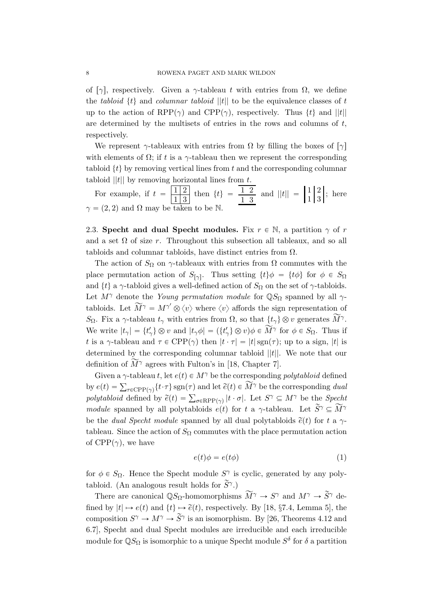of [ $\gamma$ ], respectively. Given a  $\gamma$ -tableau t with entries from  $\Omega$ , we define the tabloid  $\{t\}$  and columnar tabloid  $||t||$  to be the equivalence classes of t up to the action of RPP( $\gamma$ ) and CPP( $\gamma$ ), respectively. Thus  $\{t\}$  and  $||t||$ are determined by the multisets of entries in the rows and columns of  $t$ , respectively.

We represent  $\gamma$ -tableaux with entries from  $\Omega$  by filling the boxes of  $[\gamma]$ with elements of  $\Omega$ ; if t is a γ-tableau then we represent the corresponding tabloid  $\{t\}$  by removing vertical lines from t and the corresponding columnar tabloid  $||t||$  by removing horizontal lines from t.

For example, if  $t = \frac{12}{12}$  $\frac{1}{1} \begin{bmatrix} 2 \\ 3 \end{bmatrix}$  then  $\{t\} = \frac{1}{1} \begin{bmatrix} 2 \\ 3 \end{bmatrix}$  and  $||t|| = \begin{bmatrix} 1 & 2 \\ 1 & 3 \end{bmatrix}$ ; here  $\gamma = (2, 2)$  and  $\Omega$  may be taken to be N.

2.3. Specht and dual Specht modules. Fix  $r \in \mathbb{N}$ , a partition  $\gamma$  of r and a set  $\Omega$  of size r. Throughout this subsection all tableaux, and so all tabloids and columnar tabloids, have distinct entries from  $\Omega$ .

The action of  $S_{\Omega}$  on  $\gamma$ -tableaux with entries from  $\Omega$  commutes with the place permutation action of  $S_{[\gamma]}$ . Thus setting  $\{t\}\phi = \{t\phi\}$  for  $\phi \in S_{\Omega}$ and  $\{t\}$  a  $\gamma$ -tabloid gives a well-defined action of  $S_{\Omega}$  on the set of  $\gamma$ -tabloids. Let  $M^{\gamma}$  denote the *Young permutation module* for  $\mathbb{Q}S_{\Omega}$  spanned by all  $\gamma$ tabloids. Let  $\widetilde{M}^{\gamma} = M^{\gamma'} \otimes \langle v \rangle$  where  $\langle v \rangle$  affords the sign representation of  $S_{\Omega}$ . Fix a  $\gamma$ -tableau  $t_{\gamma}$  with entries from  $\Omega$ , so that  $\{t_{\gamma}\}\otimes v$  generates  $\widetilde{M}^{\gamma}$ . We write  $|t_{\gamma}| = \{t'_{\gamma}\}\otimes v$  and  $|t_{\gamma}\phi| = (\{t'_{\gamma}\}\otimes v)\phi \in \widetilde{M}^{\gamma}$  for  $\phi \in S_{\Omega}$ . Thus if t is a  $\gamma$ -tableau and  $\tau \in \text{CPP}(\gamma)$  then  $|t \cdot \tau| = |t| \operatorname{sgn}(\tau)$ ; up to a sign,  $|t|$  is determined by the corresponding columnar tabloid  $||t||$ . We note that our definition of  $\widetilde{M}^{\gamma}$  agrees with Fulton's in [18, Chapter 7].

Given a  $\gamma$ -tableau t, let  $e(t) \in M^{\gamma}$  be the corresponding polytabloid defined By  $e(t) = \sum_{\tau \in \text{CPP}(\gamma)} \{t \cdot \tau\} \operatorname{sgn}(\tau)$  and let  $\tilde{e}(t) \in \widetilde{M}^{\gamma}$  be the corresponding dual by  $e(t) = \sum_{\tau \in \text{CPP}(\gamma)} \{t \cdot \tau\} \text{sgn}(\tau)$  and let  $e(t) \in M$   $\tau$  be the corresponding *dual* polytabloid defined by  $\tilde{e}(t) = \sum_{\sigma \in \text{RPP}(\gamma)} |t \cdot \sigma|$ . Let  $S^{\gamma} \subseteq M^{\gamma}$  be the *Specht* module spanned by all polytabloids  $e(t)$  for t a γ-tableau. Let  $\widetilde{S}^{\gamma} \subseteq \widetilde{M}^{\gamma}$ be the *dual Specht module* spanned by all dual polytabloids  $\tilde{e}(t)$  for t a  $\gamma$ tableau. Since the action of  $S_{\Omega}$  commutes with the place permutation action of  $CPP(\gamma)$ , we have

$$
e(t)\phi = e(t\phi) \tag{1}
$$

for  $\phi \in S_{\Omega}$ . Hence the Specht module  $S^{\gamma}$  is cyclic, generated by any polytabloid. (An analogous result holds for  $\widetilde{S}^{\gamma}$ .)

There are canonical  $\mathbb{Q}S_{\Omega}$ -homomorphisms  $\widetilde{M}^{\gamma} \to S^{\gamma}$  and  $M^{\gamma} \to \widetilde{S}^{\gamma}$  defined by  $|t| \mapsto e(t)$  and  $\{t\} \mapsto \tilde{e}(t)$ , respectively. By [18, §7.4, Lemma 5], the composition  $S^{\gamma} \to M^{\gamma} \to \widetilde{S}^{\gamma}$  is an isomorphism. By [26, Theorems 4.12 and 6.7], Specht and dual Specht modules are irreducible and each irreducible module for  $\mathbb{Q}S_{\Omega}$  is isomorphic to a unique Specht module  $S^{\delta}$  for  $\delta$  a partition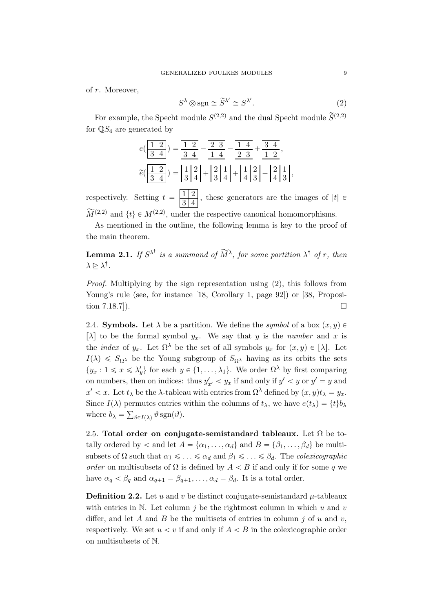of r. Moreover,

$$
S^{\lambda} \otimes \text{sgn} \cong \widetilde{S}^{\lambda'} \cong S^{\lambda'}.
$$
 (2)

For example, the Specht module  $S^{(2,2)}$  and the dual Specht module  $\widetilde{S}^{(2,2)}$ for  $\mathbb{Q}S_4$  are generated by

$$
e\left(\frac{1}{3}\frac{1}{4}\right) = \frac{1}{3}\frac{1}{4} - \frac{2}{3}\frac{1}{4} - \frac{1}{1}\frac{1}{4} + \frac{3}{1}\frac{1}{2},
$$
  

$$
\widetilde{e}\left(\frac{1}{3}\frac{1}{4}\right) = \begin{vmatrix} 1 & 2 \\ 3 & 4 \end{vmatrix} + \begin{vmatrix} 2 & 1 \\ 3 & 4 \end{vmatrix} + \begin{vmatrix} 1 & 2 \\ 3 & 4 \end{vmatrix} + \begin{vmatrix} 1 & 2 \\ 4 & 3 \end{vmatrix} + \begin{vmatrix} 2 & 1 \\ 4 & 3 \end{vmatrix},
$$

respectively. Setting  $t = \frac{1}{2}$  $\frac{1}{3}$ , these generators are the images of  $|t| \in$  $\widetilde{M}^{(2,2)}$  and  $\{t\} \in M^{(2,2)}$ , under the respective canonical homomorphisms.

As mentioned in the outline, the following lemma is key to the proof of the main theorem.

**Lemma 2.1.** If  $S^{\lambda^{\dagger}}$  is a summand of  $\widetilde{M}^{\lambda}$ , for some partition  $\lambda^{\dagger}$  of r, then  $\lambda \trianglerighteq \lambda^{\dagger}$ .

Proof. Multiplying by the sign representation using (2), this follows from Young's rule (see, for instance [18, Corollary 1, page 92]) or [38, Proposition 7.18.7]).  $\Box$ 

2.4. **Symbols.** Let  $\lambda$  be a partition. We define the *symbol* of a box  $(x, y)$ [ $\lambda$ ] to be the formal symbol  $y_x$ . We say that y is the number and x is the *index* of  $y_x$ . Let  $\Omega^{\lambda}$  be the set of all symbols  $y_x$  for  $(x, y) \in [\lambda]$ . Let  $I(\lambda) \leq S_{\Omega}$  be the Young subgroup of  $S_{\Omega}$  having as its orbits the sets  $\{y_x : 1 \leq x \leq \lambda'_y\}$  for each  $y \in \{1, \ldots, \lambda_1\}$ . We order  $\Omega^{\lambda}$  by first comparing on numbers, then on indices: thus  $y'_{x'} < y_x$  if and only if  $y' < y$  or  $y' = y$  and  $x' < x$ . Let  $t_{\lambda}$  be the  $\lambda$ -tableau with entries from  $\Omega^{\lambda}$  defined by  $(x, y)t_{\lambda} = y_x$ . Since  $I(\lambda)$  permutes entries within the columns of  $t_{\lambda}$ , we have  $e(t_{\lambda}) = \{t\}b_{\lambda}$ where  $b_{\lambda} = \sum_{\vartheta \in I(\lambda)} \vartheta \operatorname{sgn}(\vartheta)$ .

2.5. Total order on conjugate-semistandard tableaux. Let  $\Omega$  be totally ordered by  $\langle$  and let  $A = {\alpha_1, \ldots, \alpha_d}$  and  $B = {\beta_1, \ldots, \beta_d}$  be multisubsets of  $\Omega$  such that  $\alpha_1 \leq \ldots \leq \alpha_d$  and  $\beta_1 \leq \ldots \leq \beta_d$ . The *colexicographic* order on multisubsets of  $\Omega$  is defined by  $A < B$  if and only if for some q we have  $\alpha_q < \beta_q$  and  $\alpha_{q+1} = \beta_{q+1}, \ldots, \alpha_d = \beta_d$ . It is a total order.

**Definition 2.2.** Let u and v be distinct conjugate-semistandard  $\mu$ -tableaux with entries in N. Let column  $i$  be the rightmost column in which  $u$  and  $v$ differ, and let A and B be the multisets of entries in column j of u and v. respectively. We set  $u < v$  if and only if  $A < B$  in the colexicographic order on multisubsets of N.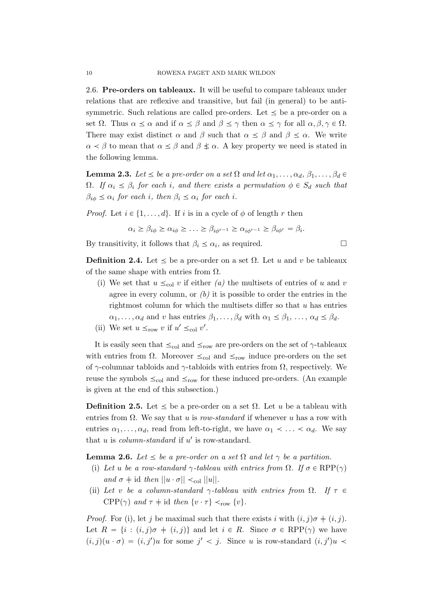2.6. Pre-orders on tableaux. It will be useful to compare tableaux under relations that are reflexive and transitive, but fail (in general) to be antisymmetric. Such relations are called pre-orders. Let  $\leq$  be a pre-order on a set  $\Omega$ . Thus  $\alpha \leq \alpha$  and if  $\alpha \leq \beta$  and  $\beta \leq \gamma$  then  $\alpha \leq \gamma$  for all  $\alpha, \beta, \gamma \in \Omega$ . There may exist distinct  $\alpha$  and  $\beta$  such that  $\alpha \leq \beta$  and  $\beta \leq \alpha$ . We write  $\alpha < \beta$  to mean that  $\alpha \leq \beta$  and  $\beta \not\leq \alpha$ . A key property we need is stated in the following lemma.

**Lemma 2.3.** Let  $\leq$  be a pre-order on a set  $\Omega$  and let  $\alpha_1, \ldots, \alpha_d, \beta_1, \ldots, \beta_d \in$  $\Omega$ . If  $\alpha_i \leq \beta_i$  for each i, and there exists a permutation  $\phi \in S_d$  such that  $\beta_{i\phi} \leq \alpha_i$  for each i, then  $\beta_i \leq \alpha_i$  for each i.

*Proof.* Let  $i \in \{1, \ldots, d\}$ . If i is in a cycle of  $\phi$  of length r then

$$
\alpha_i \geq \beta_{i\phi} \geq \alpha_{i\phi} \geq \ldots \geq \beta_{i\phi^{r-1}} \geq \alpha_{i\phi^{r-1}} \geq \beta_{i\phi^{r}} = \beta_i.
$$

By transitivity, it follows that  $\beta_i \leq \alpha_i$ , as required.

**Definition 2.4.** Let  $\leq$  be a pre-order on a set  $\Omega$ . Let u and v be tableaux of the same shape with entries from  $\Omega$ .

- (i) We set that  $u \leq_{\text{col}} v$  if either (a) the multisets of entries of u and v agree in every column, or  $(b)$  it is possible to order the entries in the rightmost column for which the multisets differ so that u has entries  $\alpha_1, \ldots, \alpha_d$  and v has entries  $\beta_1, \ldots, \beta_d$  with  $\alpha_1 \leq \beta_1, \ldots, \alpha_d \leq \beta_d$ .
- (ii) We set  $u \leq_{\text{row}} v$  if  $u' \leq_{\text{col}} v'$ .

It is easily seen that  $\leq_{\text{col}}$  and  $\leq_{\text{row}}$  are pre-orders on the set of  $\gamma$ -tableaux with entries from  $\Omega$ . Moreover  $\leq_{\text{col}}$  and  $\leq_{\text{row}}$  induce pre-orders on the set of  $\gamma$ -columnar tabloids and  $\gamma$ -tabloids with entries from  $\Omega$ , respectively. We reuse the symbols  $\leq_{\text{col}}$  and  $\leq_{\text{row}}$  for these induced pre-orders. (An example is given at the end of this subsection.)

**Definition 2.5.** Let  $\leq$  be a pre-order on a set  $\Omega$ . Let u be a tableau with entries from  $\Omega$ . We say that u is row-standard if whenever u has a row with entries  $\alpha_1, \ldots, \alpha_d$ , read from left-to-right, we have  $\alpha_1 \prec \ldots \prec \alpha_d$ . We say that  $u$  is *column-standard* if  $u'$  is row-standard.

**Lemma 2.6.** Let  $\leq$  be a pre-order on a set  $\Omega$  and let  $\gamma$  be a partition.

- (i) Let u be a row-standard  $\gamma$ -tableau with entries from  $\Omega$ . If  $\sigma \in \text{RPP}(\gamma)$ and  $\sigma \neq id$  then  $||u \cdot \sigma|| \lt_{\text{col}} ||u||$ .
- (ii) Let v be a column-standard  $\gamma$ -tableau with entries from  $\Omega$ . If  $\tau \in$  $CPP(\gamma)$  and  $\tau \neq id$  then  $\{v \cdot \tau\} \prec_{\text{row}} \{v\}.$

*Proof.* For (i), let j be maximal such that there exists i with  $(i, j)\sigma \neq (i, j)$ . Let  $R = \{i : (i, j)\sigma \neq (i, j)\}\$  and let  $i \in R$ . Since  $\sigma \in RPP(\gamma)$  we have  $(i, j)(u \cdot \sigma) = (i, j')u$  for some  $j' < j$ . Since u is row-standard  $(i, j')u$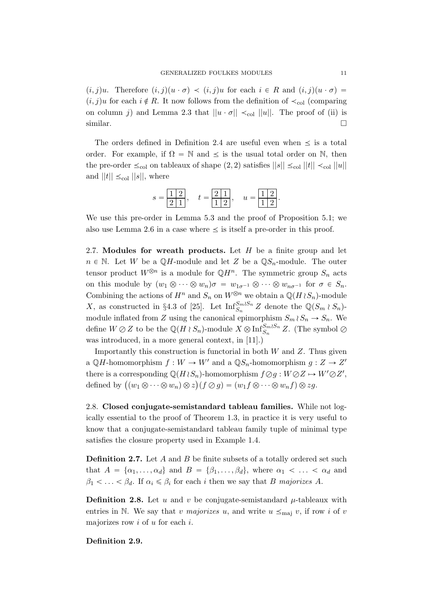$(i, j)u$ . Therefore  $(i, j)(u \cdot \sigma) \prec (i, j)u$  for each  $i \in R$  and  $(i, j)(u \cdot \sigma) =$  $(i, j)u$  for each  $i \notin R$ . It now follows from the definition of  $\prec_{\text{col}}$  (comparing on column j) and Lemma 2.3 that  $||u \cdot \sigma|| \prec_{\text{col}} ||u||$ . The proof of (ii) is  $\Box$ similar.

The orders defined in Definition 2.4 are useful even when  $\leq$  is a total order. For example, if  $\Omega = \mathbb{N}$  and  $\leq$  is the usual total order on  $\mathbb{N}$ , then the pre-order  $\leq_{\text{col}}$  on tableaux of shape  $(2, 2)$  satisfies  $||s|| \leq_{\text{col}} ||t|| \leq_{\text{col}} ||u||$ and  $||t|| \leq_{\text{col}} ||s||$ , where

$$
s = \boxed{\frac{1}{2} \ \frac{2}{1}}, \quad t = \boxed{\frac{2}{1} \ \frac{1}{2}}, \quad u = \boxed{\frac{1}{1} \ \frac{2}{2}}.
$$

We use this pre-order in Lemma 5.3 and the proof of Proposition 5.1; we also use Lemma 2.6 in a case where  $\leq$  is itself a pre-order in this proof.

2.7. Modules for wreath products. Let  $H$  be a finite group and let  $n \in \mathbb{N}$ . Let W be a QH-module and let Z be a QS<sub>n</sub>-module. The outer tensor product  $W^{\otimes n}$  is a module for  $\mathbb{Q}H^n$ . The symmetric group  $S_n$  acts on this module by  $(w_1 \otimes \cdots \otimes w_n)\sigma = w_{1\sigma^{-1}} \otimes \cdots \otimes w_{n\sigma^{-1}}$  for  $\sigma \in S_n$ . Combining the actions of  $H^n$  and  $S_n$  on  $W^{\otimes n}$  we obtain a  $\mathbb{Q}(H \wr S_n)$ -module X, as constructed in §4.3 of [25]. Let  $\text{Inf}_{S_n}^{S_m \wr S_n} Z$  denote the  $\mathbb{Q}(S_m \wr S_n)$ module inflated from Z using the canonical epimorphism  $S_m \wr S_n \to S_n$ . We define  $W \oslash Z$  to be the  $\mathbb{Q}(H \wr S_n)$ -module  $X \otimes \text{Inf}_{S_n}^{S_m \wr S_n} Z$ . (The symbol  $\oslash$ was introduced, in a more general context, in [11].)

Importantly this construction is functorial in both  $W$  and  $Z$ . Thus given a  $\mathbb{Q}H$ -homomorphism  $f: W \to W'$  and a  $\mathbb{Q}S_n$ -homomorphism  $g: Z \to Z'$ there is a corresponding  $\mathbb{Q}(H \wr S_n)$ -homomorphism  $f \oslash g : W \oslash Z \mapsto W' \oslash Z'$ , there is a corresponding  $\mathbb{Q}(H \wr S_n)$ -nomomorphism  $f \oslash g : W \oslash Z \mapsto$ <br>defined by  $\big((w_1 \otimes \cdots \otimes w_n) \otimes z\big)(f \oslash g) = (w_1 f \otimes \cdots \otimes w_n f) \otimes zg.$ 

2.8. Closed conjugate-semistandard tableau families. While not logically essential to the proof of Theorem 1.3, in practice it is very useful to know that a conjugate-semistandard tableau family tuple of minimal type satisfies the closure property used in Example 1.4.

**Definition 2.7.** Let  $A$  and  $B$  be finite subsets of a totally ordered set such that  $A = {\alpha_1, \ldots, \alpha_d}$  and  $B = {\beta_1, \ldots, \beta_d}$ , where  $\alpha_1 < \ldots < \alpha_d$  and  $\beta_1 < \ldots < \beta_d$ . If  $\alpha_i \leq \beta_i$  for each i then we say that B majorizes A.

**Definition 2.8.** Let u and v be conjugate-semistandard  $\mu$ -tableaux with entries in N. We say that v majorizes u, and write  $u \leq_{\text{maj}} v$ , if row i of v majorizes row  $i$  of  $u$  for each  $i$ .

Definition 2.9.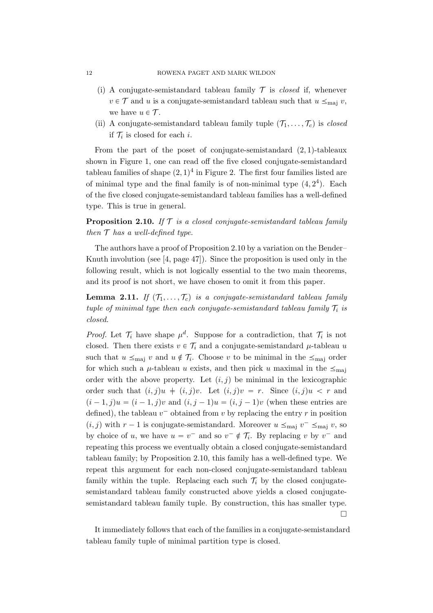- (i) A conjugate-semistandard tableau family  $\mathcal T$  is *closed* if, whenever  $v \in \mathcal{T}$  and u is a conjugate-semistandard tableau such that  $u \leq_{\text{maj}} v$ , we have  $u \in \mathcal{T}$ .
- (ii) A conjugate-semistandard tableau family tuple  $(\mathcal{T}_1, \ldots, \mathcal{T}_c)$  is closed if  $\mathcal{T}_i$  is closed for each *i*.

From the part of the poset of conjugate-semistandard  $(2, 1)$ -tableaux shown in Figure 1, one can read off the five closed conjugate-semistandard tableau families of shape  $(2, 1)^4$  in Figure 2. The first four families listed are of minimal type and the final family is of non-minimal type  $(4, 2<sup>4</sup>)$ . Each of the five closed conjugate-semistandard tableau families has a well-defined type. This is true in general.

**Proposition 2.10.** If  $T$  is a closed conjugate-semistandard tableau family then  $\mathcal T$  has a well-defined type.

The authors have a proof of Proposition 2.10 by a variation on the Bender– Knuth involution (see [4, page 47]). Since the proposition is used only in the following result, which is not logically essential to the two main theorems, and its proof is not short, we have chosen to omit it from this paper.

**Lemma 2.11.** If  $(T_1, \ldots, T_c)$  is a conjugate-semistandard tableau family tuple of minimal type then each conjugate-semistandard tableau family  $\mathcal{T}_i$  is closed.

*Proof.* Let  $\mathcal{T}_i$  have shape  $\mu^d$ . Suppose for a contradiction, that  $\mathcal{T}_i$  is not closed. Then there exists  $v \in \mathcal{T}_i$  and a conjugate-semistandard  $\mu$ -tableau u such that  $u \leq_{\text{maj}} v$  and  $u \notin \mathcal{T}_i$ . Choose v to be minimal in the  $\leq_{\text{maj}}$  order for which such a  $\mu$ -tableau u exists, and then pick u maximal in the  $\leq_{\text{maj}}$ order with the above property. Let  $(i, j)$  be minimal in the lexicographic order such that  $(i, j)u + (i, j)v$ . Let  $(i, j)v = r$ . Since  $(i, j)u < r$  and  $(i - 1, j)u = (i - 1, j)v$  and  $(i, j - 1)u = (i, j - 1)v$  (when these entries are defined), the tableau  $v^-$  obtained from v by replacing the entry r in position  $(i, j)$  with  $r - 1$  is conjugate-semistandard. Moreover  $u \leq_{\text{maj}} v^- \leq_{\text{maj}} v$ , so by choice of u, we have  $u = v^-$  and so  $v^- \notin \mathcal{T}_i$ . By replacing v by  $v^-$  and repeating this process we eventually obtain a closed conjugate-semistandard tableau family; by Proposition 2.10, this family has a well-defined type. We repeat this argument for each non-closed conjugate-semistandard tableau family within the tuple. Replacing each such  $\mathcal{T}_i$  by the closed conjugatesemistandard tableau family constructed above yields a closed conjugatesemistandard tableau family tuple. By construction, this has smaller type.  $\Box$ 

It immediately follows that each of the families in a conjugate-semistandard tableau family tuple of minimal partition type is closed.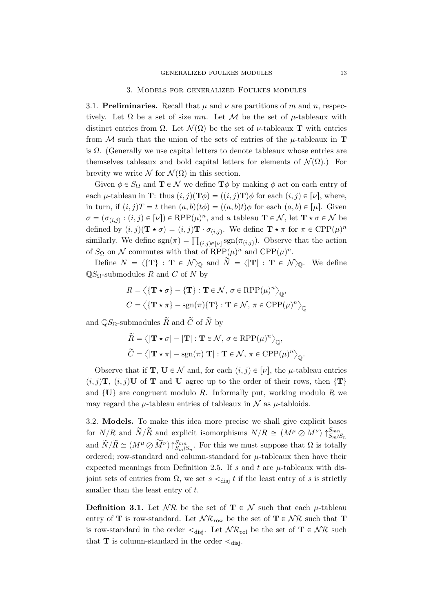#### 3. Models for generalized Foulkes modules

3.1. Preliminaries. Recall that  $\mu$  and  $\nu$  are partitions of m and n, respectively. Let  $\Omega$  be a set of size mn. Let M be the set of  $\mu$ -tableaux with distinct entries from  $\Omega$ . Let  $\mathcal{N}(\Omega)$  be the set of *ν*-tableaux **T** with entries from M such that the union of the sets of entries of the  $\mu$ -tableaux in **T** is  $\Omega$ . (Generally we use capital letters to denote tableaux whose entries are themselves tableaux and bold capital letters for elements of  $\mathcal{N}(\Omega)$ .) For brevity we write  $\mathcal N$  for  $\mathcal N(\Omega)$  in this section.

Given  $\phi \in S_{\Omega}$  and  $\mathbf{T} \in \mathcal{N}$  we define  $\mathbf{T}\phi$  by making  $\phi$  act on each entry of each  $\mu$ -tableau in **T**: thus  $(i, j)(\mathbf{T}\phi) = ((i, j)\mathbf{T})\phi$  for each  $(i, j) \in [\nu]$ , where, in turn, if  $(i, j)T = t$  then  $(a, b)(t\phi) = ((a, b)t)\phi$  for each  $(a, b) \in [\mu]$ . Given  $\sigma = (\sigma_{(i,j)} : (i,j) \in [\nu]) \in \mathrm{RPP}(\mu)^n$ , and a tableau  $\mathbf{T} \in \mathcal{N}$ , let  $\mathbf{T} \star \sigma \in \mathcal{N}$  be defined by  $(i, j)(\mathbf{T} \star \sigma) = (i, j)\mathbf{T} \cdot \sigma_{(i,j)}$ . We define  $\mathbf{T} \star \pi$  for  $\pi \in \text{CPP}(\mu)^n$ defined by  $(i, j)$  ( $\mathbf{1} \star \sigma$ ) =  $(i, j)$   $\mathbf{1} \cdot \sigma_{(i,j)}$ . We define  $\mathbf{1} \star \pi$  for  $\pi \in \text{CFF}(\mu)$ <br>similarly. We define  $\text{sgn}(\pi) = \prod_{(i,j) \in [\nu]} \text{sgn}(\pi_{(i,j)})$ . Observe that the action of  $S_{\Omega}$  on N commutes with that of  $\text{RPP}(\mu)^n$  and  $\text{CPP}(\mu)^n$ .

Define  $N = \langle {\{T\}} : T \in \mathcal{N} \rangle_{\mathbb{Q}}$  and  $\widetilde{N} = \langle |T| : T \in \mathcal{N} \rangle_{\mathbb{Q}}$ . We define  $\mathbb{Q}S_{\Omega}$ -submodules R and C of N by

$$
R = \langle {\bf T} \star \sigma \rangle - {\bf T} : {\bf T} \in \mathcal{N}, \sigma \in \text{RPP}(\mu)^n \rangle_{\mathbb{Q}},
$$
  

$$
C = \langle {\bf T} \star \pi \rangle - \text{sgn}(\pi) {\bf T} : {\bf T} \in \mathcal{N}, \pi \in \text{CPP}(\mu)^n \rangle_{\mathbb{Q}}
$$

and  $\mathbb{Q}S_{\Omega}$ -submodules  $\widetilde{R}$  and  $\widetilde{C}$  of  $\widetilde{N}$  by

$$
\widetilde{R} = \langle |\mathbf{T} \star \sigma| - |\mathbf{T}| : \mathbf{T} \in \mathcal{N}, \sigma \in \text{RPP}(\mu)^n \rangle_{\mathbb{Q}},
$$

$$
\widetilde{C} = \langle |\mathbf{T} \star \pi| - \text{sgn}(\pi) | \mathbf{T} | : \mathbf{T} \in \mathcal{N}, \pi \in \text{CPP}(\mu)^n \rangle_{\mathbb{Q}}.
$$

Observe that if **T**,  $\mathbf{U} \in \mathcal{N}$  and, for each  $(i, j) \in [\nu]$ , the  $\mu$ -tableau entries  $(i, j)$ **T**,  $(i, j)$ **U** of **T** and **U** agree up to the order of their rows, then  $\{T\}$ and  $\{U\}$  are congruent modulo R. Informally put, working modulo R we may regard the  $\mu$ -tableau entries of tableaux in  $\mathcal N$  as  $\mu$ -tabloids.

3.2. Models. To make this idea more precise we shall give explicit bases for  $N/R$  and  $\widetilde{N}/\widetilde{R}$  and explicit isomorphisms  $N/R \cong (M^{\mu} \otimes M^{\nu}) \uparrow_{S_m \wr S_n}^{S_{mn}}$ and  $\widetilde{N}/\widetilde{R} \cong (M^{\mu} \oslash \widetilde{M}^{\nu}) \uparrow_{SmlSn}^{Smn}$ . For this we must suppose that  $\Omega$  is totally ordered; row-standard and column-standard for  $\mu$ -tableaux then have their expected meanings from Definition 2.5. If s and t are  $\mu$ -tableaux with disjoint sets of entries from  $\Omega$ , we set  $s \lt_{\text{disj}} t$  if the least entry of s is strictly smaller than the least entry of  $t$ .

**Definition 3.1.** Let  $\mathcal{NR}$  be the set of  $\mathbf{T} \in \mathcal{N}$  such that each  $\mu$ -tableau entry of **T** is row-standard. Let  $N\mathcal{R}_{row}$  be the set of **T**  $\in$  NR such that **T** is row-standard in the order  $\leq_{\text{disi}}$ . Let  $\mathcal{NR}_{\text{col}}$  be the set of  $\mathbf{T} \in \mathcal{NR}$  such that **T** is column-standard in the order  $\leq_{\text{disi}}$ .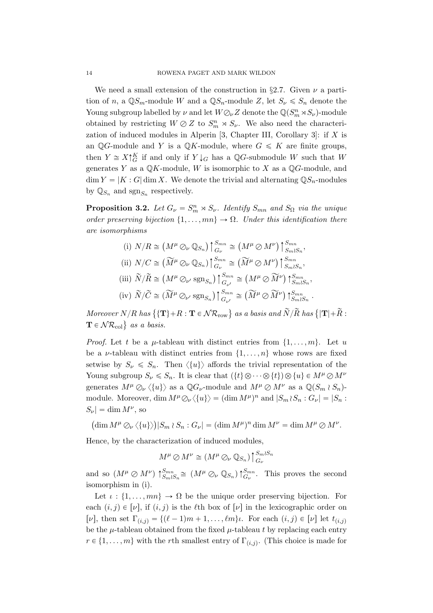We need a small extension of the construction in §2.7. Given  $\nu$  a partition of n, a  $\mathbb{Q}S_m$ -module W and a  $\mathbb{Q}S_n$ -module Z, let  $S_\nu \leq S_n$  denote the Young subgroup labelled by  $\nu$  and let  $W\mathcal{O}_{\nu}Z$  denote the  $\mathbb{Q}(S_m^n\rtimes S_{\nu})$ -module obtained by restricting  $W \oslash Z$  to  $S_m^n \rtimes S_{\nu}$ . We also need the characterization of induced modules in Alperin [3, Chapter III, Corollary 3]: if  $X$  is an QG-module and Y is a QK-module, where  $G \leq K$  are finite groups, then  $Y \cong X \uparrow_G^K$  if and only if  $Y \downarrow_G$  has a QG-submodule W such that W generates Y as a  $\mathbb{Q}K$ -module, W is isomorphic to X as a  $\mathbb{Q}G$ -module, and  $\dim Y = |K : G| \dim X$ . We denote the trivial and alternating  $\mathbb{Q}S_n$ -modules by  $\mathbb{Q}_{S_n}$  and  $\text{sgn}_{S_n}$  respectively.

**Proposition 3.2.** Let  $G_{\nu} = S_m^n \rtimes S_{\nu}$ . Identify  $S_{mn}$  and  $S_{\Omega}$  via the unique order preserving bijection  $\{1, \ldots, mn\} \rightarrow \Omega$ . Under this identification there are isomorphisms

(i) 
$$
N/R \cong (M^{\mu} \oslash_{\nu} \mathbb{Q}_{S_n}) \upharpoonright_{G_{\nu}}^{S_{mn}} \cong (M^{\mu} \oslash M^{\nu}) \upharpoonright_{S_m \wr S_n}^{S_{mn}},
$$
  
\n(ii)  $N/C \cong (\widetilde{M}^{\mu} \oslash_{\nu} \mathbb{Q}_{S_n}) \upharpoonright_{G_{\nu}}^{S_{mn}} \cong (\widetilde{M}^{\mu} \oslash M^{\nu}) \upharpoonright_{S_m \wr S_n}^{S_{mn}},$   
\n(iii)  $\widetilde{N}/\widetilde{R} \cong (M^{\mu} \oslash_{\nu'} \text{sgn}_{S_n}) \upharpoonright_{G_{\nu'}}^{S_{mn}} \cong (M^{\mu} \oslash \widetilde{M}^{\nu}) \upharpoonright_{S_m \wr S_n}^{S_{mn}},$   
\n(iv)  $\widetilde{N}/\widetilde{C} \cong (\widetilde{M}^{\mu} \oslash_{\nu'} \text{sgn}_{S_n}) \upharpoonright_{G_{\nu'}}^{S_{mn}} \cong (\widetilde{M}^{\mu} \oslash \widetilde{M}^{\nu}) \upharpoonright_{S_m \wr S_n}^{S_{mn}}$ 

Moreover  $N/R$  has  $\{ {\bf T} \}+R : {\bf T} \in {\cal NR}_{\rm row} \}$  as a basis and  $\widetilde{N}/\widetilde{R}$  has  $\{ |{\bf T}| + \widetilde{R} : R \in {\cal NR}_{\rm row} \}$ Moreover  $N/R$  has  $\{T \}$ <br> $\mathbf{T} \in \mathcal{NR}_{\mathrm{col}}\}$  as a basis.

.

*Proof.* Let t be a  $\mu$ -tableau with distinct entries from  $\{1, \ldots, m\}$ . Let u be a *v*-tableau with distinct entries from  $\{1, \ldots, n\}$  whose rows are fixed setwise by  $S_{\nu} \leq S_n$ . Then  $\langle \{u\} \rangle$  affords the trivial representation of the Young subgroup  $S_{\nu} \leq S_n$ . It is clear that  $(\{t\} \otimes \cdots \otimes \{t\}) \otimes \{u\} \in M^{\mu} \otimes M^{\nu}$ generates  $M^{\mu} \mathcal{O}_{\nu} \langle \{u\} \rangle$  as a  $\mathbb{Q}G_{\nu}$ -module and  $M^{\mu} \mathcal{O} M^{\nu}$  as a  $\mathbb{Q}(S_m \wr S_n)$ module. Moreover, dim  $M^{\mu}\mathcal{O}_{\nu}\langle\{u\}\rangle = (\dim M^{\mu})^n$  and  $|S_m \wr S_n : G_{\nu}| = |S_n :$  $|S_{\nu}| = \dim M^{\nu}$ , so

$$
(\dim M^{\mu} \otimes_{\nu} \langle \{u\} \rangle)|S_m \wr S_n : G_{\nu}| = (\dim M^{\mu})^n \dim M^{\nu} = \dim M^{\mu} \otimes M^{\nu}.
$$

Hence, by the characterization of induced modules,

$$
M^{\mu} \oslash M^{\nu} \cong (M^{\mu} \oslash_{\nu} \mathbb{Q}_{S_n}) \uparrow_{G_{\nu}}^{S_m \wr S_n}
$$

and so  $(M^{\mu} \oslash M^{\nu})$   $\uparrow_{S_m \wr S_n}^{S_{mn}} \cong (M^{\mu} \oslash_{\nu} \mathbb{Q}_{S_n}) \uparrow_{G_{\nu}}^{S_{mn}}$ . This proves the second isomorphism in (i).

Let  $\iota : \{1, \ldots, mn\} \to \Omega$  be the unique order preserving bijection. For each  $(i, j) \in [\nu]$ , if  $(i, j)$  is the  $\ell$ th box of  $[\nu]$  in the lexicographic order on [v], then set  $\Gamma_{(i,j)} = \{ (\ell - 1)m + 1, \ldots, \ell m \}$ . For each  $(i, j) \in [\nu]$  let  $t_{(i,j)}$ be the  $\mu$ -tableau obtained from the fixed  $\mu$ -tableau t by replacing each entry  $r \in \{1, \ldots, m\}$  with the rth smallest entry of  $\Gamma_{(i,j)}$ . (This choice is made for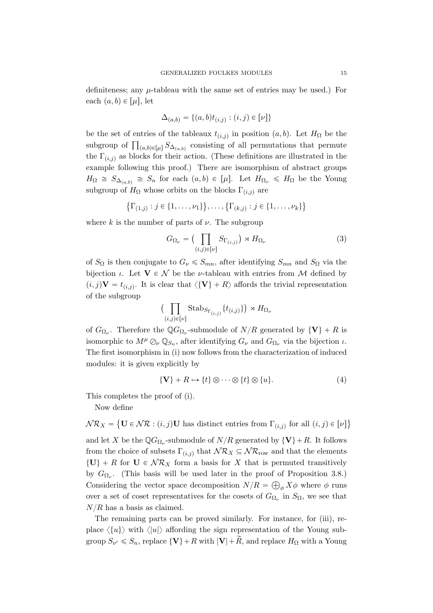definiteness; any  $\mu$ -tableau with the same set of entries may be used.) For each  $(a, b) \in [\mu]$ , let

$$
\Delta_{(a,b)} = \{(a,b)t_{(i,j)} : (i,j) \in [\nu]\}
$$

be the set of entries of the tableaux  $t_{(i,j)}$  in position  $(a, b)$ . Let  $H_{\Omega}$  be the be the set of entries of the tableaux  $\iota_{(i,j)}$  in position  $(a, o)$ . Let  $H_{\Omega}$  be the subgroup of  $\prod_{(a,b)\in[\mu]} S_{\Delta_{(a,b)}}$  consisting of all permutations that permute the  $\Gamma_{(i,j)}$  as blocks for their action. (These definitions are illustrated in the example following this proof.) There are isomorphism of abstract groups  $H_{\Omega} \cong S_{\Delta_{(a,b)}} \cong S_n$  for each  $(a,b) \in [\mu]$ . Let  $H_{\Omega_{\nu}} \leq H_{\Omega}$  be the Young subgroup of  $H_{\Omega}$  whose orbits on the blocks  $\Gamma_{(i,j)}$  are

$$
\{\Gamma_{(1,j)} : j \in \{1, \ldots, \nu_1\}\}, \ldots, \{\Gamma_{(k,j)} : j \in \{1, \ldots, \nu_k\}\}\
$$

where k is the number of parts of  $\nu$ . The subgroup

$$
G_{\Omega_{\nu}} = \left(\prod_{(i,j)\in[\nu]} S_{\Gamma_{(i,j)}}\right) \rtimes H_{\Omega_{\nu}} \tag{3}
$$

of  $S_{\Omega}$  is then conjugate to  $G_{\nu} \leq S_{mn}$ , after identifying  $S_{mn}$  and  $S_{\Omega}$  via the bijection  $\iota$ . Let  $\mathbf{V} \in \mathcal{N}$  be the *ν*-tableau with entries from M defined by  $(i, j)$ **V** =  $t_{(i,j)}$ . It is clear that  $\langle {\bf{V}} \rangle$  + R $\rangle$  affords the trivial representation of the subgroup  $\overline{z}$ 

$$
\Bigl(\prod_{(i,j)\in[\nu]} \operatorname{Stab}_{S_{\Gamma_{\left(i,j\right)}}}\{t_{\left(i,j\right)}\}\Bigr)\rtimes H_{\Omega_{\nu}}
$$

of  $G_{\Omega_{\nu}}$ . Therefore the  $\mathbb{Q}G_{\Omega_{\nu}}$ -submodule of  $N/R$  generated by  $\{V\} + R$  is isomorphic to  $M^{\mu} \mathcal{O}_{\nu} \mathbb{Q}_{S_n}$ , after identifying  $G_{\nu}$  and  $G_{\Omega_{\nu}}$  via the bijection  $\iota$ . The first isomorphism in (i) now follows from the characterization of induced modules: it is given explicitly by

$$
\{V\} + R \mapsto \{t\} \otimes \cdots \otimes \{t\} \otimes \{u\}.
$$
 (4)

This completes the proof of (i).

Now define

 $\mathcal{NR}_X = \{ \mathbf{U} \in \mathcal{NR} : (i, j)\mathbf{U} \text{ has distinct entries from } \Gamma_{(i,j)} \text{ for all } (i, j) \in [\nu] \}$  $\mathbf{r}$  $\mathbf{r}$ 

and let X be the  $\mathbb{Q}G_{\Omega_{\nu}}$ -submodule of  $N/R$  generated by  $\{V\}+R$ . It follows from the choice of subsets  $\Gamma_{(i,j)}$  that  $\mathcal{NR}_X \subseteq \mathcal{NR}_{\text{row}}$  and that the elements  $\{U\} + R$  for  $U \in \mathcal{NR}_X$  form a basis for X that is permuted transitively by  $G_{\Omega_{\nu}}$ . (This basis will be used later in the proof of Proposition 3.8.) Considering the vector space decomposition  $N/R = \bigoplus_{\phi} X\phi$  where  $\phi$  runs over a set of coset representatives for the cosets of  $G_{\Omega_{\nu}}$  in  $S_{\Omega}$ , we see that  $N/R$  has a basis as claimed.

The remaining parts can be proved similarly. For instance, for (iii), replace  $\langle \{u\} \rangle$  with  $\langle |u| \rangle$  affording the sign representation of the Young subgroup  $S_{\nu} \leq S_n$ , replace  $\{V\} + R$  with  $|V| + \tilde{R}$ , and replace  $H_{\Omega}$  with a Young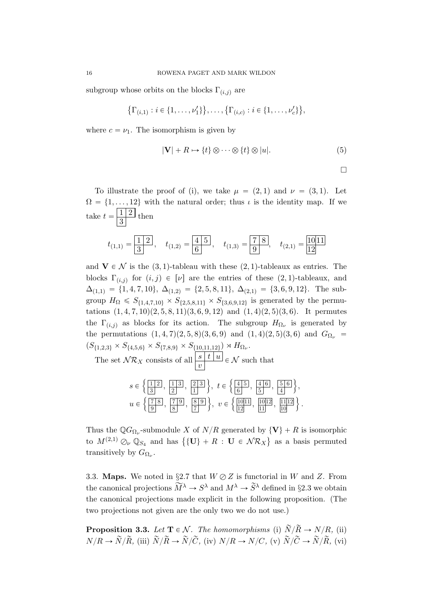subgroup whose orbits on the blocks  $\Gamma_{(i,j)}$  are

 $\mathcal{L}$  $\Gamma_{(i,1)} : i \in \{1, \ldots, \nu_1'\}$  $\}, \ldots, \{\Gamma_{(i,c)} : i \in \{1, \ldots, \nu_c'\}\}$ ,

where  $c = \nu_1$ . The isomorphism is given by

$$
|\mathbf{V}| + R \mapsto \{t\} \otimes \cdots \otimes \{t\} \otimes |u|. \tag{5}
$$

 $\Box$ 

To illustrate the proof of (i), we take  $\mu = (2, 1)$  and  $\nu = (3, 1)$ . Let  $\Omega = \{1, \ldots, 12\}$  with the natural order; thus  $\iota$  is the identity map. If we take  $t = \frac{1}{2}$  $\frac{1}{3}$  then

$$
t_{(1,1)} = \frac{\boxed{1\ 2}}{3}, \quad t_{(1,2)} = \frac{\boxed{4\ 5}}{6}, \quad t_{(1,3)} = \frac{\boxed{7\ 8}}{9}, \quad t_{(2,1)} = \frac{\boxed{10\cancel{11}}}{\cancel{12}}
$$

and  $V \in \mathcal{N}$  is the (3, 1)-tableau with these (2, 1)-tableaux as entries. The blocks  $\Gamma_{(i,j)}$  for  $(i,j) \in [\nu]$  are the entries of these  $(2, 1)$ -tableaux, and  $\Delta_{(1,1)} = \{1, 4, 7, 10\}, \ \Delta_{(1,2)} = \{2, 5, 8, 11\}, \ \Delta_{(2,1)} = \{3, 6, 9, 12\}.$  The subgroup  $H_{\Omega} \leq S_{\{1,4,7,10\}} \times S_{\{2,5,8,11\}} \times S_{\{3,6,9,12\}}$  is generated by the permutations  $(1, 4, 7, 10)(2, 5, 8, 11)(3, 6, 9, 12)$  and  $(1, 4)(2, 5)(3, 6)$ . It permutes the  $\Gamma_{(i,j)}$  as blocks for its action. The subgroup  $H_{\Omega_{\nu}}$  is generated by the permutations  $(1, 4, 7)(2, 5, 8)(3, 6, 9)$  and  $(1, 4)(2, 5)(3, 6)$  and  $G_{\Omega_{\nu}} =$  $(S_{\{1,2,3\}} \times S_{\{4,5,6\}} \times S_{\{7,8,9\}} \times S_{\{10,11,12\}}) \rtimes H_{\Omega_{\nu}}.$ 

The set  $\mathcal{NR}_X$  consists of all  $\frac{|s|}{|v|} t |u| \in \mathcal{N}$  such that

|  |  | $s \in \left\{ \frac{1}{3}, \frac{1}{2}, \frac{1}{3}, \frac{2}{1}, \frac{2}{1}, \frac{3}{1} \right\}, t \in \left\{ \frac{4}{6}, \frac{5}{5}, \frac{6}{4}, \frac{5}{4}, \frac{6}{4} \right\},$     |  |
|--|--|----------------------------------------------------------------------------------------------------------------------------------------------------------------------------------------------------|--|
|  |  | $u \in \left\{ \frac{7}{9}, \frac{8}{8}, \frac{7}{7}, \frac{9}{7}, \frac{8}{7}, \frac{9}{7} \right\}, v \in \left\{ \frac{10}{11}, \frac{10}{11}, \frac{11}{10} \right\}, \frac{11}{10} \right\}.$ |  |

Thus the  $\mathbb{Q}G_{\Omega_{\nu}}$ -submodule X of  $N/R$  generated by  $\{V\} + R$  is isomorphic Thus the  $\mathbb{Q}G_{\Omega_{\nu}}$ -submodule  $\Lambda$  of  $N/R$  generated by  $\{V\} + R$  is isomorphic<br>to  $M^{(2,1)} \oslash_{\nu} \mathbb{Q}_{S_4}$  and has  $\{\{U\} + R : U \in \mathcal{NR}_X\}$  as a basis permuted transitively by  $G_{\Omega_{\nu}}$ .

3.3. Maps. We noted in §2.7 that  $W \oslash Z$  is functorial in W and Z. From the canonical projections  $\widetilde{M}^{\lambda} \to S^{\lambda}$  and  $M^{\lambda} \to \widetilde{S}^{\lambda}$  defined in §2.3 we obtain the canonical projections made explicit in the following proposition. (The two projections not given are the only two we do not use.)

**Proposition 3.3.** Let  $\mathbf{T} \in \mathcal{N}$ . The homomorphisms (i)  $\widetilde{N}/\widetilde{R} \rightarrow N/R$ , (ii)  $N/R \rightarrow \tilde{N}/\tilde{R}$ , (iii)  $\tilde{N}/\tilde{R} \rightarrow \tilde{N}/\tilde{C}$ , (iv)  $N/R \rightarrow N/C$ , (v)  $\tilde{N}/\tilde{C} \rightarrow \tilde{N}/\tilde{R}$ , (vi)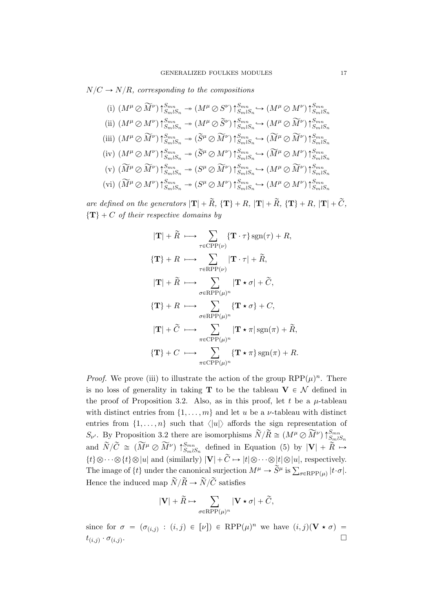$N/C \rightarrow N/R$ , corresponding to the compositions

(i) 
$$
(M^{\mu} \oslash \widetilde{M}^{\nu}) \uparrow_{S_m \wr S_n}^{S_{mn}} \rightarrow (M^{\mu} \oslash S^{\nu}) \uparrow_{S_m \wr S_n}^{S_{mn}} \rightarrow (M^{\mu} \oslash M^{\nu}) \uparrow_{S_m \wr S_n}^{S_{mn}}
$$
  
\n(ii)  $(M^{\mu} \oslash M^{\nu}) \uparrow_{S_m \wr S_n}^{S_{mn}} \rightarrow (M^{\mu} \oslash \widetilde{S}^{\nu}) \uparrow_{S_m \wr S_n}^{S_{mn}} \rightarrow (M^{\mu} \oslash \widetilde{M}^{\nu}) \uparrow_{S_m \wr S_n}^{S_{mn}}$   
\n(iii)  $(M^{\mu} \oslash \widetilde{M}^{\nu}) \uparrow_{S_m \wr S_n}^{S_{mn}} \rightarrow (\widetilde{S}^{\mu} \oslash \widetilde{M}^{\nu}) \uparrow_{S_m \wr S_n}^{S_{mn}} \rightarrow (\widetilde{M}^{\mu} \oslash \widetilde{M}^{\nu}) \uparrow_{S_m \wr S_n}^{S_{mn}}$   
\n(iv)  $(M^{\mu} \oslash M^{\nu}) \uparrow_{S_m \wr S_n}^{S_{mn}} \rightarrow (\widetilde{S}^{\mu} \oslash M^{\nu}) \uparrow_{S_m \wr S_n}^{S_{mn}} \rightarrow (\widetilde{M}^{\mu} \oslash M^{\nu}) \uparrow_{S_m \wr S_n}^{S_{mn}}$   
\n(v)  $(\widetilde{M}^{\mu} \oslash \widetilde{M}^{\nu}) \uparrow_{S_m \wr S_n}^{S_{mn}} \rightarrow (S^{\mu} \oslash \widetilde{M}^{\nu}) \uparrow_{S_m \wr S_n}^{S_{mn}} \rightarrow (M^{\mu} \oslash \widetilde{M}^{\nu}) \uparrow_{S_m \wr S_n}^{S_{mn}}$   
\n(vi)  $(\widetilde{M}^{\mu} \oslash M^{\nu}) \uparrow_{S_m \wr S_n}^{S_{mn}} \rightarrow (S^{\mu} \oslash M^{\nu}) \uparrow_{S_m \wr S_n}^{S_{mn}} \rightarrow (M^{\mu} \oslash M^{\nu}) \uparrow_{S_m \wr S_n}^{S_{mn}}$   
\n(vi)  $(\widetilde{M}^{\mu} \oslash M^{\nu}) \uparrow_{S_m \wr S_n}^{S_{mn}} \rightarrow (S^{\mu} \oslash M^{\nu}) \up$ 

are defined on the generators  $|\mathbf{T}| + \widetilde{R}$ ,  $\{\mathbf{T}\} + R$ ,  $|\mathbf{T}| + \widetilde{R}$ ,  $\{\mathbf{T}\} + R$ ,  $|\mathbf{T}| + \widetilde{C}$ ,  $\{T\}$  + C of their respective domains by

$$
|\mathbf{T}| + \tilde{R} \longrightarrow \sum_{\tau \in \text{CPP}(\nu)} {\mathbf{T} \cdot \tau} \operatorname{sgn}(\tau) + R,
$$
  
\n
$$
{\mathbf{T}} + R \longrightarrow \sum_{\tau \in \text{RPP}(\nu)} |\mathbf{T} \cdot \tau| + \tilde{R},
$$
  
\n
$$
|\mathbf{T}| + \tilde{R} \longrightarrow \sum_{\sigma \in \text{RPP}(\mu)^n} |\mathbf{T} \star \sigma| + \tilde{C},
$$
  
\n
$$
{\mathbf{T}} + R \longrightarrow \sum_{\sigma \in \text{RPP}(\mu)^n} {\mathbf{T} \star \sigma} + C,
$$
  
\n
$$
|\mathbf{T}| + \tilde{C} \longrightarrow \sum_{\tau \in \text{CPP}(\mu)^n} |\mathbf{T} \star \pi| \operatorname{sgn}(\pi) + \tilde{R},
$$
  
\n
$$
{\mathbf{T}} + C \longrightarrow \sum_{\tau \in \text{CPP}(\mu)^n} {\mathbf{T} \star \pi} \operatorname{sgn}(\pi) + R.
$$

*Proof.* We prove (iii) to illustrate the action of the group  $\text{RPP}(\mu)^n$ . There is no loss of generality in taking **T** to be the tableau  $V \in \mathcal{N}$  defined in the proof of Proposition 3.2. Also, as in this proof, let t be a  $\mu$ -tableau with distinct entries from  $\{1, \ldots, m\}$  and let u be a *v*-tableau with distinct entries from  $\{1, \ldots, n\}$  such that  $\langle |u| \rangle$  affords the sign representation of  $S_{\nu'}$ . By Proposition 3.2 there are isomorphisms  $\widetilde{N}/\widetilde{R} \cong (M^{\mu} \oslash \widetilde{M}^{\nu}) \uparrow_{S_m \wr S_n}^{S_{mn}}$ and  $\widetilde{N}/\widetilde{C} \cong (\widetilde{M}^{\mu} \oslash \widetilde{M}^{\nu}) \uparrow_{SmlS_n}^{Smn}$  defined in Equation (5) by  $|\mathbf{V}| + \widetilde{R} \mapsto$  $\{t\}\otimes\cdots\otimes\{t\}\otimes|u|$  and (similarly)  $|\mathbf{V}| + \widetilde{C} \mapsto |t| \otimes \cdots \otimes |t| \otimes |u|$ , respectively. The image of  $\{t\}$  under the canonical surjection  $M^{\mu} \to \tilde{S}^{\mu}$  is  $\sum_{\sigma \in \text{RPP}(\mu)} |t \cdot \sigma|$ . Hence the induced map  $\widetilde{N}/\widetilde{R} \rightarrow \widetilde{N}/\widetilde{C}$  satisfies

$$
|\mathbf{V}|+\widetilde{R}\mapsto\sum_{\sigma\in\mathrm{RPP}(\mu)^n}|\mathbf{V}\star\sigma|+\widetilde{C},
$$

since for  $\sigma = (\sigma_{(i,j)} : (i,j) \in [\nu]) \in \text{RPP}(\mu)^n$  we have  $(i,j)(\mathbf{V} \star \sigma) =$  $t_{(i,j)} \cdot \sigma_{(i,j)}$ .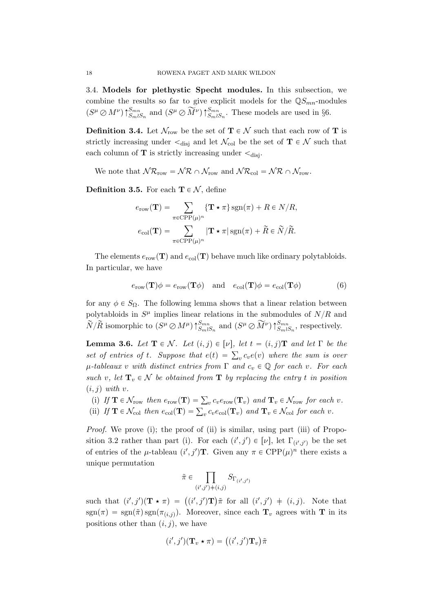3.4. Models for plethystic Specht modules. In this subsection, we combine the results so far to give explicit models for the  $\mathbb{Q}S_{mn}$ -modules  $(S^{\mu} \oslash M^{\nu})\uparrow_{S_m \wr S_n}^{S_{mn}}$  and  $(S^{\mu} \oslash \widetilde{M}^{\nu})\uparrow_{S_m \wr S_n}^{S_{mn}}$ . These models are used in §6.

**Definition 3.4.** Let  $\mathcal{N}_{row}$  be the set of  $\mathbf{T} \in \mathcal{N}$  such that each row of  $\mathbf{T}$  is strictly increasing under  $\lt_{disj}$  and let  $\mathcal{N}_{col}$  be the set of  $\mathbf{T} \in \mathcal{N}$  such that each column of **T** is strictly increasing under  $\lt_{disj}$ .

We note that  $\mathcal{NR}_{\text{row}} = \mathcal{NR} \cap \mathcal{N}_{\text{row}}$  and  $\mathcal{NR}_{\text{col}} = \mathcal{NR} \cap \mathcal{N}_{\text{row}}$ .

**Definition 3.5.** For each  $T \in \mathcal{N}$ , define

$$
e_{\text{row}}(\mathbf{T}) = \sum_{\pi \in \text{CPP}(\mu)^n} \{ \mathbf{T} \star \pi \} \operatorname{sgn}(\pi) + R \in N/R,
$$
  

$$
e_{\text{col}}(\mathbf{T}) = \sum_{\pi \in \text{CPP}(\mu)^n} |\mathbf{T} \star \pi| \operatorname{sgn}(\pi) + \widetilde{R} \in \widetilde{N}/\widetilde{R}.
$$

The elements  $e_{\text{row}}(\mathbf{T})$  and  $e_{\text{col}}(\mathbf{T})$  behave much like ordinary polytabloids. In particular, we have

$$
e_{\text{row}}(\mathbf{T})\phi = e_{\text{row}}(\mathbf{T}\phi) \text{ and } e_{\text{col}}(\mathbf{T})\phi = e_{\text{col}}(\mathbf{T}\phi)
$$
 (6)

for any  $\phi \in S_{\Omega}$ . The following lemma shows that a linear relation between polytabloids in  $S^{\mu}$  implies linear relations in the submodules of  $N/R$  and  $\widetilde{N}/\widetilde{R}$  isomorphic to  $(S^{\mu}\otimes M^{\mu})\uparrow_{S_m\wr S_n}^{S_{mn}}$  and  $(S^{\mu}\otimes \widetilde{M}^{\nu})\uparrow_{S_m\wr S_n}^{S_{mn}}$ , respectively.

**Lemma 3.6.** Let  $\mathbf{T} \in \mathcal{N}$ . Let  $(i, j) \in [\nu]$ , let  $t = (i, j)\mathbf{T}$  and let  $\Gamma$  be the **Lemma 3.0.** Let  $\mathbf{I} \in \mathcal{N}$ . Let  $(i, j) \in [V]$ , let  $i = (i, j) \mathbf{I}$  and let  $\mathbf{I}$  be the sum is over<br>set of entries of t. Suppose that  $e(t) = \sum_{v} c_v e(v)$  where the sum is over  $\mu$ -tableaux v with distinct entries from  $\Gamma$  and  $c_v \in \mathbb{Q}$  for each v. For each such v, let  $\mathbf{T}_v \in \mathcal{N}$  be obtained from  $\mathbf{T}$  by replacing the entry t in position  $(i, j)$  with v.

- (i) If  $\mathbf{T} \in \mathcal{N}_{\text{row}}$  then  $e_{\text{row}}(\mathbf{T}) = \sum_{v} c_v e_{\text{row}}(\mathbf{T}_v)$  and  $\mathbf{T}_v \in \mathcal{N}_{\text{row}}$  for each v.
- (i) If  $\mathbf{T} \in \mathcal{N}_{\text{row}}$  then  $e_{\text{row}}(\mathbf{T}) = \sum_{v} c_{v} e_{\text{row}}(\mathbf{T}_{v})$  and  $\mathbf{T}_{v} \in \mathcal{N}_{\text{row}}$  for each v.<br>(ii) If  $\mathbf{T} \in \mathcal{N}_{\text{col}}$  then  $e_{\text{col}}(\mathbf{T}) = \sum_{v} c_{v} e_{\text{col}}(\mathbf{T}_{v})$  and  $\mathbf{T}_{v} \in \mathcal{N}_{\text{col}}$  for each v

*Proof.* We prove (i); the proof of (ii) is similar, using part (iii) of Proposition 3.2 rather than part (i). For each  $(i', j') \in [\nu]$ , let  $\Gamma_{(i', j')}$  be the set of entries of the  $\mu$ -tableau  $(i', j')$ **T**. Given any  $\pi \in \text{CPP}(\mu)^n$  there exists a unique permutation

$$
\tilde{\pi} \in \prod_{(i',j')\neq (i,j)} S_{\Gamma_{(i',j')}}
$$

such that  $(i', j')(\mathbf{T} \star \pi) = ((i', j')\mathbf{T})\tilde{\pi}$  for all  $(i', j') + (i, j)$ . Note that  $sgn(\pi) = sgn(\tilde{\pi})sgn(\pi_{(i,j)})$ . Moreover, since each  $\mathbf{T}_v$  agrees with T in its positions other than  $(i, j)$ , we have

$$
(i',j')(\mathbf{T}_v \star \pi) = ((i',j')\mathbf{T}_v)\tilde{\pi}
$$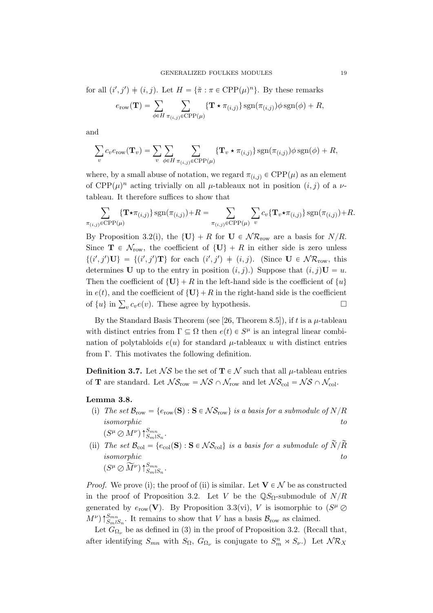for all  $(i', j') \neq (i, j)$ . Let  $H = {\tilde{\pi} : \pi \in \text{CPP}(\mu)^n}$ . By these remarks

$$
e_{\text{row}}(\mathbf{T}) = \sum_{\phi \in H} \sum_{\pi_{(i,j)} \in \text{CPP}(\mu)} \{ \mathbf{T} \star \pi_{(i,j)} \} \operatorname{sgn}(\pi_{(i,j)}) \phi \operatorname{sgn}(\phi) + R,
$$

and

$$
\sum_{v} c_{v} e_{\text{row}}(\mathbf{T}_{v}) = \sum_{v} \sum_{\phi \in H} \sum_{\pi_{(i,j)} \in \text{CPP}(\mu)} \{ \mathbf{T}_{v} \star \pi_{(i,j)} \} \operatorname{sgn}(\pi_{(i,j)}) \phi \operatorname{sgn}(\phi) + R,
$$

where, by a small abuse of notation, we regard  $\pi_{(i,j)} \in \text{CPP}(\mu)$  as an element of  $\text{CPP}(\mu)^n$  acting trivially on all  $\mu$ -tableaux not in position  $(i, j)$  of a  $\nu$ tableau. It therefore suffices to show that

$$
\sum_{\pi_{(i,j)} \in \text{CPP}(\mu)} \{ \mathbf{T} \star \pi_{(i,j)} \} \operatorname{sgn}(\pi_{(i,j)}) + R = \sum_{\pi_{(i,j)} \in \text{CPP}(\mu)} \sum_{v} c_v \{ \mathbf{T}_v \star \pi_{(i,j)} \} \operatorname{sgn}(\pi_{(i,j)}) + R.
$$

By Proposition 3.2(i), the  $\{U\} + R$  for  $U \in \mathcal{NR}_{row}$  are a basis for  $N/R$ . Since  $\mathbf{T} \in \mathcal{N}_{\text{row}}$ , the coefficient of  $\{U\} + R$  in either side is zero unless  $\{(i',j')\mathbf{U}\} = \{(i',j')\mathbf{T}\}\$ for each  $(i',j') \neq (i,j)$ . (Since  $\mathbf{U} \in \mathcal{NR}_{\text{row}}$ , this determines **U** up to the entry in position  $(i, j)$ .) Suppose that  $(i, j)$ **U** = u. Then the coefficient of  $\{U\} + R$  in the left-hand side is the coefficient of  $\{u\}$ in  $e(t)$ , and the coefficient of  $\{U\}+R$  in the right-hand side is the coefficient in  $e(t)$ , and the coencient of  $\{C\}$  +  $R$  in the right-hand side is the coencient<br>of  $\{u\}$  in  $\sum_{v} c_v e(v)$ . These agree by hypothesis.

By the Standard Basis Theorem (see [26, Theorem 8.5]), if t is a  $\mu$ -tableau with distinct entries from  $\Gamma \subseteq \Omega$  then  $e(t) \in S^{\mu}$  is an integral linear combination of polytabloids  $e(u)$  for standard  $\mu$ -tableaux u with distinct entries from Γ. This motivates the following definition.

**Definition 3.7.** Let  $\mathcal{N}S$  be the set of  $\mathbf{T} \in \mathcal{N}$  such that all  $\mu$ -tableau entries of **T** are standard. Let  $\mathcal{NS}_{row} = \mathcal{NS} \cap \mathcal{N}_{row}$  and let  $\mathcal{NS}_{col} = \mathcal{NS} \cap \mathcal{N}_{col}$ .

### Lemma 3.8.

- (i) The set  $\mathcal{B}_{\text{row}} = \{e_{\text{row}}(\mathbf{S}) : \mathbf{S} \in \mathcal{N}\mathcal{S}_{\text{row}}\}\$ is a basis for a submodule of  $N/R$  $isomorphic$  to the set of the set of the set of the set of the set of the set of the set of the set of the set of the set of the set of the set of the set of the set of the set of the set of the set of the set of the set of the  $(S^{\mu} \oslash M^{\nu}) \uparrow_{S_m \wr S_n}^{S_{mn}}$ .
- (ii) The set  $\mathcal{B}_{\text{col}} = \{e_{\text{col}}(\mathbf{S}) : \mathbf{S} \in \mathcal{NS}_{\text{col}}\}$  is a basis for a submodule of  $\widetilde{N}/\widetilde{R}$  $isomorphic$  to the set of the set of the set of the set of the set of the set of the set of the set of the set of the set of the set of the set of the set of the set of the set of the set of the set of the set of the set of the  $(S^{\mu}\oslash \widetilde{M}^{\nu})\!\uparrow_{S_m\wr S_n}^{S_{mn}}.$

*Proof.* We prove (i); the proof of (ii) is similar. Let  $V \in \mathcal{N}$  be as constructed in the proof of Proposition 3.2. Let V be the  $\mathbb{Q}S_{\Omega}$ -submodule of  $N/R$ generated by  $e_{\text{row}}(\mathbf{V})$ . By Proposition 3.3(vi), V is isomorphic to  $(S^{\mu} \oslash$  $(M^{\nu})\uparrow_{S_m\wr S_n}^{S_{mn}}$ . It remains to show that V has a basis  $\mathcal{B}_{\text{row}}$  as claimed.

Let  $G_{\Omega_{\nu}}$  be as defined in (3) in the proof of Proposition 3.2. (Recall that, after identifying  $S_{mn}$  with  $S_{\Omega}$ ,  $G_{\Omega}$  is conjugate to  $S_m^n \rtimes S_{\nu}$ . Let  $\mathcal{NR}_X$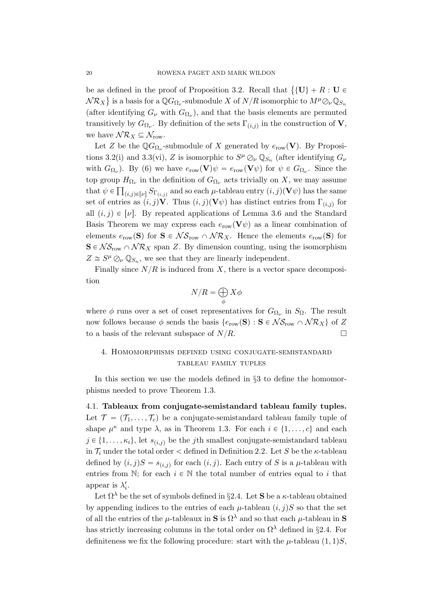be as defined in the proof of Proposition 3.2. Recall that  $\{U\} + R : U \in$  $N \mathcal{R}_X$ } is a basis for a  $\mathbb{Q}G_{\Omega_\nu}$ -submodule  $X$  of  $N/R$  isomorphic to  $M^\mu \mathcal{O}_\nu \mathbb{Q}_{S_n}$ (after identifying  $G_{\nu}$  with  $G_{\Omega_{\nu}}$ ), and that the basis elements are permuted transitively by  $G_{\Omega_{\nu}}$ . By definition of the sets  $\Gamma_{(i,j)}$  in the construction of **V**, we have  $\mathcal{NR}_X \subseteq \mathcal{N}_{\text{row}}$ .

Let Z be the  $\mathbb{Q}G_{\Omega_{\nu}}$ -submodule of X generated by  $e_{\text{row}}(\mathbf{V})$ . By Propositions 3.2(i) and 3.3(vi), Z is isomorphic to  $S^{\mu} \oslash_{\nu} \mathbb{Q}_{S_n}$  (after identifying  $G_{\nu}$ with  $G_{\Omega_{\nu}}$ ). By (6) we have  $e_{\text{row}}(\mathbf{V})\psi = e_{\text{row}}(\mathbf{V}\psi)$  for  $\psi \in G_{\Omega_{\nu}}$ . Since the top group  $H_{\Omega_{\nu}}$  in the definition of  $G_{\Omega_{\nu}}$  acts trivially on X, we may assume that  $\psi \in \prod_{(i,j)\in [\nu]} S_{\Gamma_{(i,j)}}$  and so each  $\mu$ -tableau entry  $(i,j)(\mathbf{V}\psi)$  has the same set of entries as  $(i, j)$ V. Thus  $(i, j)(\mathbf{V}\psi)$  has distinct entries from  $\Gamma_{(i,j)}$  for all  $(i, j) \in [\nu]$ . By repeated applications of Lemma 3.6 and the Standard Basis Theorem we may express each  $e_{\text{row}}(\mathbf{V}\psi)$  as a linear combination of elements  $e_{\text{row}}(\mathbf{S})$  for  $\mathbf{S} \in \mathcal{NS}_{\text{row}} \cap \mathcal{NR}_X$ . Hence the elements  $e_{\text{row}}(\mathbf{S})$  for  $S \in \mathcal{NS}_{row} \cap \mathcal{NR}_X$  span Z. By dimension counting, using the isomorphism  $Z \cong S^{\mu} \bigcirc_{\nu} \mathbb{Q}_{S_n}$ , we see that they are linearly independent.

Finally since  $N/R$  is induced from X, there is a vector space decomposition

$$
N/R = \bigoplus_{\phi} X\phi
$$

where  $\phi$  runs over a set of coset representatives for  $G_{\Omega_{\nu}}$  in  $S_{\Omega}$ . The result now follows because  $\phi$  sends the basis  $\{e_{\text{row}}(\mathbf{S}) : \mathbf{S} \in \mathcal{NS}_{\text{row}} \cap \mathcal{NR}_X\}$  of Z to a basis of the relevant subspace of  $N/R$ .

# 4. Homomorphisms defined using conjugate-semistandard tableau family tuples

In this section we use the models defined in  $\S 3$  to define the homomorphisms needed to prove Theorem 1.3.

4.1. Tableaux from conjugate-semistandard tableau family tuples. Let  $\mathcal{T} = (\mathcal{T}_1, \ldots, \mathcal{T}_c)$  be a conjugate-semistandard tableau family tuple of shape  $\mu^{\kappa}$  and type  $\lambda$ , as in Theorem 1.3. For each  $i \in \{1, ..., c\}$  and each  $j \in \{1, \ldots, \kappa_i\}$ , let  $s_{(i,j)}$  be the j<sup>th</sup> smallest conjugate-semistandard tableau in  $\mathcal{T}_i$  under the total order  $\lt$  defined in Definition 2.2. Let S be the  $\kappa$ -tableau defined by  $(i, j)S = s_{(i,j)}$  for each  $(i, j)$ . Each entry of S is a  $\mu$ -tableau with entries from N; for each  $i \in \mathbb{N}$  the total number of entries equal to i that appear is  $\lambda'_i$ .

Let  $\Omega^{\lambda}$  be the set of symbols defined in §2.4. Let S be a  $\kappa$ -tableau obtained by appending indices to the entries of each  $\mu$ -tableau  $(i, j)S$  so that the set of all the entries of the  $\mu$ -tableaux in **S** is  $\Omega^{\lambda}$  and so that each  $\mu$ -tableau in **S** has strictly increasing columns in the total order on  $\Omega^{\lambda}$  defined in §2.4. For definiteness we fix the following procedure: start with the  $\mu$ -tableau  $(1, 1)S$ ,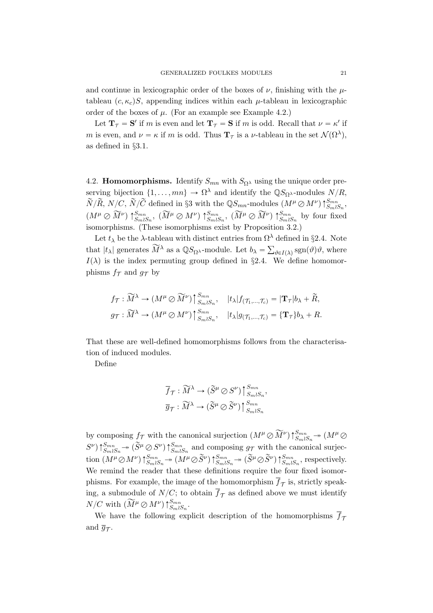and continue in lexicographic order of the boxes of  $\nu$ , finishing with the  $\mu$ tableau  $(c, \kappa_c)S$ , appending indices within each  $\mu$ -tableau in lexicographic order of the boxes of  $\mu$ . (For an example see Example 4.2.)

Let  $\mathbf{T}_{\mathcal{T}} = \mathbf{S}'$  if m is even and let  $\mathbf{T}_{\mathcal{T}} = \mathbf{S}$  if m is odd. Recall that  $\nu = \kappa'$  if m is even, and  $\nu = \kappa$  if m is odd. Thus  $\mathbf{T}_{\mathcal{T}}$  is a  $\nu$ -tableau in the set  $\mathcal{N}(\Omega^{\lambda}),$ as defined in §3.1.

4.2. **Homomorphisms.** Identify  $S_{mn}$  with  $S_{\Omega}$  using the unique order preserving bijection  $\{1, \ldots, mn\} \to \Omega^{\lambda}$  and identify the  $\mathbb{Q}S_{\Omega^{\lambda}}$ -modules  $N/R$ ,  $\widetilde{N}/\widetilde{R}$ ,  $N/C$ ,  $\widetilde{N}/\widetilde{C}$  defined in §3 with the  $\mathbb{Q}S_{mn}$ -modules  $(M^{\mu} \oslash M^{\nu})\uparrow_{S_m\wr S_n}^{S_{mn}}$ ,  $(M^{\mu} \otimes \widetilde{M}^{\nu}) \uparrow_{S_m \wr S_m}^{S_{mn}}$ ,  $(\widetilde{M}^{\mu} \otimes M^{\nu}) \uparrow_{S_m \wr S_n}^{S_{mn}}$ ,  $(\widetilde{M}^{\mu} \otimes \widetilde{M}^{\nu}) \uparrow_{S_m \wr S_n}^{S_{mn}}$  by four fixed isomorphisms. (These isomorphisms exist by Proposition 3.2.)

Let  $t_{\lambda}$  be the  $\lambda$ -tableau with distinct entries from  $\Omega^{\lambda}$  defined in §2.4. Note that  $|t_\lambda|$  generates  $\widetilde{M}^\lambda$  as a  $\mathbb{Q}S_{\Omega^\lambda}$ -module. Let  $b_\lambda = \sum_{\vartheta \in I(\lambda)} \text{sgn}(\vartheta) \vartheta$ , where  $I(\lambda)$  is the index permuting group defined in §2.4. We define homomorphisms  $f_{\mathcal{T}}$  and  $g_{\mathcal{T}}$  by

$$
f_{\mathcal{T}} : \widetilde{M}^{\lambda} \to (M^{\mu} \oslash \widetilde{M}^{\nu}) \upharpoonright_{S_m \wr S_n}^{S_{mn}}, \quad |t_{\lambda}| f_{(\mathcal{T}_1, \dots, \mathcal{T}_c)} = |\mathbf{T}_{\mathcal{T}}| b_{\lambda} + \widetilde{R},
$$
  

$$
g_{\mathcal{T}} : \widetilde{M}^{\lambda} \to (M^{\mu} \oslash M^{\nu}) \upharpoonright_{S_m \wr S_n}^{S_{mn}}, \quad |t_{\lambda}| g_{(\mathcal{T}_1, \dots, \mathcal{T}_c)} = {\mathbf{T}_{\mathcal{T}}}\phi_{\lambda} + R.
$$

That these are well-defined homomorphisms follows from the characterisation of induced modules.

Define

$$
\begin{aligned} &\overline{f}_{\mathcal{T}}:\widetilde{M}^{\lambda}\rightarrow (\widetilde{S}^{\mu}\oslash S^{\nu})\, \big\vert \,_{S_m\wr S_n}^{S_{mn}},\\ &\overline{g}_{\mathcal{T}}:\widetilde{M}^{\lambda}\rightarrow (\widetilde{S}^{\mu}\oslash \widetilde{S}^{\nu})\, \big\vert \,_{S_m\wr S_n}^{S_{mn}} \end{aligned}
$$

by composing  $f_{\mathcal{T}}$  with the canonical surjection  $(M^{\mu} \oslash \widetilde{M}^{\nu}) \uparrow_{S_m \wr S_n}^{S_{mn}} \rightarrow (M^{\mu} \oslash$  $S^{\nu}$ )  $\uparrow_{Sm\wr S_n}^{Smn}$   $\rightarrow$   $(\widetilde{S}^{\mu} \oslash S^{\nu}) \uparrow_{Sm\wr S_n}^{Smn}$  and composing  $g_{\mathcal{T}}$  with the canonical surjec- $\lim_{m\to\infty} \left(N^{\mu}\mathcal{O}\,M^{\nu}\right)\uparrow_{SmlS_n}^{Smn} \rightarrow \left(M^{\mu}\mathcal{O}\,\widetilde{S}^{\nu}\right)\uparrow_{SmlS_n}^{Smn} \rightarrow \left(\widetilde{S}^{\mu}\mathcal{O}\,\widetilde{S}^{\nu}\right)\uparrow_{SmlS_n}^{Smn},$  respectively. We remind the reader that these definitions require the four fixed isomorphisms. For example, the image of the homomorphism  $f_{\mathcal{T}}$  is, strictly speaking, a submodule of  $N/C$ ; to obtain  $\overline{f}_{\mathcal{T}}$  as defined above we must identify  $N/C$  with  $(\widetilde{M}^{\mu} \oslash M^{\nu}) \, \widehat{\uparrow}_{S_m \wr S_n}^{S_{mn}}$ .

We have the following explicit description of the homomorphisms  $\overline{f}_{\tau}$ and  $\bar{g}_{\mathcal{T}}$ .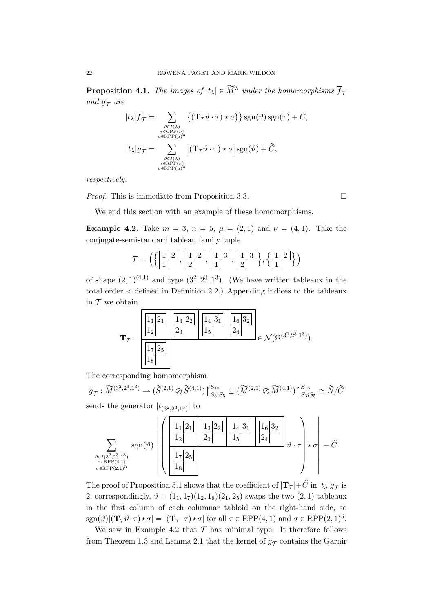**Proposition 4.1.** The images of  $|t_\lambda| \in \widetilde{M}^{\lambda}$  under the homomorphisms  $\overline{f}_{\mathcal{T}}$ and  $\overline{g}_{\mathcal{T}}$  are

$$
|t_{\lambda}|\overline{f}_{\mathcal{T}} = \sum_{\substack{\vartheta \in I(\lambda) \\ \tau \in \text{CPP}(\nu) \\ \sigma \in \text{RPP}(\mu)^n}} \{ (\mathbf{T}_{\mathcal{T}} \vartheta \cdot \tau) \star \sigma ) \} \operatorname{sgn}(\vartheta) \operatorname{sgn}(\tau) + C,
$$
  

$$
|t_{\lambda}|\overline{g}_{\mathcal{T}} = \sum_{\substack{\vartheta \in I(\lambda) \\ \tau \in \text{RPP}(\nu) \\ \sigma \in \text{RPP}(\mu)^n}} |(\mathbf{T}_{\mathcal{T}} \vartheta \cdot \tau) \star \sigma| \operatorname{sgn}(\vartheta) + \widetilde{C},
$$

respectively.

*Proof.* This is immediate from Proposition 3.3.

We end this section with an example of these homomorphisms.

**Example 4.2.** Take  $m = 3$ ,  $n = 5$ ,  $\mu = (2, 1)$  and  $\nu = (4, 1)$ . Take the conjugate-semistandard tableau family tuple

$$
\mathcal{T} = \left( \left\{ \frac{1 \mid 2}{1}, \frac{1 \mid 2}{2}, \frac{1 \mid 3}{1}, \frac{1 \mid 3}{2} \right\}, \left\{ \frac{1 \mid 2}{1} \right\} \right)
$$

of shape  $(2, 1)^{(4,1)}$  and type  $(3^2, 2^3, 1^3)$ . (We have written tableaux in the total order  $\lt$  defined in Definition 2.2.) Appending indices to the tableaux in  $T$  we obtain



The corresponding homomorphism

 $\overline{g}_{\mathcal{T}} : \widetilde{M}^{(3^2, 2^3, 1^3)} \to (\widetilde{S}^{(2,1)} \oslash \widetilde{S}^{(4,1)})$  $\uparrow S_{15}$  $S_{15}S_{33}S_5} \subseteq (\widetilde{M}^{(2,1)} \oslash \widetilde{M}^{(4,1)})$  $\uparrow S_{15}$  $S_{15}S_{3} \simeq \widetilde{N}/\widetilde{C}$ sends the generator  $|t_{(3^2,2^3,1^3)}|$  to

$$
\sum_{\substack{\vartheta \in I(3^{2}, 2^{3}, 1^{3}) \\ \tau \in \text{RPP}(4, 1) \\ \sigma \in \text{RPP}(2, 1)^{5}}} \text{sgn}(\vartheta) \left( \left( \frac{\frac{1}{12}}{\frac{1}{2}} \right) \frac{1}{2} \left| \frac{1}{2} \right| \left| \frac{1}{2} \right| \left| \frac{1}{2} \right| \left| \frac{1}{2} \right| \left| \frac{1}{2} \right| \left| \frac{1}{2} \right| \left| \frac{1}{2} \right| \left| \frac{1}{2} \right| \left| \frac{1}{2} \right| \left| \frac{1}{2} \right| \left| \frac{1}{2} \right| \left| \frac{1}{2} \right| \left| \frac{1}{2} \right| \left| \frac{1}{2} \right| \left| \frac{1}{2} \right| \left| \frac{1}{2} \right| \left| \frac{1}{2} \right| \left| \frac{1}{2} \right| \left| \frac{1}{2} \right| \left| \frac{1}{2} \right| \left| \frac{1}{2} \right| \left| \frac{1}{2} \right| \left| \frac{1}{2} \right| \left| \frac{1}{2} \right| \left| \frac{1}{2} \right| \left| \frac{1}{2} \right| \left| \frac{1}{2} \right| \left| \frac{1}{2} \right| \left| \frac{1}{2} \right| \left| \frac{1}{2} \right| \left| \frac{1}{2} \right| \left| \frac{1}{2} \right| \left| \frac{1}{2} \right| \left| \frac{1}{2} \right| \left| \frac{1}{2} \right| \left| \frac{1}{2} \right| \left| \frac{1}{2} \right| \left| \frac{1}{2} \right| \left| \frac{1}{2} \right| \left| \frac{1}{2} \right| \left| \frac{1}{2} \right| \left| \frac{1}{2} \right| \left| \frac{1}{2} \right| \left| \frac{1}{2} \right| \left| \frac{1}{2} \right| \left| \frac{1}{2} \right| \left| \frac{1}{2} \right| \left| \frac{1}{2} \right| \left| \frac{1}{2} \right| \left| \frac{1}{2} \right| \left| \frac
$$

The proof of Proposition 5.1 shows that the coefficient of  $|\mathbf{T}_{\mathcal{T}}| + \widetilde{C}$  in  $|t_\lambda|\overline{g}_{\mathcal{T}}$  is 2; correspondingly,  $\vartheta = (1_1, 1_7)(1_2, 1_8)(2_1, 2_5)$  swaps the two  $(2, 1)$ -tableaux in the first column of each columnar tabloid on the right-hand side, so  $\text{sgn}(\vartheta) | (\mathbf{T}_{\mathcal{T}} \vartheta \cdot \tau) \star \sigma | = | (\mathbf{T}_{\mathcal{T}} \cdot \tau) \star \sigma | \text{ for all } \tau \in \text{RPP}(4, 1) \text{ and } \sigma \in \text{RPP}(2, 1)^5.$ 

We saw in Example 4.2 that  $\mathcal T$  has minimal type. It therefore follows from Theorem 1.3 and Lemma 2.1 that the kernel of  $\overline{g}_{\mathcal{T}}$  contains the Garnir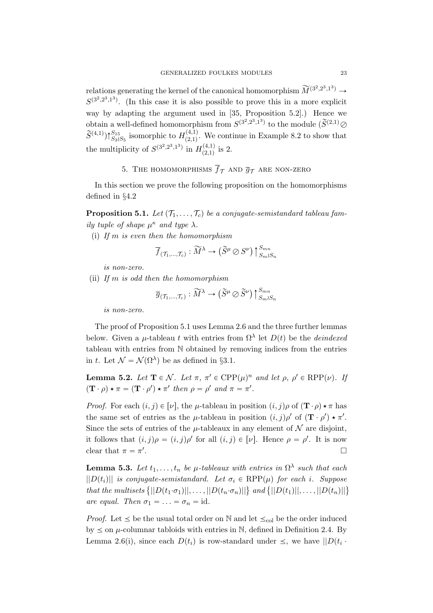relations generating the kernel of the canonical homomorphism  $\widetilde{M}^{(3^2,2^3,1^3)} \to$  $S^{(3^2,2^3,1^3)}$ . (In this case it is also possible to prove this in a more explicit way by adapting the argument used in [35, Proposition 5.2].) Hence we obtain a well-defined homomorphism from  $S^{(3^2,2^3,1^3)}$  to the module  $(\widetilde{S}^{(2,1)}\mathcal{Q})$  $(\widetilde{S}^{(4,1)})\uparrow_{S_3S_5}^{S_{15}}$  isomorphic to  $H_{(2,1)}^{(4,1)}$  $\begin{bmatrix} (4,1) \\ (2,1) \end{bmatrix}$ . We continue in Example 8.2 to show that the multiplicity of  $S^{(3^2,2^3,1^3)}$  in  $H_{(2,1)}^{(4,1)}$  $\frac{(4,1)}{(2,1)}$  is 2.

5. THE HOMOMORPHISMS  $\overline{f}_{\mathcal{T}}$  and  $\overline{g}_{\mathcal{T}}$  are non-zero

In this section we prove the following proposition on the homomorphisms defined in §4.2

**Proposition 5.1.** Let  $(T_1, \ldots, T_c)$  be a conjugate-semistandard tableau family tuple of shape  $\mu^{\kappa}$  and type  $\lambda$ .

(i) If  $m$  is even then the homomorphism

$$
\overline{f}_{(\mathcal{T}_1,\ldots,\mathcal{T}_c)} : \widetilde{M}^{\lambda} \to (\widetilde{S}^{\mu} \oslash S^{\nu}) \upharpoonright_{S_m \wr S_n}^{S_{mn}}
$$

is non-zero.

(ii) If  $m$  is odd then the homomorphism

$$
\overline{g}_{(\mathcal{T}_1,\ldots,\mathcal{T}_c)} : \widetilde{M}^\lambda \to \left(\widetilde{S}^\mu \oslash \widetilde{S}^\nu\right)\big\uparrow_{S_m \wr S_n}^{S_{mn}}
$$

is non-zero.

The proof of Proposition 5.1 uses Lemma 2.6 and the three further lemmas below. Given a  $\mu$ -tableau t with entries from  $\Omega^{\lambda}$  let  $D(t)$  be the *deindexed* tableau with entries from N obtained by removing indices from the entries in t. Let  $\mathcal{N} = \mathcal{N}(\Omega^{\lambda})$  be as defined in §3.1.

**Lemma 5.2.** Let  $\mathbf{T} \in \mathcal{N}$ . Let  $\pi$ ,  $\pi' \in \text{CPP}(\mu)^n$  and let  $\rho$ ,  $\rho' \in \text{RPP}(\nu)$ . If  $(\mathbf{T} \cdot \rho) \star \pi = (\mathbf{T} \cdot \rho') \star \pi'$  then  $\rho = \rho'$  and  $\pi = \pi'.$ 

*Proof.* For each  $(i, j) \in [\nu]$ , the  $\mu$ -tableau in position  $(i, j)\rho$  of  $(\mathbf{T} \cdot \rho) \star \pi$  has the same set of entries as the  $\mu$ -tableau in position  $(i, j)\rho'$  of  $(\mathbf{T} \cdot \rho') \star \pi'$ . Since the sets of entries of the  $\mu$ -tableaux in any element of  $\mathcal N$  are disjoint. it follows that  $(i, j)\rho = (i, j)\rho'$  for all  $(i, j) \in [\nu]$ . Hence  $\rho = \rho'$ . It is now clear that  $\pi = \pi'$ .

**Lemma 5.3.** Let  $t_1, \ldots, t_n$  be  $\mu$ -tableaux with entries in  $\Omega^{\lambda}$  such that each  $||D(t_i)||$  is conjugate-semistandard. Let  $\sigma_i \in RPP(\mu)$  for each i. Suppose  $||D(t_i)||$  is conjugate-semistandard. Let  $\sigma_i \in \text{KPP}(\mu)$  for each i. Suppose<br>that the multisets  $\{||D(t_1 \cdot \sigma_1)||, \ldots, ||D(t_n \cdot \sigma_n)||\}$  and  $\{||D(t_1)||, \ldots, ||D(t_n)||\}$ are equal. Then  $\sigma_1 = \ldots = \sigma_n = \text{id}$ .

*Proof.* Let  $\leq$  be the usual total order on N and let  $\leq_{\text{col}}$  be the order induced by  $\leq$  on  $\mu$ -columnar tabloids with entries in N, defined in Definition 2.4. By Lemma 2.6(i), since each  $D(t_i)$  is row-standard under  $\leq$ , we have  $||D(t_i \cdot$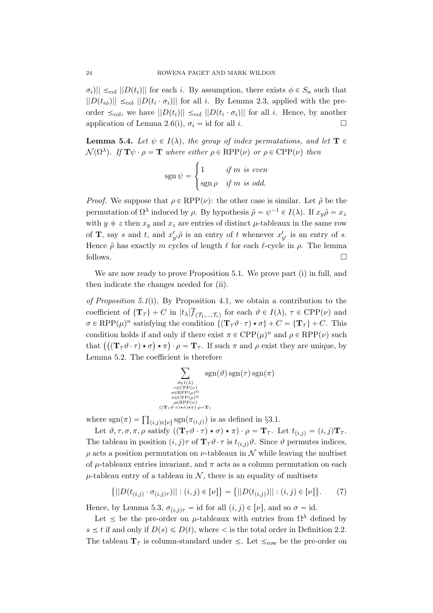$\|\sigma_i\| \leq_{\text{col}} \|D(t_i)\|$  for each i. By assumption, there exists  $\phi \in S_n$  such that  $||D(t_{i\phi})|| \leq_{\text{col}} ||D(t_i \cdot \sigma_i)||$  for all i. By Lemma 2.3, applied with the preorder  $\leq_{\text{col}}$ , we have  $||D(t_i)|| \leq_{\text{col}} ||D(t_i \cdot \sigma_i)||$  for all i. Hence, by another application of Lemma 2.6(i),  $\sigma_i = id$  for all i.

**Lemma 5.4.** Let  $\psi \in I(\lambda)$ , the group of index permutations, and let  $T \in$  $\mathcal{N}(\Omega^{\lambda})$ . If  $\mathbf{T}\psi \cdot \rho = \mathbf{T}$  where either  $\rho \in \text{RPP}(\nu)$  or  $\rho \in \text{CPP}(\nu)$  then

$$
sgn \psi = \begin{cases} 1 & \text{if } m \text{ is even} \\ \text{sgn } \rho & \text{if } m \text{ is odd.} \end{cases}
$$

*Proof.* We suppose that  $\rho \in RPP(\nu)$ : the other case is similar. Let  $\tilde{\rho}$  be the permutation of  $\Omega^{\lambda}$  induced by  $\rho$ . By hypothesis  $\tilde{\rho} = \psi^{-1} \in I(\lambda)$ . If  $x_y \tilde{\rho} = x_z$ with  $y \neq z$  then  $x_y$  and  $x_z$  are entries of distinct  $\mu$ -tableaux in the same row of **T**, say s and t, and  $x'_{y'}\tilde{\rho}$  is an entry of t whenever  $x'_{y'}$  is an entry of s. Hence  $\tilde{\rho}$  has exactly m cycles of length  $\ell$  for each  $\ell$ -cycle in  $\rho$ . The lemma follows.

We are now ready to prove Proposition 5.1. We prove part (i) in full, and then indicate the changes needed for (ii).

of Proposition 5.1(i). By Proposition 4.1, we obtain a contribution to the coefficient of  $\{T_\tau\}$  + C in  $|t_\lambda| f_{(\mathcal{T}_1,...,\mathcal{T}_c)}$  for each  $\vartheta \in I(\lambda)$ ,  $\tau \in \text{CPP}(\nu)$  and  $\sigma \in \text{RPP}(\mu)^n$  satisfying the condition  $\{(\mathbf{T}_{\tau}\vartheta \cdot \tau) \star \sigma\} + C = \{\mathbf{T}_{\tau}\} + C$ . This condition holds if and only if there exist  $\pi \in \text{CPP}(\mu)^n$  and  $\rho \in \text{RPP}(\nu)$  such condition holds if and only if there exist  $\pi \in \text{CPP}(\mu)$  and  $\rho \in \text{RPP}(\nu)$  such<br>that  $((\mathbf{T}_{\mathcal{T}} \theta \cdot \tau) \star \sigma) \star \pi) \cdot \rho = \mathbf{T}_{\mathcal{T}}$ . If such  $\pi$  and  $\rho$  exist they are unique, by Lemma 5.2. The coefficient is therefore

$$
\sum_{\substack{\vartheta \in I(\lambda) \\ \tau \in \text{CPP}(\nu) \\ \sigma \in \text{RPP}(\mu)^n \\ \pi \in \text{CPP}(\mu)^n \\ \rho \in \text{RPP}(\mu)^n \\ (\text{Tr}_{\tau} \vartheta \cdot \tau) \star \sigma) \star \pi \cdot \rho = \text{T}_{\tau}} \text{sgn}(\tau) \text{sgn}(\pi)
$$

where  $sgn(\pi) = \prod_{(i,j)\in[\nu]} sgn(\pi_{(i,j)})$  is as defined in §3.1.

Let  $\vartheta, \tau, \sigma, \pi, \rho$  satisfy  $((\mathbf{T}_{\tau}\vartheta \cdot \tau) \star \sigma) \star \pi) \cdot \rho = \mathbf{T}_{\tau}$ . Let  $t_{(i,j)} = (i,j)\mathbf{T}_{\tau}$ . The tableau in position  $(i, j)\tau$  of  $\mathbf{T}_{\tau}\vartheta \cdot \tau$  is  $t_{(i,j)}\vartheta$ . Since  $\vartheta$  permutes indices,  $\rho$  acts a position permutation on  $\nu$ -tableaux in  $\mathcal N$  while leaving the multiset of  $\mu$ -tableaux entries invariant, and  $\pi$  acts as a column permutation on each  $\mu$ -tableau entry of a tableau in N, there is an equality of multisets

$$
\{||D(t_{(i,j)} \cdot \sigma_{(i,j)\tau})|| : (i,j) \in [\nu]\} = \{||D(t_{(i,j)})|| : (i,j) \in [\nu]\}.
$$
 (7)

Hence, by Lemma 5.3,  $\sigma_{(i,j)\tau} = id$  for all  $(i,j) \in [\nu]$ , and so  $\sigma = id$ .

Let  $\leq$  be the pre-order on  $\mu$ -tableaux with entries from  $\Omega^{\lambda}$  defined by  $s \leq t$  if and only if  $D(s) \leq D(t)$ , where  $\lt$  is the total order in Definition 2.2. The tableau  $T_{\tau}$  is column-standard under  $\leq$ . Let  $\leq_{\text{row}}$  be the pre-order on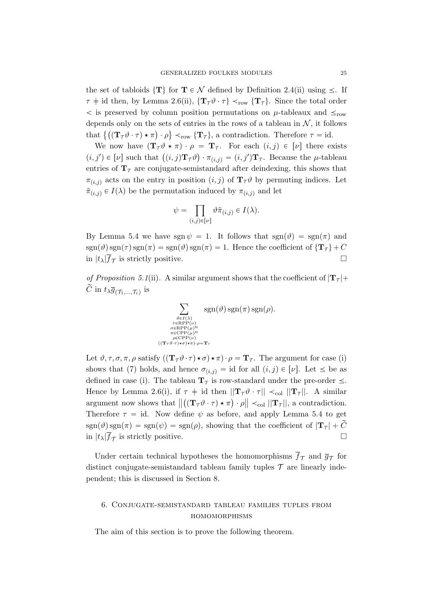the set of tabloids  $\{T\}$  for  $T \in \mathcal{N}$  defined by Definition 2.4(ii) using  $\leq$ . If  $\tau$   $\neq$  id then, by Lemma 2.6(ii),  $\{T_{\tau}\vartheta \cdot \tau\} \prec_{\text{row}} \{T_{\tau}\}\.$  Since the total order  $\langle$  is preserved by column position permutations on  $\mu$ -tableaux and  $\leq_{row}$ depends only on the sets of entries in the rows of a tableau in  $N$ , it follows depends only on the sets of entries in the rows of a tableau in  $N$ , it follows that  $\{((\mathbf{T}_{\mathcal{T}} \vartheta \cdot \tau) \star \pi) \cdot \rho\} \prec_{\text{row}} {\{\mathbf{T}_{\mathcal{T}}\}}$ , a contradiction. Therefore  $\tau = \text{id}$ .

We now have  $(\mathbf{T}_{\tau}\theta \star \pi) \cdot \rho = \mathbf{T}_{\tau}$ . For each  $(i, j) \in [\nu]$  there exists We now have  $(\mathbf{1}_{\tau}v \star \pi) \cdot \rho = \mathbf{1}_{\tau}$ . For each  $(i, j) \in [\nu]$  there exists<br>  $(i, j') \in [\nu]$  such that  $((i, j)\mathbf{T}_{\tau}\vartheta) \cdot \pi_{(i, j)} = (i, j')\mathbf{T}_{\tau}$ . Because the  $\mu$ -tableau entries of  $T<sub>\tau</sub>$  are conjugate-semistandard after deindexing, this shows that  $\pi_{(i,j)}$  acts on the entry in position  $(i, j)$  of  $\mathbf{T}_{\mathcal{T}} \vartheta$  by permuting indices. Let  $\tilde{\pi}_{(i,j)} \in I(\lambda)$  be the permutation induced by  $\pi_{(i,j)}$  and let

$$
\psi = \prod_{(i,j)\in [\nu]} \vartheta \tilde{\pi}_{(i,j)} \in I(\lambda).
$$

By Lemma 5.4 we have sgn  $\psi = 1$ . It follows that  $sgn(\vartheta) = sgn(\pi)$  and  $sgn(\vartheta)$  sgn $(\tau)$  sgn $(\pi) = sgn(\vartheta)$  sgn $(\pi) = 1$ . Hence the coefficient of  $\{T_\tau\}$  + C in  $|t_\lambda|\overline{f}_\mathcal{T}$  is strictly positive.

of Proposition 5.1(ii). A similar argument shows that the coefficient of  $|\mathbf{T}_{\tau}|+$  $\tilde{C}\text{ in }t_{\lambda}\overline{g}_{(\mathcal{T}_1,...,\mathcal{T}_c)}\text{ is }%$ 



Let  $\vartheta, \tau, \sigma, \pi, \rho$  satisfy  $((\mathbf{T}_{\tau}\vartheta \cdot \tau) \star \sigma) \star \pi) \cdot \rho = \mathbf{T}_{\tau}$ . The argument for case (i) shows that (7) holds, and hence  $\sigma_{(i,j)} = id$  for all  $(i,j) \in [\nu]$ . Let  $\leq$  be as defined in case (i). The tableau  $\mathbf{T}_{\tau}$  is row-standard under the pre-order  $\leq$ . Hence by Lemma 2.6(i), if  $\tau \neq id$  then  $||\mathbf{T}_{\tau}\vartheta \cdot \tau|| \prec_{\text{col}} ||\mathbf{T}_{\tau}||$ . A similar argument now shows that  $\left\| \left( (\mathbf{T}_{\mathcal{T}} \vartheta \cdot \tau) \star \pi \right) \cdot \rho \right\| \prec_{\text{col}} \|\mathbf{T}_{\mathcal{T}}\|$ , a contradiction. Therefore  $\tau = id$ . Now define  $\psi$  as before, and apply Lemma 5.4 to get  $sgn(\vartheta)$  sgn $(\pi) = sgn(\psi) = sgn(\rho)$ , showing that the coefficient of  $|T_\tau| + C$ in  $|t_\lambda|\overline{f}_\mathcal{T}$  is strictly positive.

Under certain technical hypotheses the homomorphisms  $f_{\mathcal{T}}$  and  $\bar{g}_{\mathcal{T}}$  for distinct conjugate-semistandard tableau family tuples  $\mathcal T$  are linearly independent; this is discussed in Section 8.

# 6. Conjugate-semistandard tableau families tuples from homomorphisms

The aim of this section is to prove the following theorem.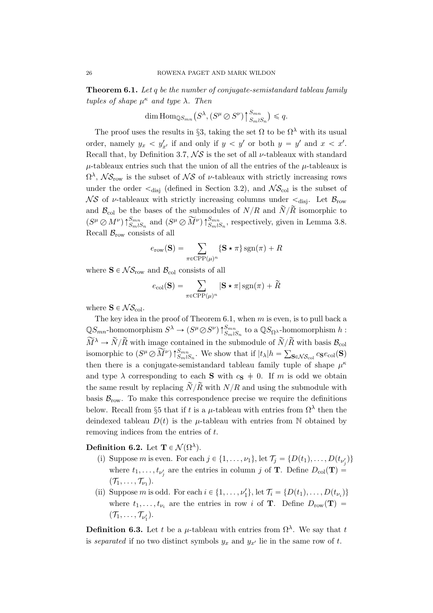Theorem 6.1. Let q be the number of conjugate-semistandard tableau family tuples of shape  $\mu^{\kappa}$  and type  $\lambda$ . Then

$$
\dim \mathrm{Hom}_{\mathbb{Q}S_{mn}}(S^{\lambda}, (S^{\mu} \oslash S^{\nu})\uparrow_{S_m \wr S_n}^{S_{mn}}) \leq q.
$$

The proof uses the results in §3, taking the set  $\Omega$  to be  $\Omega^{\lambda}$  with its usual order, namely  $y_x < y'_{x'}$  if and only if  $y < y'$  or both  $y = y'$  and  $x < x'$ . Recall that, by Definition 3.7,  $\mathcal{NS}$  is the set of all  $\nu$ -tableaux with standard  $\mu$ -tableaux entries such that the union of all the entries of the  $\mu$ -tableaux is  $\Omega^{\lambda}$ ,  $\mathcal{NS}_{\text{row}}$  is the subset of  $\mathcal{NS}$  of  $\nu$ -tableaux with strictly increasing rows under the order  $\leq_{\text{disj}}$  (defined in Section 3.2), and  $\mathcal{NS}_{\text{col}}$  is the subset of  $\mathcal{N}S$  of *v*-tableaux with strictly increasing columns under  $\lt_{disj}$ . Let  $\mathcal{B}_{row}$ and  $\mathcal{B}_{\text{col}}$  be the bases of the submodules of  $N/R$  and  $\widetilde{N/R}$  isomorphic to  $(S^{\mu} \oslash M^{\nu})\uparrow_{S_m \wr S_n}^{S_{mn}}$  and  $(S^{\mu} \oslash \widetilde{M}^{\nu})\uparrow_{S_m \wr S_n}^{S_{mn}}$ , respectively, given in Lemma 3.8. Recall  $\mathcal{B}_{\text{row}}$  consists of all

$$
e_{\text{row}}(\mathbf{S}) = \sum_{\pi \in \text{CPP}(\mu)^n} \{ \mathbf{S} \star \pi \} \operatorname{sgn}(\pi) + R
$$

where  $S \in \mathcal{NS}_{\text{row}}$  and  $\mathcal{B}_{\text{col}}$  consists of all

$$
e_{\text{col}}(\mathbf{S}) = \sum_{\pi \in \text{CPP}(\mu)^n} |\mathbf{S} \star \pi| \operatorname{sgn}(\pi) + \widetilde{R}
$$

where  $S \in \mathcal{NS}_{\text{col}}$ .

The key idea in the proof of Theorem 6.1, when  $m$  is even, is to pull back a  $\mathbb{Q}S_{mn}$ -homomorphism  $S^{\lambda} \to (S^{\mu} \oslash S^{\nu}) \uparrow_{S_m \wr S_n}^{S_{mn}}$  to a  $\mathbb{Q}S_{\Omega^{\lambda}}$ -homomorphism  $h$ :  $\widetilde{M}^{\lambda} \to \widetilde{N}/\widetilde{R}$  with image contained in the submodule of  $\widetilde{N}/\widetilde{R}$  with basis  $\mathcal{B}_{\text{col}}$ isomorphic to  $(S^{\mu} \oslash \widetilde{M}^{\nu}) \uparrow_{Sm \wr S_n}^{Smn}$ . We show that if  $|t_{\lambda}|h = \sum_{\mathbf{S} \in \mathcal{NS}_{\text{col}}} c_{\mathbf{S}} e_{\text{col}}(\mathbf{S})$ then there is a conjugate-semistandard tableau family tuple of shape  $\mu^k$ and type  $\lambda$  corresponding to each **S** with  $c_{\mathbf{S}} \neq 0$ . If m is odd we obtain the same result by replacing  $\widetilde{N}/\widetilde{R}$  with  $N/R$  and using the submodule with basis  $\mathcal{B}_{\text{row}}$ . To make this correspondence precise we require the definitions below. Recall from §5 that if t is a  $\mu$ -tableau with entries from  $\Omega^{\lambda}$  then the deindexed tableau  $D(t)$  is the  $\mu$ -tableau with entries from N obtained by removing indices from the entries of t.

Definition 6.2. Let  $\mathbf{T} \in \mathcal{N}(\Omega^{\lambda})$ .

- (i) Suppose m is even. For each  $j \in \{1, \ldots, \nu_1\}$ , let  $\mathcal{T}_j = \{D(t_1), \ldots, D(t_{\nu'_j})\}$ where  $t_1, \ldots, t_{\nu'_j}$  are the entries in column j of **T**. Define  $D_{\text{col}}(\mathbf{T}) =$  $(\mathcal{T}_1,\ldots,\mathcal{T}_{\nu_1}).$
- (ii) Suppose *m* is odd. For each  $i \in \{1, ..., \nu_1'\}$ , let  $\mathcal{T}_i = \{D(t_1), ..., D(t_{\nu_i})\}$ where  $t_1, \ldots, t_{\nu_i}$  are the entries in row i of **T**. Define  $D_{\text{row}}(\mathbf{T}) =$  $(\mathcal{T}_1,\ldots,\mathcal{T}_{\nu'_1}).$

**Definition 6.3.** Let t be a  $\mu$ -tableau with entries from  $\Omega^{\lambda}$ . We say that t is separated if no two distinct symbols  $y_x$  and  $y_{x'}$  lie in the same row of t.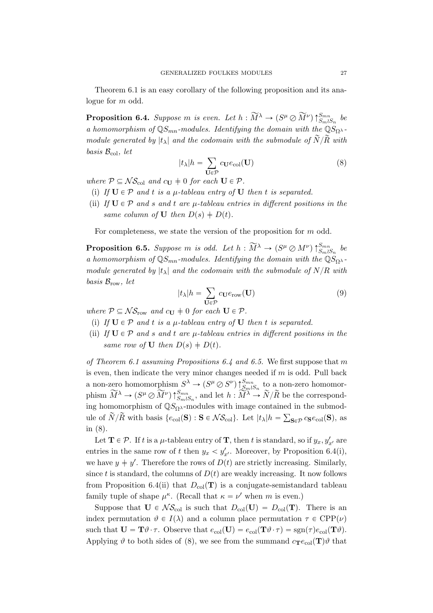Theorem 6.1 is an easy corollary of the following proposition and its analogue for m odd.

**Proposition 6.4.** Suppose m is even. Let  $h : \widetilde{M}^{\lambda} \to (S^{\mu} \oslash \widetilde{M}^{\nu}) \uparrow_{S_m \wr S_n}^{S_{mn}}$  be a homomorphism of  $\mathbb{Q}S_{mn}$ -modules. Identifying the domain with the  $\mathbb{Q}S_{\Omega}$ <sub>λ</sub> module generated by  $|t_\lambda|$  and the codomain with the submodule of  $\widetilde{N}/\widetilde{R}$  with basis  $\mathcal{B}_{\text{col}}$ , let

$$
|t_{\lambda}|h = \sum_{\mathbf{U}\in\mathcal{P}} c_{\mathbf{U}}e_{\text{col}}(\mathbf{U})
$$
 (8)

where  $P \subseteq \mathcal{NS}_{\text{col}}$  and  $c_{\mathbf{U}} \neq 0$  for each  $\mathbf{U} \in \mathcal{P}$ .

- (i) If  $U \in \mathcal{P}$  and t is a  $\mu$ -tableau entry of U then t is separated.
- (ii) If  $U \in \mathcal{P}$  and s and t are  $\mu$ -tableau entries in different positions in the same column of **U** then  $D(s) \doteq D(t)$ .

For completeness, we state the version of the proposition for m odd.

**Proposition 6.5.** Suppose m is odd. Let  $h : \widetilde{M}^{\lambda} \to (S^{\mu} \oslash M^{\nu}) \uparrow_{S_m \wr S_n}^{S_{mn}}$  be a homomorphism of  $\mathbb{Q}S_{mn}$ -modules. Identifying the domain with the  $\mathbb{Q}S_{\Omega}$ <sup>{2}</sup> module generated by  $|t_\lambda|$  and the codomain with the submodule of  $N/R$  with basis  $\mathcal{B}_{\text{row}}$ , let

$$
|t_{\lambda}|h = \sum_{\mathbf{U} \in \mathcal{P}} c_{\mathbf{U}} e_{\text{row}}(\mathbf{U})
$$
\n(9)

where  $P \subseteq \mathcal{NS}_{\text{row}}$  and  $c_{\mathbf{U}} \neq 0$  for each  $\mathbf{U} \in \mathcal{P}$ .

- (i) If  $U \in \mathcal{P}$  and t is a  $\mu$ -tableau entry of U then t is separated.
- (ii) If  $U \in \mathcal{P}$  and s and t are  $\mu$ -tableau entries in different positions in the same row of **U** then  $D(s) \doteq D(t)$ .

of Theorem 6.1 assuming Propositions 6.4 and 6.5. We first suppose that  $m$ is even, then indicate the very minor changes needed if  $m$  is odd. Pull back a non-zero homomorphism  $S^{\lambda} \to (S^{\mu} \oslash S^{\nu}) \uparrow_{S_m \wedge S_n}^{S_{mn}}$  to a non-zero homomorphism  $\widetilde{M}^{\lambda} \to (S^{\mu} \otimes \widetilde{M}^{\nu}) \uparrow_{S_m \wr S_n}^{S_{mn}}$ , and let  $h : \widetilde{M}^{\lambda} \to \widetilde{N}/\widetilde{R}$  be the corresponding homomorphism of  $\mathbb{Q}S_{\Omega}$ <sup>2</sup> -modules with image contained in the submodule of  $\widetilde{N}/\widetilde{R}$  with basis  $\{e_{\text{col}}(\mathbf{S}) : \mathbf{S} \in \mathcal{NS}_{\text{col}}\}$ . Let  $|t_{\lambda}|h = \sum_{\mathbf{S} \in \mathcal{P}} c_{\mathbf{S}} e_{\text{col}}(\mathbf{S})$ , as in (8).

Let  $\mathbf{T} \in \mathcal{P}$ . If t is a  $\mu$ -tableau entry of  $\mathbf{T}$ , then t is standard, so if  $y_x, y'_{x'}$  are entries in the same row of t then  $y_x < y'_{x'}$ . Moreover, by Proposition 6.4(i), we have  $y \neq y'$ . Therefore the rows of  $D(t)$  are strictly increasing. Similarly, since t is standard, the columns of  $D(t)$  are weakly increasing. It now follows from Proposition 6.4(ii) that  $D_{col}(\mathbf{T})$  is a conjugate-semistandard tableau family tuple of shape  $\mu^{\kappa}$ . (Recall that  $\kappa = \nu'$  when m is even.)

Suppose that  $U \in \mathcal{NS}_{\text{col}}$  is such that  $D_{\text{col}}(U) = D_{\text{col}}(T)$ . There is an index permutation  $\vartheta \in I(\lambda)$  and a column place permutation  $\tau \in \text{CPP}(\nu)$ such that  $\mathbf{U} = \mathbf{T}\vartheta \cdot \tau$ . Observe that  $e_{\text{col}}(\mathbf{U}) = e_{\text{col}}(\mathbf{T}\vartheta \cdot \tau) = \text{sgn}(\tau)e_{\text{col}}(\mathbf{T}\vartheta)$ . Applying  $\vartheta$  to both sides of (8), we see from the summand  $c_{\mathbf{T}}e_{\text{col}}(\mathbf{T})\vartheta$  that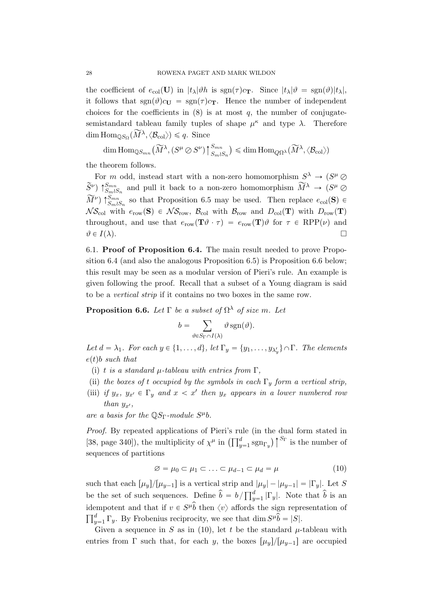the coefficient of  $e_{\text{col}}(\mathbf{U})$  in  $|t_{\lambda}|\vartheta h$  is  $\text{sgn}(\tau)c_{\mathbf{T}}$ . Since  $|t_{\lambda}|\vartheta = \text{sgn}(\vartheta)|t_{\lambda}|$ , it follows that  $sgn(\theta)c_{\text{U}} = sgn(\tau)c_{\text{T}}$ . Hence the number of independent choices for the coefficients in  $(8)$  is at most q, the number of conjugatesemistandard tableau family tuples of shape  $\mu^{\kappa}$  and type  $\lambda$ . Therefore dim  $\text{Hom}_{\mathbb{Q}S_{\Omega}}(\widetilde{M}^{\lambda}, \langle \mathcal{B}_{\text{col}} \rangle) \leq q$ . Since

 $\dim\mathrm{Hom}_{\mathbb{Q}S_{mn}}(\widetilde{M}^{\lambda}, (S^{\mu}\oslash S^{\nu}))$  $\sum_{m=1}^{n}$  $S_m \wr S_n$  $\big) \leqslant \dim \mathrm{Hom}_{Q\Omega^{\lambda}}(\widetilde{M}^{\lambda}, \langle \mathcal{B}_{\mathrm{col}} \rangle)$ 

the theorem follows.

For m odd, instead start with a non-zero homomorphism  $S^{\lambda} \to (S^{\mu} \oslash \mathcal{S}^{\mu})$  $\widetilde{S}^{\nu}$ )  $\uparrow_{SmlS_n}^{Smn}$  and pull it back to a non-zero homomorphism  $\widetilde{M}^{\lambda} \to (S^{\mu} \oslash S^{\mu})$  $\widetilde{M}^{\nu}$   $\uparrow$   $\zeta_{m}^{Smn}$  so that Proposition 6.5 may be used. Then replace  $e_{\text{col}}(\mathbf{S}) \in$  $\mathcal{NS}_{\text{col}}$  with  $e_{\text{row}}(\mathbf{S}) \in \mathcal{NS}_{\text{row}}$ ,  $\mathcal{B}_{\text{col}}$  with  $\mathcal{B}_{\text{row}}$  and  $D_{\text{col}}(\mathbf{T})$  with  $D_{\text{row}}(\mathbf{T})$ throughout, and use that  $e_{\text{row}}(\mathbf{T}\vartheta \cdot \tau) = e_{\text{row}}(\mathbf{T})\vartheta$  for  $\tau \in \text{RPP}(\nu)$  and  $\vartheta \in I(\lambda).$ 

6.1. Proof of Proposition 6.4. The main result needed to prove Proposition 6.4 (and also the analogous Proposition 6.5) is Proposition 6.6 below; this result may be seen as a modular version of Pieri's rule. An example is given following the proof. Recall that a subset of a Young diagram is said to be a vertical strip if it contains no two boxes in the same row.

**Proposition 6.6.** Let  $\Gamma$  be a subset of  $\Omega^{\lambda}$  of size m. Let

$$
b = \sum_{\vartheta \in S_{\Gamma} \cap I(\lambda)} \vartheta \operatorname{sgn}(\vartheta).
$$

Let  $d = \lambda_1$ . For each  $y \in \{1, ..., d\}$ , let  $\Gamma_y = \{y_1, ..., y_{\lambda'_y}\} \cap \Gamma$ . The elements  $e(t)b$  such that

- (i) t is a standard  $\mu$ -tableau with entries from  $\Gamma$ ,
- (ii) the boxes of t occupied by the symbols in each  $\Gamma_y$  form a vertical strip,
- (iii) if  $y_x$ ,  $y_{x'} \in \Gamma_y$  and  $x < x'$  then  $y_x$  appears in a lower numbered row than  $y_{x'}$ ,

are a basis for the  $\mathbb{Q}S_{\Gamma}$ -module  $S^{\mu}b$ .

*Proof.* By repeated applications of Pieri's rule (in the dual form stated in *Proof.* By repeated applications of Pierrs rule (in the dual form stated in [38, page 340]), the multiplicity of  $\chi^{\mu}$  in  $\left(\prod_{y=1}^{d} sgn_{\Gamma_y}\right)\bigg|^{S_{\Gamma}}$  is the number of sequences of partitions

$$
\varnothing = \mu_0 \subset \mu_1 \subset \ldots \subset \mu_{d-1} \subset \mu_d = \mu \tag{10}
$$

such that each  $\left[\mu_y\right]/\left[\mu_{y-1}\right]$  is a vertical strip and  $|\mu_y| - |\mu_{y-1}| = |\Gamma_y|$ . Let S such that each  $\mu_{y}$   $\mu_{y-1}$  is a vertical strip and<br>be the set of such sequences. Define  $\hat{b} = b / \prod_{y=1}^{d}$  $\int_{y=1}^{d} |\Gamma_y|$ . Note that  $\hat{b}$  is an idempotent and that if  $v \in S^{\mu} \hat{b}$  then  $\langle v \rangle$  affords the sign representation of ide.<br> $\Box^d$  $y=1 \Gamma_y$ . By Frobenius reciprocity, we see that dim  $S^{\mu} \widetilde{\hat{b}} = |S|$ .

Given a sequence in S as in (10), let t be the standard  $\mu$ -tableau with entries from  $\Gamma$  such that, for each y, the boxes  $\lceil \mu_y \rceil / \lceil \mu_{y-1} \rceil$  are occupied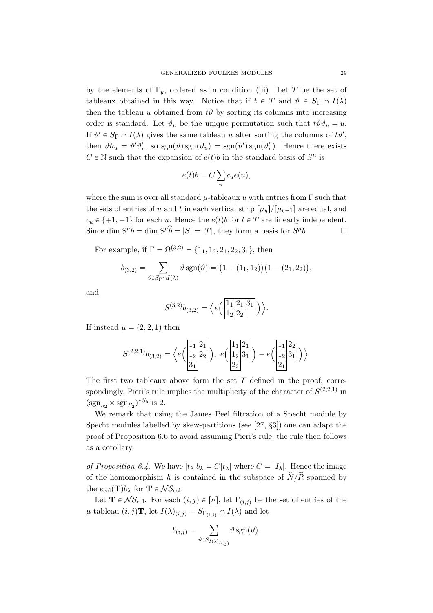by the elements of  $\Gamma_y$ , ordered as in condition (iii). Let T be the set of tableaux obtained in this way. Notice that if  $t \in T$  and  $\vartheta \in S_{\Gamma} \cap I(\lambda)$ then the tableau u obtained from  $t\vartheta$  by sorting its columns into increasing order is standard. Let  $\vartheta_u$  be the unique permutation such that  $t\vartheta \vartheta_u = u$ . If  $\vartheta' \in S_{\Gamma} \cap I(\lambda)$  gives the same tableau u after sorting the columns of  $t\vartheta'$ , then  $\vartheta \vartheta_u = \vartheta' \vartheta'_u$ , so  $sgn(\vartheta) sgn(\vartheta_u) = sgn(\vartheta') sgn(\vartheta'_u)$ . Hence there exists  $C \in \mathbb{N}$  such that the expansion of  $e(t)b$  in the standard basis of  $S^{\mu}$  is

$$
e(t)b = C \sum_{u} c_u e(u),
$$

where the sum is over all standard  $\mu$ -tableaux u with entries from  $\Gamma$  such that the sets of entries of u and t in each vertical strip  $[\mu_y]/[\mu_{y-1}]$  are equal, and  $c_u \in \{+1, -1\}$  for each u. Hence the  $e(t)b$  for  $t \in T$  are linearly independent. Since  $\dim S^{\mu}b = \dim S^{\mu}\hat{b} = |S| = |T|$ , they form a basis for  $S^{\mu}b$ .

For example, if  $\Gamma = \Omega^{(3,2)} = \{1_1, 1_2, 2_1, 2_2, 3_1\}$ , then

$$
b_{(3,2)} = \sum_{\vartheta \in S_{\Gamma} \cap I(\lambda)} \vartheta \, \text{sgn}(\vartheta) = (1 - (1_1, 1_2)) (1 - (2_1, 2_2)),
$$

and

$$
S^{(3,2)}b_{(3,2)} = \left\langle e\left(\frac{1_1|2_1|3_1}{1_2|2_2|}\right) \right\rangle.
$$

If instead  $\mu = (2, 2, 1)$  then

$$
S^{(2,2,1)}b_{(3,2)} = \Big\langle e\Big(\frac{\frac{1}{12}\begin{bmatrix}2\\1\end{bmatrix}}{3_1}\Big), e\Big(\frac{\frac{1}{12}\begin{bmatrix}2\\1\end{bmatrix}}{2_2}\Big)\Big\rangle - e\Big(\frac{\frac{1}{12}\begin{bmatrix}2\\1\end{bmatrix}}{2_1}\Big)\Big\rangle.
$$

The first two tableaux above form the set  $T$  defined in the proof; correspondingly, Pieri's rule implies the multiplicity of the character of  $S^{(2,2,1)}$  in  $(\text{sgn}_{S_2} \times \text{sgn}_{S_2}) \uparrow^{S_5}$  is 2.

We remark that using the James–Peel filtration of a Specht module by Specht modules labelled by skew-partitions (see [27, §3]) one can adapt the proof of Proposition 6.6 to avoid assuming Pieri's rule; the rule then follows as a corollary.

of Proposition 6.4. We have  $|t_\lambda|b_\lambda = C|t_\lambda|$  where  $C = |I_\lambda|$ . Hence the image of the homomorphism h is contained in the subspace of  $\tilde{N}/\tilde{R}$  spanned by the  $e_{\text{col}}(\mathbf{T})b_{\lambda}$  for  $\mathbf{T} \in \mathcal{NS}_{\text{col}}$ .

Let  $\mathbf{T} \in \mathcal{NS}_{\text{col}}$ . For each  $(i, j) \in [\nu]$ , let  $\Gamma_{(i,j)}$  be the set of entries of the  $\mu$ -tableau  $(i, j)$ **T**, let  $I(\lambda)_{(i,j)} = S_{\Gamma(i,j)} \cap I(\lambda)$  and let

$$
b_{(i,j)} = \sum_{\vartheta \in S_{I(\lambda)}(i,j)} \vartheta \operatorname{sgn}(\vartheta).
$$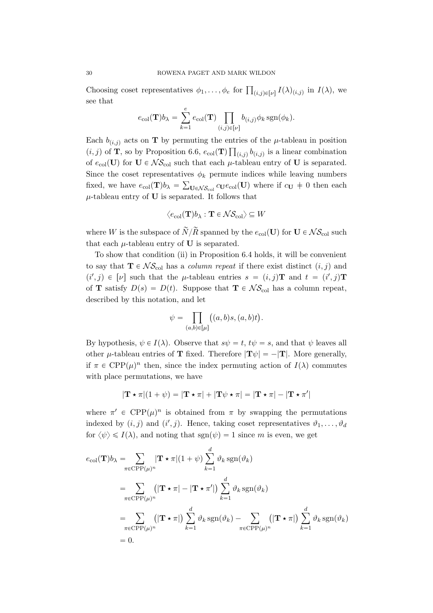Choosing coset representatives  $\phi_1, \ldots, \phi_e$  for  $\prod_{(i,j)\in[\nu]} I(\lambda)_{(i,j)}$  in  $I(\lambda)$ , we see that

$$
e_{\text{col}}(\mathbf{T})b_{\lambda} = \sum_{k=1}^{e} e_{\text{col}}(\mathbf{T}) \prod_{(i,j) \in [\nu]} b_{(i,j)} \phi_k \operatorname{sgn}(\phi_k).
$$

Each  $b_{(i,j)}$  acts on **T** by permuting the entries of the  $\mu$ -tableau in position  $(i, j)$  of **T**, so by Proposition 6.6,  $e_{col}(\mathbf{T}) \prod_{(i,j)} b_{(i,j)}$  is a linear combination of  $e_{\text{col}}(\mathbf{U})$  for  $\mathbf{U} \in \mathcal{NS}_{\text{col}}$  such that each  $\mu$ -tableau entry of  $\mathbf{U}$  is separated. Since the coset representatives  $\phi_k$  permute indices while leaving numbers fixed, we have  $e_{\text{col}}(\mathbf{T})b_{\lambda} = \sum_{\mathbf{U} \in \mathcal{NS}_{\text{col}}} c_{\mathbf{U}} e_{\text{col}}(\mathbf{U})$  where if  $c_{\mathbf{U}} \neq 0$  then each  $\mu$ -tableau entry of **U** is separated. It follows that

$$
\langle e_{\text{col}}(\mathbf{T})b_{\lambda} : \mathbf{T} \in \mathcal{NS}_{\text{col}} \rangle \subseteq W
$$

where W is the subspace of  $\widetilde{N}/\widetilde{R}$  spanned by the  $e_{\text{col}}(\mathbf{U})$  for  $\mathbf{U} \in \mathcal{NS}_{\text{col}}$  such that each  $\mu$ -tableau entry of **U** is separated.

To show that condition (ii) in Proposition 6.4 holds, it will be convenient to say that  $\mathbf{T} \in \mathcal{NS}_{\text{col}}$  has a *column repeat* if there exist distinct  $(i, j)$  and  $(i', j) \in [\nu]$  such that the  $\mu$ -tableau entries  $s = (i, j)$ **T** and  $t = (i', j)$ **T** of **T** satisfy  $D(s) = D(t)$ . Suppose that  $\mathbf{T} \in \mathcal{NS}_{\text{col}}$  has a column repeat, described by this notation, and let

$$
\psi = \prod_{(a,b)\in[\mu]} \bigl((a,b)s,(a,b)t\bigr).
$$

By hypothesis,  $\psi \in I(\lambda)$ . Observe that  $s\psi = t$ ,  $t\psi = s$ , and that  $\psi$  leaves all other  $\mu$ -tableau entries of **T** fixed. Therefore  $|\mathbf{T}\psi| = -|\mathbf{T}|$ . More generally, if  $\pi \in \text{CPP}(\mu)^n$  then, since the index permuting action of  $I(\lambda)$  commutes with place permutations, we have

$$
|\mathbf{T} \star \pi|(1 + \psi) = |\mathbf{T} \star \pi| + |\mathbf{T}\psi \star \pi| = |\mathbf{T} \star \pi| - |\mathbf{T} \star \pi'|
$$

where  $\pi' \in \text{CPP}(\mu)^n$  is obtained from  $\pi$  by swapping the permutations indexed by  $(i, j)$  and  $(i', j)$ . Hence, taking coset representatives  $\vartheta_1, \ldots, \vartheta_d$ for  $\langle \psi \rangle \leq I(\lambda)$ , and noting that sgn $(\psi) = 1$  since m is even, we get

$$
e_{\text{col}}(\mathbf{T})b_{\lambda} = \sum_{\pi \in \text{CPP}(\mu)^n} |\mathbf{T} \star \pi| (1 + \psi) \sum_{k=1}^d \vartheta_k \operatorname{sgn}(\vartheta_k)
$$
  
\n
$$
= \sum_{\pi \in \text{CPP}(\mu)^n} (|\mathbf{T} \star \pi| - |\mathbf{T} \star \pi'|) \sum_{k=1}^d \vartheta_k \operatorname{sgn}(\vartheta_k)
$$
  
\n
$$
= \sum_{\pi \in \text{CPP}(\mu)^n} (|\mathbf{T} \star \pi|) \sum_{k=1}^d \vartheta_k \operatorname{sgn}(\vartheta_k) - \sum_{\pi \in \text{CPP}(\mu)^n} (|\mathbf{T} \star \pi|) \sum_{k=1}^d \vartheta_k \operatorname{sgn}(\vartheta_k)
$$
  
\n
$$
= 0.
$$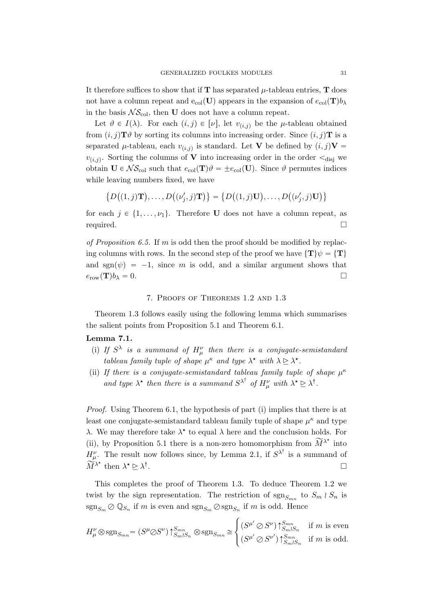It therefore suffices to show that if  $T$  has separated  $\mu$ -tableau entries,  $T$  does not have a column repeat and  $e_{col}(\mathbf{U})$  appears in the expansion of  $e_{col}(\mathbf{T})b_{\lambda}$ in the basis  $\mathcal{NS}_{\text{col}}$ , then U does not have a column repeat.

Let  $\vartheta \in I(\lambda)$ . For each  $(i, j) \in [\nu]$ , let  $v_{(i,j)}$  be the  $\mu$ -tableau obtained from  $(i, j)$ **T** $\vartheta$  by sorting its columns into increasing order. Since  $(i, j)$ **T** is a separated  $\mu$ -tableau, each  $v_{(i,j)}$  is standard. Let **V** be defined by  $(i, j)$ **V** =  $v_{(i,j)}$ . Sorting the columns of V into increasing order in the order  $\lt_{\text{disj}}$  we obtain  $\mathbf{U} \in \mathcal{NS}_{\text{col}}$  such that  $e_{\text{col}}(\mathbf{T})\vartheta = \pm e_{\text{col}}(\mathbf{U})$ . Since  $\vartheta$  permutes indices while leaving numbers fixed, we have

$$
\{D((1,j)\mathbf{T}),\ldots,D((\nu'_j,j)\mathbf{T})\} = \{D((1,j)\mathbf{U}),\ldots,D((\nu'_j,j)\mathbf{U})\}
$$

for each  $j \in \{1, \ldots, \nu_1\}$ . Therefore **U** does not have a column repeat, as required.

of Proposition 6.5. If m is odd then the proof should be modified by replacing columns with rows. In the second step of the proof we have  $\{T\}\psi = \{T\}$ and  $sgn(\psi) = -1$ , since m is odd, and a similar argument shows that  $e_{\text{row}}(\mathbf{T})b_{\lambda} = 0.$ 

## 7. Proofs of Theorems 1.2 and 1.3

Theorem 1.3 follows easily using the following lemma which summarises the salient points from Proposition 5.1 and Theorem 6.1.

## Lemma 7.1.

- (i) If  $S^{\lambda}$  is a summand of  $H^{\nu}_{\mu}$  then there is a conjugate-semistandard tableau family tuple of shape  $\mu^{\kappa}$  and type  $\lambda^{\star}$  with  $\lambda \geq \lambda^{\star}$ .
- (ii) If there is a conjugate-semistandard tableau family tuple of shape  $\mu^{\kappa}$ and type  $\lambda^*$  then there is a summand  $S^{\lambda^{\dagger}}$  of  $H^{\nu}_{\mu}$  with  $\lambda^* \geq \lambda^{\dagger}$ .

Proof. Using Theorem 6.1, the hypothesis of part (i) implies that there is at least one conjugate-semistandard tableau family tuple of shape  $\mu^{\kappa}$  and type λ. We may therefore take  $\lambda^*$  to equal  $\lambda$  here and the conclusion holds. For (ii), by Proposition 5.1 there is a non-zero homomorphism from  $\widetilde{M}^{\lambda^*}$  into  $H^{\nu}_{\mu}$ . The result now follows since, by Lemma 2.1, if  $S^{\lambda^{\dagger}}$  is a summand of  $\overline{\widetilde{M}}^{\lambda^{\star}}$  then  $\lambda^{\star} \trianglerighteq \lambda^{\dagger}$ .

This completes the proof of Theorem 1.3. To deduce Theorem 1.2 we twist by the sign representation. The restriction of  $sgn<sub>Smn</sub>$  to  $S_m \nvert S_n$  is  $\operatorname{sgn}_{{\mathcal{S}}_m} \oslash \mathbb{Q}_{{\mathcal{S}}_n}$  if m is even and  $\operatorname{sgn}_{{\mathcal{S}}_m} \oslash \operatorname{sgn}_{{\mathcal{S}}_n}$  if m is odd. Hence  $\overline{u}$ 

$$
H^{\nu}_{\mu}\otimes \operatorname{sgn}_{S_{mn}} = (S^{\mu} \otimes S^{\nu})\uparrow_{S_m \wr S_n}^{S_{mn}} \otimes \operatorname{sgn}_{S_{mn}} \cong \begin{cases} (S^{\mu'} \otimes S^{\nu})\uparrow_{S_m \wr S_n}^{S_{mn}} & \text{if } m \text{ is even} \\ (S^{\mu'} \otimes S^{\nu'})\uparrow_{S_m \wr S_n}^{S_{mn}} & \text{if } m \text{ is odd.} \end{cases}
$$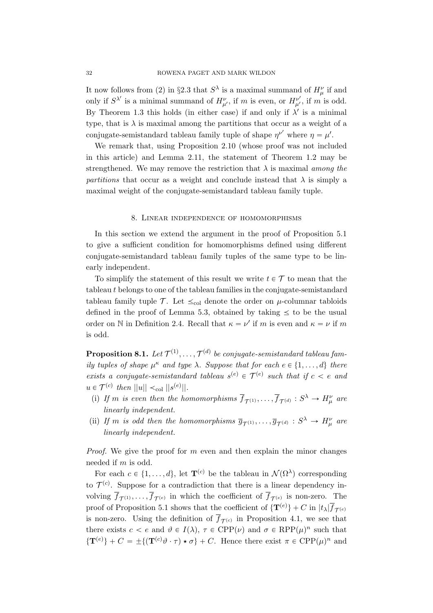It now follows from (2) in §2.3 that  $S^{\lambda}$  is a maximal summand of  $H^{\nu}_{\mu}$  if and only if  $S^{\lambda'}$  is a minimal summand of  $H^{\nu}_{\mu'}$ , if m is even, or  $H^{\nu'}_{\mu'}$ , if m is odd. By Theorem 1.3 this holds (in either case) if and only if  $\lambda'$  is a minimal type, that is  $\lambda$  is maximal among the partitions that occur as a weight of a conjugate-semistandard tableau family tuple of shape  $\eta^{\nu'}$  where  $\eta = \mu'$ .

We remark that, using Proposition 2.10 (whose proof was not included in this article) and Lemma 2.11, the statement of Theorem 1.2 may be strengthened. We may remove the restriction that  $\lambda$  is maximal among the partitions that occur as a weight and conclude instead that  $\lambda$  is simply a maximal weight of the conjugate-semistandard tableau family tuple.

### 8. Linear independence of homomorphisms

In this section we extend the argument in the proof of Proposition 5.1 to give a sufficient condition for homomorphisms defined using different conjugate-semistandard tableau family tuples of the same type to be linearly independent.

To simplify the statement of this result we write  $t \in \mathcal{T}$  to mean that the tableau t belongs to one of the tableau families in the conjugate-semistandard tableau family tuple  $\mathcal{T}$ . Let  $\leq_{\text{col}}$  denote the order on  $\mu$ -columnar tabloids defined in the proof of Lemma 5.3, obtained by taking  $\leq$  to be the usual order on N in Definition 2.4. Recall that  $\kappa = \nu'$  if m is even and  $\kappa = \nu$  if m is odd.

 $\bf{Proposition 8.1.}$  Let  $\mathcal{T}^{(1)}, \ldots, \mathcal{T}^{(d)}$  be conjugate-semistandard tableau family tuples of shape  $\mu^{\kappa}$  and type  $\lambda$ . Suppose that for each  $e \in \{1, \ldots, d\}$  there exists a conjugate-semistandard tableau  $s^{(e)} \in \mathcal{T}^{(e)}$  such that if  $c < e$  and  $u \in \mathcal{T}^{(c)}$  then  $||u|| <_{\text{col}} ||s^{(e)}||$ .

- (i) If m is even then the homomorphisms  $\overline{f}_{\mathcal{T}^{(1)}}, \ldots, \overline{f}_{\mathcal{T}^{(d)}} : S^{\lambda} \to H^{\nu}_{\mu}$  are linearly independent.
- (ii) If m is odd then the homomorphisms  $\overline{g}_{\mathcal{T}^{(1)}}, \ldots, \overline{g}_{\mathcal{T}^{(d)}} : S^{\lambda} \to H^{\nu}_{\mu}$  are linearly independent.

*Proof.* We give the proof for  $m$  even and then explain the minor changes needed if m is odd.

For each  $c \in \{1, ..., d\}$ , let  $\mathbf{T}^{(c)}$  be the tableau in  $\mathcal{N}(\Omega^{\lambda})$  corresponding to  $\mathcal{T}^{(c)}$ . Suppose for a contradiction that there is a linear dependency involving  $\overline{f}_{\mathcal{T}^{(1)}}, \ldots, \overline{f}_{\mathcal{T}^{(e)}}$  in which the coefficient of  $\overline{f}_{\mathcal{T}^{(e)}}$  is non-zero. The proof of Proposition 5.1 shows that the coefficient of  $\{T^{(e)}\} + C$  in  $|t_\lambda| \overline{f}_{\mathcal{T}^{(e)}}$ is non-zero. Using the definition of  $\overline{f}_{\mathcal{T}(c)}$  in Proposition 4.1, we see that there exists  $c < e$  and  $\vartheta \in I(\lambda)$ ,  $\tau \in \text{CPP}(\nu)$  and  $\sigma \in \text{RPP}(\mu)^n$  such that  $\{T^{(e)}\} + C = \pm \{ (T^{(c)}\vartheta \cdot \tau) \star \sigma \} + C$ . Hence there exist  $\pi \in \text{CPP}(\mu)^n$  and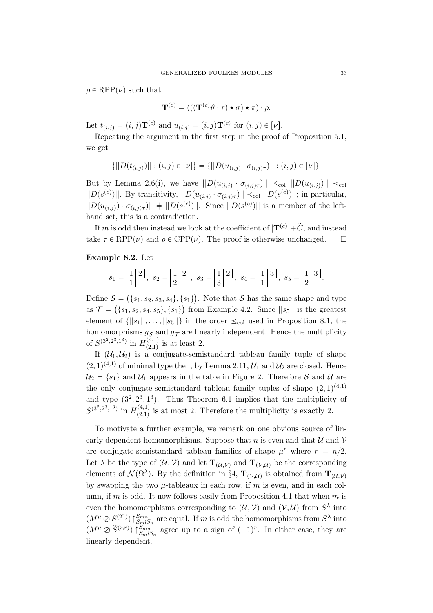$\rho \in \text{RPP}(\nu)$  such that

$$
\mathbf{T}^{(e)} = (((\mathbf{T}^{(c)} \vartheta \cdot \tau) \star \sigma) \star \pi) \cdot \rho.
$$

Let  $t_{(i,j)} = (i, j)\mathbf{T}^{(e)}$  and  $u_{(i,j)} = (i, j)\mathbf{T}^{(c)}$  for  $(i, j) \in [\nu]$ .

Repeating the argument in the first step in the proof of Proposition 5.1, we get

$$
\{||D(t_{(i,j)})||:(i,j)\in [\nu]\}=\{||D(u_{(i,j)}\cdot \sigma_{(i,j)\tau})||:(i,j)\in [\nu]\}.
$$

But by Lemma 2.6(i), we have  $||D(u_{(i,j)} \cdot \sigma_{(i,j)\tau})|| \leq_{\text{col}} ||D(u_{(i,j)})|| <_{\text{col}}$  $||D(s^{(e)})||$ . By transitivity,  $||D(u_{(i,j)} \cdot \sigma_{(i,j)\tau})|| \prec_{\text{col}} ||D(s^{(e)})||$ ; in particular,  $||D(u_{(i,j)}) \cdot \sigma_{(i,j)\tau}||$   $|| \cdot ||D(s^{(e)})||$ . Since  $||D(s^{(e)})||$  is a member of the lefthand set, this is a contradiction.

If m is odd then instead we look at the coefficient of  $|\mathbf{T}^{(e)}| + \widetilde{C}$ , and instead take  $\tau \in RPP(\nu)$  and  $\rho \in CPP(\nu)$ . The proof is otherwise unchanged.  $\square$ 

## Example 8.2. Let

$$
s_1 = \frac{1}{1}
$$
,  $s_2 = \frac{1}{2}$ ,  $s_3 = \frac{1}{3}$ ,  $s_4 = \frac{1}{1}$ ,  $s_5 = \frac{1}{2}$ .

Define  $S =$  $\{s_1, s_2, s_3, s_4\}, \{s_1\}$  $\mathcal{S} = (\{s_1, s_2, s_3, s_4\}, \{s_1\})$ . Note that  $\mathcal{S}$  has the same shape and type as  $\mathcal{T} = (\{s_1, s_2, s_4, s_5\}, \{s_1\})$  from Example 4.2. Since  $||s_5||$  is the greatest element of  $\{|s_1||, \ldots, |s_5||\}$  in the order  $\leq_{\text{col}}$  used in Proposition 8.1, the homomorphisms  $\bar{g}_S$  and  $\bar{g}_T$  are linearly independent. Hence the multiplicity of  $S^{(3^2,2^3,1^3)}$  in  $H^{(4,1)}_{(2,1)}$  $\binom{(4,1)}{(2,1)}$  is at least 2.

If  $(\mathcal{U}_1, \mathcal{U}_2)$  is a conjugate-semistandard tableau family tuple of shape  $(2, 1)^{(4,1)}$  of minimal type then, by Lemma 2.11,  $\mathcal{U}_1$  and  $\mathcal{U}_2$  are closed. Hence  $\mathcal{U}_2 = \{s_1\}$  and  $\mathcal{U}_1$  appears in the table in Figure 2. Therefore S and U are the only conjugate-semistandard tableau family tuples of shape  $(2, 1)^{(4,1)}$ and type  $(3^2, 2^3, 1^3)$ . Thus Theorem 6.1 implies that the multiplicity of  $S^{(3^2,2^3,1^3)}$  in  $H^{(4,1)}_{(2,1)}$  $p_{(2,1)}^{(4,1)}$  is at most 2. Therefore the multiplicity is exactly 2.

To motivate a further example, we remark on one obvious source of linearly dependent homomorphisms. Suppose that n is even and that  $\mathcal U$  and  $\mathcal V$ are conjugate-semistandard tableau families of shape  $\mu^r$  where  $r = n/2$ . Let  $\lambda$  be the type of  $(\mathcal{U}, \mathcal{V})$  and let  $\mathbf{T}_{(\mathcal{U}, \mathcal{V})}$  and  $\mathbf{T}_{(\mathcal{V}, \mathcal{U})}$  be the corresponding elements of  $\mathcal{N}(\Omega^{\lambda})$ . By the definition in §4,  $\mathbf{T}_{(\mathcal{V},\mathcal{U})}$  is obtained from  $\mathbf{T}_{(\mathcal{U},\mathcal{V})}$ by swapping the two  $\mu$ -tableaux in each row, if m is even, and in each column, if m is odd. It now follows easily from Proposition 4.1 that when m is even the homomorphisms corresponding to  $(\mathcal{U}, \mathcal{V})$  and  $(\mathcal{V}, \mathcal{U})$  from  $S^{\lambda}$  into  $(M^{\mu} \oslash S^{(2^{r})}) \uparrow_{S_m \wr S_n}^{S_{mn}}$  are equal. If m is odd the homomorphisms from  $S^{\lambda}$  into  $(M^{\mu} \oslash \widetilde{S}^{(r,r)})$   $\uparrow_{S_m \wr S_n}^{S_{mn}}$  agree up to a sign of  $(-1)^r$ . In either case, they are linearly dependent.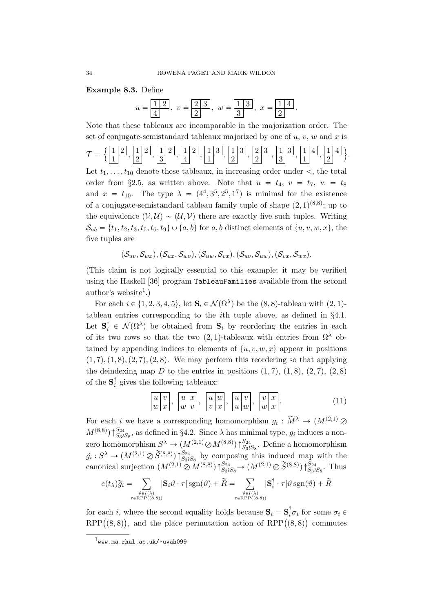Example 8.3. Define

$$
u = \boxed{1\ 2}
$$
,  $v = \boxed{2\ 3}$ ,  $w = \boxed{1\ 3}$ ,  $x = \boxed{1\ 4}$ .

Note that these tableaux are incomparable in the majorization order. The set of conjugate-semistandard tableaux majorized by one of  $u, v, w$  and x is

$$
\mathcal{T} = \Big\{ \frac{\boxed{1\ 2}}{1}, \frac{\boxed{1\ 2}}{2}, \frac{\boxed{1\ 2}}{3}, \frac{\boxed{1\ 2}}{4}, \frac{\boxed{1\ 3}}{1}, \frac{\boxed{1\ 3}}{2}, \frac{\boxed{2\ 3}}{2}, \frac{\boxed{1\ 3}}{3}, \frac{\boxed{1\ 4}}{1}, \frac{\boxed{1\ 4}}{2} \Big\}.
$$

Let  $t_1, \ldots, t_{10}$  denote these tableaux, in increasing order under  $\lt$ , the total order from §2.5, as written above. Note that  $u = t_4$ ,  $v = t_7$ ,  $w = t_8$ and  $x = t_{10}$ . The type  $\lambda = (4^4, 3^5, 2^5, 1^7)$  is minimal for the existence of a conjugate-semistandard tableau family tuple of shape  $(2,1)^{(8,8)}$ ; up to the equivalence  $(V, U) \sim (U, V)$  there are exactly five such tuples. Writing  $S_{ab} = \{t_1, t_2, t_3, t_5, t_6, t_9\} \cup \{a, b\}$  for a, b distinct elements of  $\{u, v, w, x\}$ , the five tuples are

 $(\mathcal{S}_{uv}, \mathcal{S}_{vx}), (\mathcal{S}_{ux}, \mathcal{S}_{wv}), (\mathcal{S}_{uw}, \mathcal{S}_{vx}), (\mathcal{S}_{uv}, \mathcal{S}_{uw}), (\mathcal{S}_{vx}, \mathcal{S}_{wx}).$ 

(This claim is not logically essential to this example; it may be verified using the Haskell [36] program TableauFamilies available from the second author's website<sup>1</sup>.)

For each  $i \in \{1, 2, 3, 4, 5\}$ , let  $\mathbf{S}_i \in \mathcal{N}(\Omega^{\lambda})$  be the  $(8, 8)$ -tableau with  $(2, 1)$ tableau entries corresponding to the ith tuple above, as defined in §4.1. Let  $S_i^{\dagger} \in \mathcal{N}(\Omega^{\lambda})$  be obtained from  $S_i$  by reordering the entries in each of its two rows so that the two  $(2, 1)$ -tableaux with entries from  $\Omega^{\lambda}$  obtained by appending indices to elements of  $\{u, v, w, x\}$  appear in positions  $(1, 7), (1, 8), (2, 7), (2, 8)$ . We may perform this reordering so that applying the deindexing map D to the entries in positions  $(1, 7), (1, 8), (2, 7), (2, 8)$ of the  $S_i^{\dagger}$  gives the following tableaux:

$$
\frac{u|v}{w|x}, \frac{u|x}{w|v}, \frac{u|w}{v|x}, \frac{u|v}{u|w}, \frac{v|x}{w|x}.
$$
 (11)

For each *i* we have a corresponding homomorphism  $g_i : \widetilde{M}^{\lambda} \to (M^{(2,1)} \varnothing)$  $M^{(8,8)}$   $\uparrow$   $S_{33}S_8$ , as defined in §4.2. Since  $\lambda$  has minimal type,  $g_i$  induces a nonzero homomorphism  $S^{\lambda} \to (M^{(2,1)} \oslash M^{(8,8)}) \uparrow_{S_3S_8}^{S_{24}}$ . Define a homomorphism  $\tilde{g}_i: S^{\lambda} \to (M^{(2,1)} \oslash \tilde{S}^{(8,8)}) \uparrow_{S_3 \wr S_8}^{S_{24}}$  by composing this induced map with the canonical surjection  $(M^{(2,1)} \otimes M^{(8,8)}) \uparrow_{S_3 \wr S_8}^{S_{24}} \rightarrow (M^{(2,1)} \otimes \widetilde{S}^{(8,8)}) \uparrow_{S_3 \wr S_8}^{S_{24}}$ . Thus  $j \rightarrow j$   $j \rightarrow j$   $k \rightarrow j$ 

$$
e(t_{\lambda})\widetilde{g}_i = \sum_{\substack{\vartheta \in I(\lambda) \\ \tau \in \text{RPP}((8,8))}} |\mathbf{S}_i \vartheta \cdot \tau| \operatorname{sgn}(\vartheta) + \widetilde{R} = \sum_{\substack{\vartheta \in I(\lambda) \\ \tau \in \text{RPP}((8,8))}} |\mathbf{S}_i^{\dagger} \cdot \tau| \vartheta \operatorname{sgn}(\vartheta) + \widetilde{R}
$$

for each *i*, where the second equality holds because  $S_i = S_i^{\dagger} \sigma_i$  for some  $\sigma_i \in$ for each *i*, where the second equality holds because  $S_i = S_i \sigma_i$  for some  $\sigma_i \in$  RPP $((8, 8))$ , and the place permutation action of RPP $((8, 8))$  commutes

<sup>1</sup>www.ma.rhul.ac.uk/~uvah099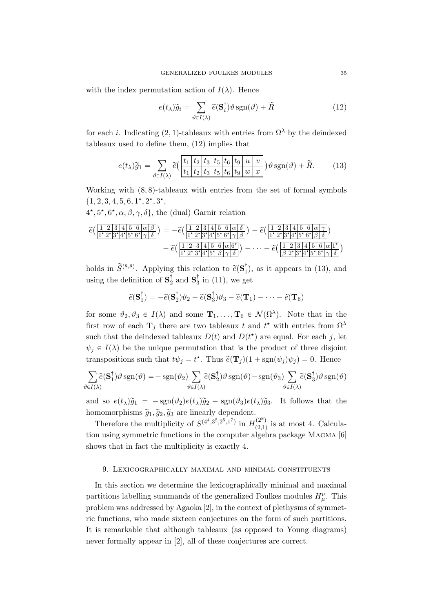with the index permutation action of  $I(\lambda)$ . Hence

$$
e(t_{\lambda})\widetilde{g}_i = \sum_{\vartheta \in I(\lambda)} \widetilde{e}(\mathbf{S}_i^{\dagger}) \vartheta \operatorname{sgn}(\vartheta) + \widetilde{R}
$$
 (12)

for each i. Indicating (2, 1)-tableaux with entries from  $\Omega^{\lambda}$  by the deindexed tableaux used to define them, (12) implies that

$$
e(t_{\lambda})\widetilde{g}_1 = \sum_{\vartheta \in I(\lambda)} \widetilde{e}\Big(\frac{t_1 \, | \, t_2 \, | \, t_3 \, | \, t_5 \, | \, t_6 \, | \, t_9 \, | \, u \, | \, v}{t_1 \, | \, t_2 \, | \, t_3 \, | \, t_5 \, | \, t_6 \, | \, t_9 \, | \, w \, | \, x}\Big) \vartheta \operatorname{sgn}(\vartheta) + \widetilde{R}.\tag{13}
$$

Working with  $(8, 8)$ -tableaux with entries from the set of formal symbols  $\{1, 2, 3, 4, 5, 6, 1^{\star}, 2^{\star}, 3^{\star},$ 

 $4^{\star}, 5^{\star}, 6^{\star}, \alpha, \beta, \gamma, \delta\},$  the (dual) Garnir relation

$$
\begin{split}\n\tilde{e}(\frac{1}{1^{*}2^{*}3^{*}4^{*}5^{*}6^{*}\gamma\delta}) &= -\tilde{e}(\frac{1}{1^{*}2^{*}3^{*}4^{*}5^{*}6^{*}\gamma\beta}) - \tilde{e}(\frac{1}{1^{*}2^{*}3^{*}4^{*}5^{*}6^{*}\gamma\beta}) \\
&\quad - \tilde{e}(\frac{1}{1^{*}2^{*}3^{*}4^{*}5^{*}6^{*}\gamma\beta}) - \tilde{e}(\frac{1}{1^{*}2^{*}3^{*}4^{*}5^{*}6^{*}\beta\delta}) - \tilde{e}(\frac{1}{1^{*}2^{*}3^{*}4^{*}5^{*}6^{*}\beta\delta})\n\end{split}
$$

holds in  $\widetilde{S}^{(8,8)}$ . Applying this relation to  $\widetilde{e}(\mathbf{S}_1^{\dagger})$ , as it appears in (13), and using the definition of  $\mathbf{S}_{2}^{\dagger}$  and  $\mathbf{S}_{3}^{\dagger}$  in (11), we get

$$
\widetilde{e}(\mathbf{S}_1^{\dagger}) = -\widetilde{e}(\mathbf{S}_2^{\dagger})\vartheta_2 - \widetilde{e}(\mathbf{S}_3^{\dagger})\vartheta_3 - \widetilde{e}(\mathbf{T}_1) - \cdots - \widetilde{e}(\mathbf{T}_6)
$$

for some  $\vartheta_2, \vartheta_3 \in I(\lambda)$  and some  $\mathbf{T}_1, \ldots, \mathbf{T}_6 \in \mathcal{N}(\Omega^{\lambda})$ . Note that in the first row of each  $\mathbf{T}_j$  there are two tableaux t and  $t^*$  with entries from  $\Omega^{\lambda}$ such that the deindexed tableaux  $D(t)$  and  $D(t^*)$  are equal. For each j, let  $\psi_i \in I(\lambda)$  be the unique permutation that is the product of three disjoint transpositions such that  $t\psi_j = t^*$ . Thus  $\tilde{e}(\mathbf{T}_j)(1 + \text{sgn}(\psi_j)\psi_j) = 0$ . Hence

$$
\sum_{\vartheta \in I(\lambda)} \widetilde{e}(\mathbf{S}_1^{\dagger}) \vartheta \operatorname{sgn}(\vartheta) = -\operatorname{sgn}(\vartheta_2) \sum_{\vartheta \in I(\lambda)} \widetilde{e}(\mathbf{S}_2^{\dagger}) \vartheta \operatorname{sgn}(\vartheta) - \operatorname{sgn}(\vartheta_3) \sum_{\vartheta \in I(\lambda)} \widetilde{e}(\mathbf{S}_3^{\dagger}) \vartheta \operatorname{sgn}(\vartheta)
$$

and so  $e(t_\lambda)\tilde{g}_1 = -\text{sgn}(\vartheta_2)e(t_\lambda)\tilde{g}_2 - \text{sgn}(\vartheta_3)e(t_\lambda)\tilde{g}_3$ . It follows that the homomorphisms  $\widetilde{g}_1, \widetilde{g}_2, \widetilde{g}_3$  are linearly dependent.

Therefore the multiplicity of  $S^{(4^4,3^5,2^5,1^7)}$  in  $H^{(2^8)}_{(2^9,1)}$  $\binom{2}{2,1}$  is at most 4. Calculation using symmetric functions in the computer algebra package Magma [6] shows that in fact the multiplicity is exactly 4.

### 9. Lexicographically maximal and minimal constituents

In this section we determine the lexicographically minimal and maximal partitions labelling summands of the generalized Foulkes modules  $H^{\nu}_{\mu}$ . This problem was addressed by Agaoka [2], in the context of plethysms of symmetric functions, who made sixteen conjectures on the form of such partitions. It is remarkable that although tableaux (as opposed to Young diagrams) never formally appear in [2], all of these conjectures are correct.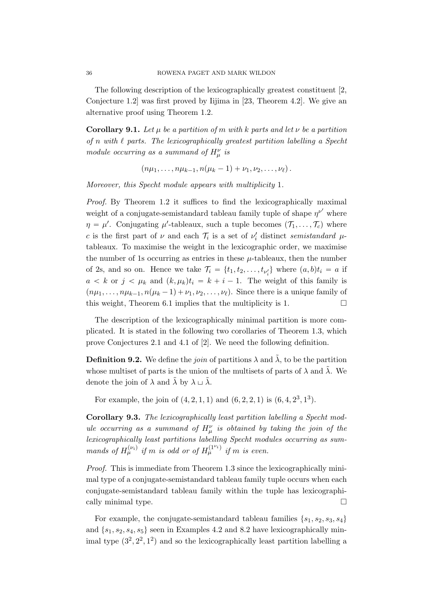The following description of the lexicographically greatest constituent [2, Conjecture 1.2] was first proved by Iijima in [23, Theorem 4.2]. We give an alternative proof using Theorem 1.2.

**Corollary 9.1.** Let  $\mu$  be a partition of m with k parts and let  $\nu$  be a partition of n with  $\ell$  parts. The lexicographically greatest partition labelling a Specht module occurring as a summand of  $H^{\nu}_{\mu}$  is

 $p_1(n\mu_1, \ldots, n\mu_{k-1}, n(\mu_k - 1) + \nu_1, \nu_2, \ldots, \nu_\ell).$ 

Moreover, this Specht module appears with multiplicity 1.

Proof. By Theorem 1.2 it suffices to find the lexicographically maximal weight of a conjugate-semistandard tableau family tuple of shape  $\eta^{\nu'}$  where  $\eta = \mu'$ . Conjugating  $\mu'$ -tableaux, such a tuple becomes  $(\mathcal{T}_1, \ldots, \mathcal{T}_c)$  where c is the first part of  $\nu$  and each  $\mathcal{T}_i$  is a set of  $\nu'_i$  distinct semistandard  $\mu$ tableaux. To maximise the weight in the lexicographic order, we maximise the number of 1s occurring as entries in these  $\mu$ -tableaux, then the number of 2s, and so on. Hence we take  $\mathcal{T}_i = \{t_1, t_2, \ldots, t_{\nu'_i}\}\$  where  $(a, b)t_i = a$  if  $a < k$  or  $j < \mu_k$  and  $(k, \mu_k)t_i = k + i - 1$ . The weight of this family is  $(n\mu_1, \ldots, n\mu_{k-1}, n(\mu_k - 1) + \nu_1, \nu_2, \ldots, \nu_\ell)$ . Since there is a unique family of this weight, Theorem 6.1 implies that the multiplicity is 1.  $\Box$ 

The description of the lexicographically minimal partition is more complicated. It is stated in the following two corollaries of Theorem 1.3, which prove Conjectures 2.1 and 4.1 of [2]. We need the following definition.

**Definition 9.2.** We define the *join* of partitions  $\lambda$  and  $\tilde{\lambda}$ , to be the partition whose multiset of parts is the union of the multisets of parts of  $\lambda$  and  $\tilde{\lambda}$ . We denote the join of  $\lambda$  and  $\tilde{\lambda}$  by  $\lambda \sqcup \tilde{\lambda}$ .

For example, the join of  $(4, 2, 1, 1)$  and  $(6, 2, 2, 1)$  is  $(6, 4, 2^3, 1^3)$ .

Corollary 9.3. The lexicographically least partition labelling a Specht module occurring as a summand of  $H^{\nu}_{\mu}$  is obtained by taking the join of the lexicographically least partitions labelling Specht modules occurring as summands of  $H_{\mu}^{(\nu_i)}$  if m is odd or of  $H_{\mu}^{(1^{\nu_i})}$  if m is even.

Proof. This is immediate from Theorem 1.3 since the lexicographically minimal type of a conjugate-semistandard tableau family tuple occurs when each conjugate-semistandard tableau family within the tuple has lexicographically minimal type.

For example, the conjugate-semistandard tableau families  $\{s_1, s_2, s_3, s_4\}$ and  $\{s_1, s_2, s_4, s_5\}$  seen in Examples 4.2 and 8.2 have lexicographically minimal type  $(3^2, 2^2, 1^2)$  and so the lexicographically least partition labelling a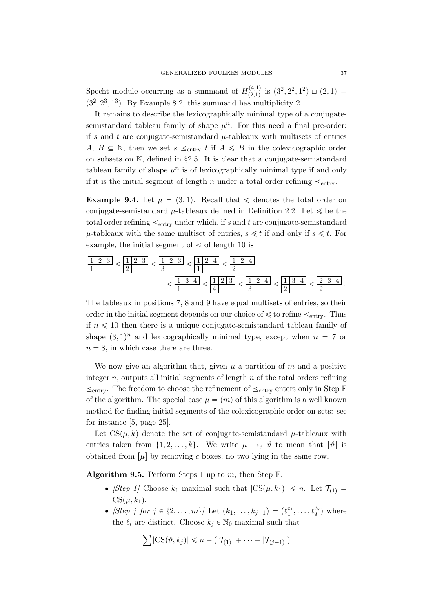Specht module occurring as a summand of  $H_{(2,1)}^{(4,1)}$  $\mathcal{L}^{(4,1)}_{(2,1)}$  is  $(3^2, 2^2, 1^2) \sqcup (2, 1) =$  $(3^2, 2^3, 1^3)$ . By Example 8.2, this summand has multiplicity 2.

It remains to describe the lexicographically minimal type of a conjugatesemistandard tableau family of shape  $\mu^n$ . For this need a final pre-order: if s and t are conjugate-semistandard  $\mu$ -tableaux with multisets of entries A,  $B \subseteq \mathbb{N}$ , then we set  $s \leq_{\text{entry}} t$  if  $A \leq B$  in the colexicographic order on subsets on N, defined in §2.5. It is clear that a conjugate-semistandard tableau family of shape  $\mu^n$  is of lexicographically minimal type if and only if it is the initial segment of length n under a total order refining  $\leq_{\text{entry}}$ .

**Example 9.4.** Let  $\mu = (3, 1)$ . Recall that  $\leq$  denotes the total order on conjugate-semistandard  $\mu$ -tableaux defined in Definition 2.2. Let  $\leq$  be the total order refining  $\leq_{\text{entry}}$  under which, if s and t are conjugate-semistandard  $\mu$ -tableaux with the same multiset of entries,  $s \leq t$  if and only if  $s \leq t$ . For example, the initial segment of  $\le$  of length 10 is

$$
\frac{1}{2} \cdot \frac{2}{3} \cdot \frac{1}{2} \cdot \frac{2}{3} \cdot \frac{1}{3} \cdot \frac{2}{1} \cdot \frac{2}{4} \cdot \frac{1}{2} \cdot \frac{2}{4} \cdot \frac{1}{2} \cdot \frac{2}{4} \cdot \frac{1}{3} \cdot \frac{2}{4} \cdot \frac{1}{3} \cdot \frac{2}{4} \cdot \frac{1}{3} \cdot \frac{2}{4} \cdot \frac{1}{3} \cdot \frac{2}{4} \cdot \frac{1}{2} \cdot \frac{2}{2} \cdot \frac{3}{4} \cdot \frac{1}{4} \cdot \frac{2}{3} \cdot \frac{3}{4} \cdot \frac{2}{4} \cdot \frac{3}{4} \cdot \frac{1}{4} \cdot \frac{2}{4} \cdot \frac{3}{4} \cdot \frac{4}{4} \cdot \frac{2}{4} \cdot \frac{3}{4} \cdot \frac{4}{4} \cdot \frac{4}{4} \cdot \frac{4}{4} \cdot \frac{4}{4} \cdot \frac{4}{4} \cdot \frac{4}{4} \cdot \frac{4}{4} \cdot \frac{4}{4} \cdot \frac{4}{4} \cdot \frac{4}{4} \cdot \frac{4}{4} \cdot \frac{4}{4} \cdot \frac{4}{4} \cdot \frac{4}{4} \cdot \frac{4}{4} \cdot \frac{4}{4} \cdot \frac{4}{4} \cdot \frac{4}{4} \cdot \frac{4}{4} \cdot \frac{4}{4} \cdot \frac{4}{4} \cdot \frac{4}{4} \cdot \frac{4}{4} \cdot \frac{4}{4} \cdot \frac{4}{4} \cdot \frac{4}{4} \cdot \frac{4}{4} \cdot \frac{4}{4} \cdot \frac{4}{4} \cdot \frac{4}{4} \cdot \frac{4}{4} \cdot \frac{4}{4} \cdot \frac{4}{4} \cdot \frac{4}{4} \cdot \frac{4}{4} \cdot \frac{4}{4} \cdot \frac{4}{4} \cdot \frac{4}{4} \cdot \frac{4}{4} \cdot \frac{4}{4} \cdot \frac{4}{4} \cdot \frac{4}{4} \cdot \frac{4}{4} \cdot \frac{4}{4} \cdot \frac{4}{4} \cdot \frac{4}{4} \cdot \frac{4}{4} \cdot \frac{4}{4} \cdot \frac{4}{4} \cdot \frac{4}{4} \cdot \frac{4}{4} \cdot \frac{4
$$

The tableaux in positions 7, 8 and 9 have equal multisets of entries, so their order in the initial segment depends on our choice of  $\leq$  to refine  $\leq_{\text{entry}}$ . Thus if  $n \leq 10$  then there is a unique conjugate-semistandard tableau family of shape  $(3, 1)^n$  and lexicographically minimal type, except when  $n = 7$  or  $n = 8$ , in which case there are three.

We now give an algorithm that, given  $\mu$  a partition of m and a positive integer  $n$ , outputs all initial segments of length  $n$  of the total orders refining  $\leq_{\text{entry}}$ . The freedom to choose the refinement of  $\leq_{\text{entry}}$  enters only in Step F of the algorithm. The special case  $\mu = (m)$  of this algorithm is a well known method for finding initial segments of the colexicographic order on sets: see for instance [5, page 25].

Let  $CS(\mu, k)$  denote the set of conjugate-semistandard  $\mu$ -tableaux with entries taken from  $\{1, 2, \ldots, k\}$ . We write  $\mu \rightarrow_c \theta$  to mean that  $\lbrack \theta \rbrack$  is obtained from  $[\mu]$  by removing c boxes, no two lying in the same row.

Algorithm 9.5. Perform Steps 1 up to  $m$ , then Step F.

- [Step 1] Choose  $k_1$  maximal such that  $|CS(\mu, k_1)| \leq n$ . Let  $\mathcal{T}_{(1)} =$  $CS(\mu, k_1)$ .
- [Step j for  $j \in \{2, ..., m\}$ ] Let  $(k_1, ..., k_{j-1}) = (\ell_1^{c_1}, ..., \ell_q^{c_q})$  where the  $\ell_i$  are distinct. Choose  $k_i \in \mathbb{N}_0$  maximal such that

$$
\sum |\text{CS}(\vartheta, k_j)| \leq n - (|\mathcal{T}_{(1)}| + \cdots + |\mathcal{T}_{(j-1)}|)
$$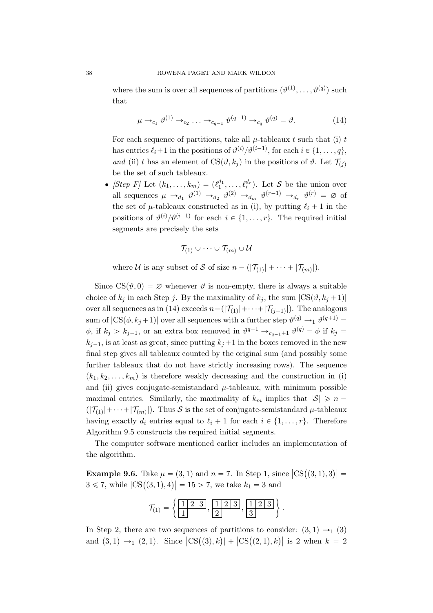where the sum is over all sequences of partitions  $(\vartheta^{(1)}, \ldots, \vartheta^{(q)})$  such that

$$
\mu \to_{c_1} \vartheta^{(1)} \to_{c_2} \ldots \to_{c_{q-1}} \vartheta^{(q-1)} \to_{c_q} \vartheta^{(q)} = \vartheta.
$$
 (14)

For each sequence of partitions, take all  $\mu$ -tableaux t such that (i) t has entries  $\ell_i+1$  in the positions of  $\vartheta^{(i)}/\vartheta^{(i-1)}$ , for each  $i \in \{1, \ldots, q\}$ , and (ii) t has an element of  $CS(\vartheta, k_j)$  in the positions of  $\vartheta$ . Let  $\mathcal{T}_{(i)}$ be the set of such tableaux.

• [Step F] Let  $(k_1, \ldots, k_m) = (\ell_1^{d_1}, \ldots, \ell_r^{d_r})$ . Let S be the union over all sequences  $\mu \to_{d_1} \vartheta^{(1)} \to_{d_2} \vartheta^{(2)} \to_{d_m} \vartheta^{(r-1)} \to_{d_r} \vartheta^{(r)} = \varnothing$  of the set of  $\mu$ -tableaux constructed as in (i), by putting  $\ell_i + 1$  in the positions of  $\vartheta^{(i)}/\vartheta^{(i-1)}$  for each  $i \in \{1, ..., r\}$ . The required initial segments are precisely the sets

$$
\mathcal{T}_{(1)}\cup\cdots\cup\mathcal{T}_{(m)}\cup\mathcal{U}
$$

where U is any subset of S of size  $n - (|\mathcal{T}_{(1)}| + \cdots + |\mathcal{T}_{(m)}|)$ .

Since  $CS(\vartheta, 0) = \varnothing$  whenever  $\vartheta$  is non-empty, there is always a suitable choice of  $k_j$  in each Step j. By the maximality of  $k_j$ , the sum  $|CS(\vartheta, k_j + 1)|$ over all sequences as in (14) exceeds  $n-(|\mathcal{T}_{(1)}|+\cdots+|\mathcal{T}_{(j-1)}|)$ . The analogous sum of  $|CS(\phi, k_j + 1)|$  over all sequences with a further step  $\vartheta^{(q)} \to 1 \vartheta^{(q+1)} =$  $\phi$ , if  $k_j > k_{j-1}$ , or an extra box removed in  $\vartheta^{q-1} \rightarrow_{c_{q-1}+1} \vartheta^{(q)} = \phi$  if  $k_j =$  $k_{i-1}$ , is at least as great, since putting  $k_i+1$  in the boxes removed in the new final step gives all tableaux counted by the original sum (and possibly some further tableaux that do not have strictly increasing rows). The sequence  $(k_1, k_2, \ldots, k_m)$  is therefore weakly decreasing and the construction in (i) and (ii) gives conjugate-semistandard  $\mu$ -tableaux, with minimum possible maximal entries. Similarly, the maximality of  $k_m$  implies that  $|\mathcal{S}| \geq n (|\mathcal{T}_{(1)}| + \cdots + |\mathcal{T}_{(m)}|$ . Thus S is the set of conjugate-semistandard  $\mu$ -tableaux having exactly  $d_i$  entries equal to  $\ell_i + 1$  for each  $i \in \{1, \ldots, r\}$ . Therefore Algorithm 9.5 constructs the required initial segments.

The computer software mentioned earlier includes an implementation of the algorithm.

 $\ddot{\phantom{a}}$ 

**Example 9.6.** Take  $\mu = (3, 1)$  and  $n = 7$ . In Step 1, since  $|\text{CS}((3, 1), 3)| =$ **Example 9.6.** Take  $\mu = (3, 1)$  and  $n = i$ . In step 1, sin <br> $3 \le 7$ , while  $|CS((3, 1), 4)| = 15 > 7$ , we take  $k_1 = 3$  and

$$
\mathcal{T}_{(1)} = \left\{ \frac{1 \mid 2 \mid 3}{1}, \frac{1 \mid 2 \mid 3}{2}, \frac{1 \mid 2 \mid 3}{3} \right\}.
$$

In Step 2, there are two sequences of partitions to consider:  $(3, 1) \rightarrow_1 (3)$ in step 2, there are two sequences or partitions to consider:  $(3, 1) \rightarrow_1 (3)$ <br>and  $(3, 1) \rightarrow_1 (2, 1)$ . Since  $|CS((3), k)| + |CS((2, 1), k)|$  is 2 when  $k = 2$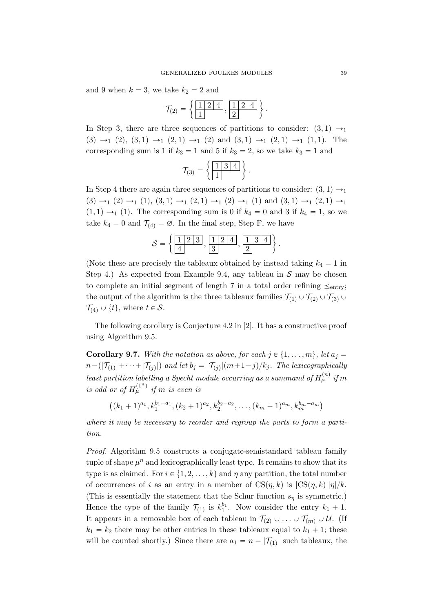and 9 when  $k = 3$ , we take  $k_2 = 2$  and

$$
\mathcal{T}_{(2)} = \left\{ \frac{1 \mid 2 \mid 4}{1}, \frac{1 \mid 2 \mid 4}{2} \right\}.
$$

In Step 3, there are three sequences of partitions to consider:  $(3, 1) \rightarrow$  $(3) \rightarrow_1 (2), (3, 1) \rightarrow_1 (2, 1) \rightarrow_1 (2)$  and  $(3, 1) \rightarrow_1 (2, 1) \rightarrow_1 (1, 1)$ . The corresponding sum is 1 if  $k_3 = 1$  and 5 if  $k_3 = 2$ , so we take  $k_3 = 1$  and

$$
\mathcal{T}_{(3)} = \left\{ \frac{1 \mid 3 \mid 4}{1} \right\}.
$$

In Step 4 there are again three sequences of partitions to consider:  $(3, 1) \rightarrow_1$  $p(3) \rightarrow_1 (2) \rightarrow_1 (1), (3, 1) \rightarrow_1 (2, 1) \rightarrow_1 (2) \rightarrow_1 (1)$  and  $(3, 1) \rightarrow_1 (2, 1) \rightarrow_1$  $(1, 1) \rightarrow_1 (1)$ . The corresponding sum is 0 if  $k_4 = 0$  and 3 if  $k_4 = 1$ , so we take  $k_4 = 0$  and  $\mathcal{T}_{(4)} = \emptyset$ . In the final step, Step F, we have " \*

$$
S = \left\{ \frac{1 \ 2 \ 3}{4}, \frac{1 \ 2 \ 4}{3}, \frac{1 \ 3 \ 4}{2} \right\}.
$$

(Note these are precisely the tableaux obtained by instead taking  $k_4 = 1$  in Step 4.) As expected from Example 9.4, any tableau in  $S$  may be chosen to complete an initial segment of length 7 in a total order refining  $\leq_{\text{entry}}$ ; the output of the algorithm is the three tableaux families  $\mathcal{T}_{(1)} \cup \mathcal{T}_{(2)} \cup \mathcal{T}_{(3)} \cup$  $\mathcal{T}_{(4)} \cup \{t\}$ , where  $t \in \mathcal{S}$ .

The following corollary is Conjecture 4.2 in [2]. It has a constructive proof using Algorithm 9.5.

**Corollary 9.7.** With the notation as above, for each  $j \in \{1, \ldots, m\}$ , let  $a_j =$  $n-(|\mathcal{T}_{(1)}|+\cdots+|\mathcal{T}_{(j)}|)$  and let  $b_j=|\mathcal{T}_{(j)}|(m+1-j)/k_j$ . The lexicographically least partition labelling a Specht module occurring as a summand of  $H_\mu^{(n)}$  if m is odd or of  $H_\mu^{(1^n)}$  if m is even is

$$
((k_1+1)^{a_1}, k_1^{b_1-a_1}, (k_2+1)^{a_2}, k_2^{b_2-a_2}, \ldots, (k_m+1)^{a_m}, k_m^{b_m-a_m})
$$

where it may be necessary to reorder and regroup the parts to form a partition.

Proof. Algorithm 9.5 constructs a conjugate-semistandard tableau family tuple of shape  $\mu^n$  and lexicographically least type. It remains to show that its type is as claimed. For  $i \in \{1, 2, \ldots, k\}$  and  $\eta$  any partition, the total number of occurrences of i as an entry in a member of  $CS(\eta, k)$  is  $|CS(\eta, k)||\eta|/k$ . (This is essentially the statement that the Schur function  $s<sub>\eta</sub>$  is symmetric.) Hence the type of the family  $\mathcal{T}_{(1)}$  is  $k_1^{b_1}$ . Now consider the entry  $k_1 + 1$ . It appears in a removable box of each tableau in  $\mathcal{T}_{(2)} \cup \ldots \cup \mathcal{T}_{(m)} \cup \mathcal{U}$ . (If  $k_1 = k_2$  there may be other entries in these tableaux equal to  $k_1 + 1$ ; these will be counted shortly.) Since there are  $a_1 = n - |\mathcal{T}_{(1)}|$  such tableaux, the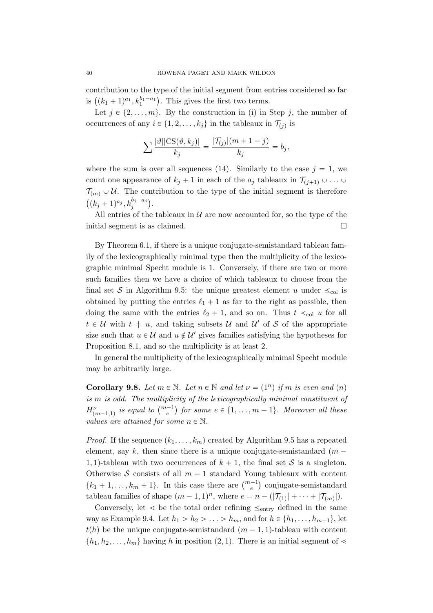contribution to the type of the initial segment from entries considered so far contribution to the type of the initial segment from erals  $((k_1 + 1)^{a_1}, k_1^{b_1-a_1})$ . This gives the first two terms.

Let  $j \in \{2, ..., m\}$ . By the construction in (i) in Step j, the number of occurrences of any  $i \in \{1, 2, ..., k_j\}$  in the tableaux in  $\mathcal{T}_{(j)}$  is

$$
\sum \frac{|\vartheta| |\text{CS}(\vartheta, k_j)|}{k_j} = \frac{|\mathcal{T}_{(j)}|(m+1-j)}{k_j} = b_j,
$$

where the sum is over all sequences (14). Similarly to the case  $j = 1$ , we count one appearance of  $k_j + 1$  in each of the  $a_j$  tableaux in  $\mathcal{T}_{(j+1)} \cup \ldots \cup$  $\mathcal{T}_{(m)} \cup \mathcal{U}$ . The contribution to the type of the initial segment is therefore  $(k_j + 1)^{a_j}, k_j^{b_j - a_j}$ .

All entries of the tableaux in  $\mathcal U$  are now accounted for, so the type of the initial segment is as claimed.

By Theorem 6.1, if there is a unique conjugate-semistandard tableau family of the lexicographically minimal type then the multiplicity of the lexicographic minimal Specht module is 1. Conversely, if there are two or more such families then we have a choice of which tableaux to choose from the final set S in Algorithm 9.5: the unique greatest element u under  $\leq_{\text{col}}$  is obtained by putting the entries  $\ell_1 + 1$  as far to the right as possible, then doing the same with the entries  $\ell_2 + 1$ , and so on. Thus  $t \prec_{\text{col}} u$  for all  $t \in \mathcal{U}$  with  $t + u$ , and taking subsets  $\mathcal{U}$  and  $\mathcal{U}'$  of S of the appropriate size such that  $u \in \mathcal{U}$  and  $u \notin \mathcal{U}'$  gives families satisfying the hypotheses for Proposition 8.1, and so the multiplicity is at least 2.

In general the multiplicity of the lexicographically minimal Specht module may be arbitrarily large.

**Corollary 9.8.** Let  $m \in \mathbb{N}$ . Let  $n \in \mathbb{N}$  and let  $\nu = (1^n)$  if m is even and  $(n)$  $is \, m \, is \, odd.$  The multiplicity of the lexicographically minimal constituent of is m is oaa. The multiplicity of the textcographically minimal constituent of  $H^{\nu}_{(m-1,1)}$  is equal to  $\binom{m-1}{e}$  for some  $e \in \{1,\ldots,m-1\}$ . Moreover all these values are attained for some  $n \in \mathbb{N}$ .

*Proof.* If the sequence  $(k_1, \ldots, k_m)$  created by Algorithm 9.5 has a repeated element, say k, then since there is a unique conjugate-semistandard  $(m -$ 1, 1)-tableau with two occurrences of  $k + 1$ , the final set S is a singleton. Otherwise S consists of all  $m - 1$  standard Young tableaux with content Otherwise S consists of all  $m-1$  standard Young tableaux with content  $\{k_1 + 1, \ldots, k_m + 1\}$ . In this case there are  $\binom{m-1}{e}$  conjugate-semistandard tableau families of shape  $(m - 1, 1)^n$ , where  $e = n - (|\mathcal{T}_{(1)}| + \cdots + |\mathcal{T}_{(m)}|)$ .

Conversely, let  $\leq$  be the total order refining  $\leq_{\text{entry}}$  defined in the same way as Example 9.4. Let  $h_1 > h_2 > \ldots > h_m$ , and for  $h \in \{h_1, \ldots, h_{m-1}\}$ , let  $t(h)$  be the unique conjugate-semistandard  $(m - 1, 1)$ -tableau with content  $\{h_1, h_2, \ldots, h_m\}$  having h in position  $(2, 1)$ . There is an initial segment of  $\leq$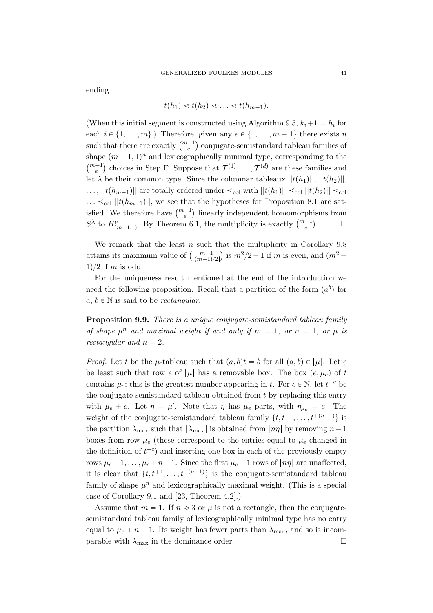ending

$$
t(h_1) \lessdot t(h_2) \lessdot \ldots \lessdot t(h_{m-1}).
$$

(When this initial segment is constructed using Algorithm 9.5,  $k_i+1 = h_i$  for each  $i \in \{1, \ldots, m\}$ .) Therefore, given any  $e \in \{1, \ldots, m - 1\}$  there exists n each  $i \in \{1, ..., m\}$ . Therefore, given any  $e \in \{1, ..., m-1\}$  there exists *n* such that there are exactly  $\binom{m-1}{e}$  conjugate-semistandard tableau families of shape  $(m-1, 1)^n$  and lexicographically minimal type, corresponding to the shape  $(m-1, 1)$  and lexicographically minimal type, corresponding to the  $\binom{m-1}{e}$  choices in Step F. Suppose that  $\mathcal{T}^{(1)}, \ldots, \mathcal{T}^{(d)}$  are these families and let  $\lambda$  be their common type. Since the columnar tableaux  $||t(h_1)||, ||t(h_2)||$ ,  $\ldots$ ,  $||t(h_{m-1})||$  are totally ordered under  $\leq_{\text{col}}$  with  $||t(h_1)|| \leq_{\text{col}} ||t(h_2)|| \leq_{\text{col}}$  $\ldots \leq_{\text{col}} ||t(h_{m-1})||$ , we see that the hypotheses for Proposition 8.1 are sat- $\cdots \leq_{\text{col}} ||t(n_{m-1})||$ , we see that the hypotheses for Proposition 8.1 are satisfied. We therefore have  $\binom{m-1}{e}$  linearly independent homomorphisms from shed. We therefore have  $\begin{pmatrix} e \\ e \end{pmatrix}$  infearly independent nomomorph  $S^{\lambda}$  to  $H_{(m-1,1)}^{\nu}$ . By Theorem 6.1, the multiplicity is exactly  $\begin{pmatrix} m-1 \\ e \end{pmatrix}$  $\Box$ 

We remark that the least  $n$  such that the multiplicity in Corollary 9.8 We remark that the least *n* such that the multiplicity in Corollary 9.8<br>attains its maximum value of  $\binom{m-1}{\lfloor (m-1)/2 \rfloor}$  is  $m^2/2 - 1$  if *m* is even, and  $\binom{m^2-1}{m}$  $1)/2$  if m is odd.

For the uniqueness result mentioned at the end of the introduction we need the following proposition. Recall that a partition of the form  $(a^b)$  for a,  $b \in \mathbb{N}$  is said to be *rectangular*.

**Proposition 9.9.** There is a unique conjugate-semistandard tableau family of shape  $\mu^n$  and maximal weight if and only if  $m = 1$ , or  $n = 1$ , or  $\mu$  is rectangular and  $n = 2$ .

*Proof.* Let t be the  $\mu$ -tableau such that  $(a, b)t = b$  for all  $(a, b) \in [\mu]$ . Let e be least such that row e of  $[\mu]$  has a removable box. The box  $(e, \mu_e)$  of t contains  $\mu_e$ ; this is the greatest number appearing in t. For  $c \in \mathbb{N}$ , let  $t^{+c}$  be the conjugate-semistandard tableau obtained from  $t$  by replacing this entry with  $\mu_e + c$ . Let  $\eta = \mu'$ . Note that  $\eta$  has  $\mu_e$  parts, with  $\eta_{\mu_e} = e$ . The weight of the conjugate-semistandard tableau family  $\{t, t^{+1}, \ldots, t^{+(n-1)}\}$  is the partition  $\lambda_{\text{max}}$  such that  $\lambda_{\text{max}}$  is obtained from  $[n\eta]$  by removing  $n-1$ boxes from row  $\mu_e$  (these correspond to the entries equal to  $\mu_e$  changed in the definition of  $t^{+c}$ ) and inserting one box in each of the previously empty rows  $\mu_e + 1, \ldots, \mu_e + n - 1$ . Since the first  $\mu_e - 1$  rows of  $\lfloor n\eta \rfloor$  are unaffected, it is clear that  $\{t, t^{+1}, \ldots, t^{+(n-1)}\}$  is the conjugate-semistandard tableau family of shape  $\mu^n$  and lexicographically maximal weight. (This is a special case of Corollary 9.1 and [23, Theorem 4.2].)

Assume that  $m \neq 1$ . If  $n \geq 3$  or  $\mu$  is not a rectangle, then the conjugatesemistandard tableau family of lexicographically minimal type has no entry equal to  $\mu_e + n - 1$ . Its weight has fewer parts than  $\lambda_{\text{max}}$ , and so is incomparable with  $\lambda_{\text{max}}$  in the dominance order.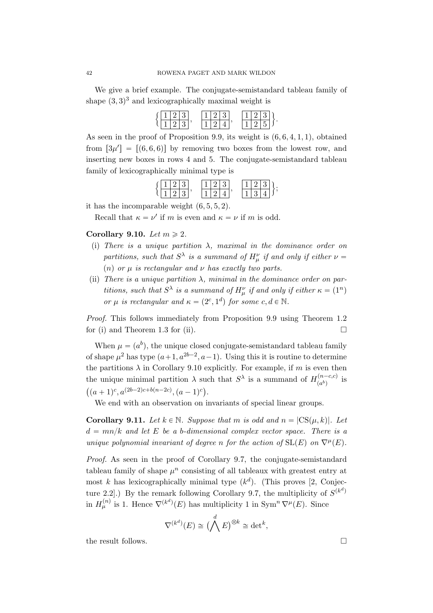We give a brief example. The conjugate-semistandard tableau family of shape  $(3, 3)^3$  and lexicographically maximal weight is

|  | (1 2 3) |  | 1 2 3 |  |  | $\vert 1 \vert 2 \vert 3 \vert$ |       |  |
|--|---------|--|-------|--|--|---------------------------------|-------|--|
|  | 1 2 3   |  |       |  |  | $1 \mid 2$                      | 5   1 |  |

As seen in the proof of Proposition 9.9, its weight is  $(6, 6, 4, 1, 1)$ , obtained from  $[3\mu'] = [(6, 6, 6)]$  by removing two boxes from the lowest row, and inserting new boxes in rows 4 and 5. The conjugate-semistandard tableau family of lexicographically minimal type is

$$
\left\{ \frac{1\ 2\ 3}{1\ 2\ 3}, \quad \frac{1\ 2\ 3}{1\ 2\ 4}, \quad \frac{1\ 2\ 3}{1\ 3\ 4} \right\};
$$

it has the incomparable weight  $(6, 5, 5, 2)$ .

Recall that  $\kappa = \nu'$  if m is even and  $\kappa = \nu$  if m is odd.

## Corollary 9.10. Let  $m \geq 2$ .

- (i) There is a unique partition  $\lambda$ , maximal in the dominance order on partitions, such that  $S^{\lambda}$  is a summand of  $H^{\nu}_{\mu}$  if and only if either  $\nu =$ (n) or  $\mu$  is rectangular and  $\nu$  has exactly two parts.
- (ii) There is a unique partition  $\lambda$ , minimal in the dominance order on partitions, such that  $S^{\lambda}$  is a summand of  $H^{\nu}_{\mu}$  if and only if either  $\kappa = (1^{n})$ or  $\mu$  is rectangular and  $\kappa = (2^c, 1^d)$  for some  $c, d \in \mathbb{N}$ .

Proof. This follows immediately from Proposition 9.9 using Theorem 1.2 for (i) and Theorem 1.3 for (ii).  $\Box$ 

When  $\mu = (a^b)$ , the unique closed conjugate-semistandard tableau family of shape  $\mu^2$  has type  $(a+1, a^{2b-2}, a-1)$ . Using this it is routine to determine the partitions  $\lambda$  in Corollary 9.10 explicitly. For example, if m is even then the unique minimal partition  $\lambda$  such that  $S^{\lambda}$  is a summand of  $H_{(ab)}^{(n-c,c)}$ the unique minimal partition  $\lambda$  such that  $S^{\lambda}$  is a summand of  $H_{(a^b)}^{(n-c,c)}$  is  $(a+1)^c, a^{(2b-2)c+b(n-2c)}, (a-1)^c).$ 

We end with an observation on invariants of special linear groups.

**Corollary 9.11.** Let  $k \in \mathbb{N}$ . Suppose that m is odd and  $n = |CS(\mu, k)|$ . Let  $d = mn/k$  and let E be a b-dimensional complex vector space. There is a unique polynomial invariant of degree n for the action of  $SL(E)$  on  $\nabla^{\mu}(E)$ .

Proof. As seen in the proof of Corollary 9.7, the conjugate-semistandard tableau family of shape  $\mu^n$  consisting of all tableaux with greatest entry at most k has lexicographically minimal type  $(k^d)$ . (This proves [2, Conjecture 2.2.) By the remark following Corollary 9.7, the multiplicity of  $S^{(k^d)}$ in  $H_{\mu}^{(n)}$  is 1. Hence  $\nabla^{(k^d)}(E)$  has multiplicity 1 in Sym<sup>n</sup>  $\nabla^{\mu}(E)$ . Since

$$
\nabla^{(k^d)}(E) \cong \big(\bigwedge^d E\big)^{\otimes k} \cong \det^k,
$$

the result follows.  $\Box$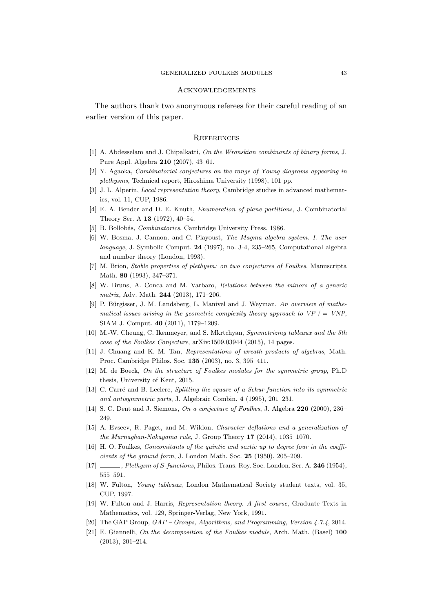#### **ACKNOWLEDGEMENTS**

The authors thank two anonymous referees for their careful reading of an earlier version of this paper.

#### **REFERENCES**

- [1] A. Abdesselam and J. Chipalkatti, On the Wronskian combinants of binary forms, J. Pure Appl. Algebra 210 (2007), 43–61.
- [2] Y. Agaoka, Combinatorial conjectures on the range of Young diagrams appearing in plethysms, Technical report, Hiroshima University (1998), 101 pp.
- [3] J. L. Alperin, *Local representation theory*, Cambridge studies in advanced mathematics, vol. 11, CUP, 1986.
- [4] E. A. Bender and D. E. Knuth, Enumeration of plane partitions, J. Combinatorial Theory Ser. A 13 (1972), 40–54.
- [5] B. Bollobás, *Combinatorics*, Cambridge University Press, 1986.
- [6] W. Bosma, J. Cannon, and C. Playoust, The Magma algebra system. I. The user language, J. Symbolic Comput. 24 (1997), no. 3-4, 235–265, Computational algebra and number theory (London, 1993).
- [7] M. Brion, Stable properties of plethysm: on two conjectures of Foulkes, Manuscripta Math. 80 (1993), 347–371.
- [8] W. Bruns, A. Conca and M. Varbaro, Relations between the minors of a generic matrix, Adv. Math. 244 (2013), 171–206.
- [9] P. Bürgisser, J. M. Landsberg, L. Manivel and J. Weyman, An overview of mathematical issues arising in the geometric complexity theory approach to  $VP$   $/$  = VNP, SIAM J. Comput. 40 (2011), 1179–1209.
- [10] M.-W. Cheung, C. Ikenmeyer, and S. Mkrtchyan, Symmetrizing tableaux and the 5th case of the Foulkes Conjecture, arXiv:1509.03944 (2015), 14 pages.
- [11] J. Chuang and K. M. Tan, Representations of wreath products of algebras, Math. Proc. Cambridge Philos. Soc. 135 (2003), no. 3, 395–411.
- [12] M. de Boeck, On the structure of Foulkes modules for the symmetric group, Ph.D thesis, University of Kent, 2015.
- [13] C. Carré and B. Leclerc, Splitting the square of a Schur function into its symmetric and antisymmetric parts, J. Algebraic Combin. 4 (1995), 201–231.
- [14] S. C. Dent and J. Siemons, On a conjecture of Foulkes, J. Algebra 226 (2000), 236– 249.
- [15] A. Evseev, R. Paget, and M. Wildon, Character deflations and a generalization of the Murnaghan-Nakayama rule, J. Group Theory 17 (2014), 1035–1070.
- [16] H. O. Foulkes, Concomitants of the quintic and sextic up to degree four in the coefficients of the ground form, J. London Math. Soc. 25 (1950), 205–209.
- [17] , Plethysm of S-functions, Philos. Trans. Roy. Soc. London. Ser. A. 246 (1954), 555–591.
- [18] W. Fulton, Young tableaux, London Mathematical Society student texts, vol. 35, CUP, 1997.
- [19] W. Fulton and J. Harris, Representation theory. A first course, Graduate Texts in Mathematics, vol. 129, Springer-Verlag, New York, 1991.
- [20] The GAP Group, GAP Groups, Algorithms, and Programming, Version 4.7.4, 2014.
- [21] E. Giannelli, On the decomposition of the Foulkes module, Arch. Math. (Basel) 100 (2013), 201–214.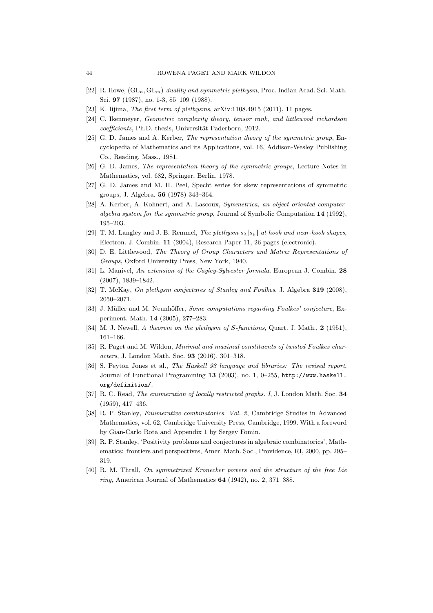- [22] R. Howe,  $(GL_n, GL_m)$ -duality and symmetric plethysm, Proc. Indian Acad. Sci. Math. Sci. 97 (1987), no. 1-3, 85–109 (1988).
- [23] K. Iijima, *The first term of plethysms*, arXiv:1108.4915 (2011), 11 pages.
- [24] C. Ikenmeyer, Geometric complexity theory, tensor rank, and littlewood–richardson coefficients, Ph.D. thesis, Universität Paderborn, 2012.
- [25] G. D. James and A. Kerber, *The representation theory of the symmetric group*, Encyclopedia of Mathematics and its Applications, vol. 16, Addison-Wesley Publishing Co., Reading, Mass., 1981.
- [26] G. D. James, The representation theory of the symmetric groups, Lecture Notes in Mathematics, vol. 682, Springer, Berlin, 1978.
- [27] G. D. James and M. H. Peel, Specht series for skew representations of symmetric groups, J. Algebra. 56 (1978) 343–364.
- [28] A. Kerber, A. Kohnert, and A. Lascoux, Symmetrica, an object oriented computeralgebra system for the symmetric group, Journal of Symbolic Computation 14 (1992), 195–203.
- [29] T. M. Langley and J. B. Remmel, The plethysm  $s_{\lambda}[s_{\mu}]$  at hook and near-hook shapes, Electron. J. Combin. 11 (2004), Research Paper 11, 26 pages (electronic).
- [30] D. E. Littlewood, The Theory of Group Characters and Matrix Representations of Groups, Oxford University Press, New York, 1940.
- [31] L. Manivel, An extension of the Cayley-Sylvester formula, European J. Combin. 28 (2007), 1839–1842.
- [32] T. McKay, On plethysm conjectures of Stanley and Foulkes, J. Algebra 319 (2008). 2050–2071.
- [33] J. Müller and M. Neunhöffer, Some computations regarding Foulkes' conjecture, Experiment. Math. 14 (2005), 277–283.
- [34] M. J. Newell, A theorem on the plethysm of S-functions, Quart. J. Math., 2 (1951). 161–166.
- [35] R. Paget and M. Wildon, Minimal and maximal constituents of twisted Foulkes characters, J. London Math. Soc. 93 (2016), 301–318.
- [36] S. Peyton Jones et al., The Haskell 98 language and libraries: The revised report, Journal of Functional Programming 13 (2003), no. 1, 0–255, http://www.haskell. org/definition/.
- [37] R. C. Read, *The enumeration of locally restricted graphs. I*, J. London Math. Soc. 34 (1959), 417–436.
- [38] R. P. Stanley, Enumerative combinatorics. Vol. 2, Cambridge Studies in Advanced Mathematics, vol. 62, Cambridge University Press, Cambridge, 1999. With a foreword by Gian-Carlo Rota and Appendix 1 by Sergey Fomin.
- [39] R. P. Stanley, 'Positivity problems and conjectures in algebraic combinatorics', Mathematics: frontiers and perspectives, Amer. Math. Soc., Providence, RI, 2000, pp. 295– 319.
- [40] R. M. Thrall, On symmetrized Kronecker powers and the structure of the free Lie ring, American Journal of Mathematics 64 (1942), no. 2, 371–388.